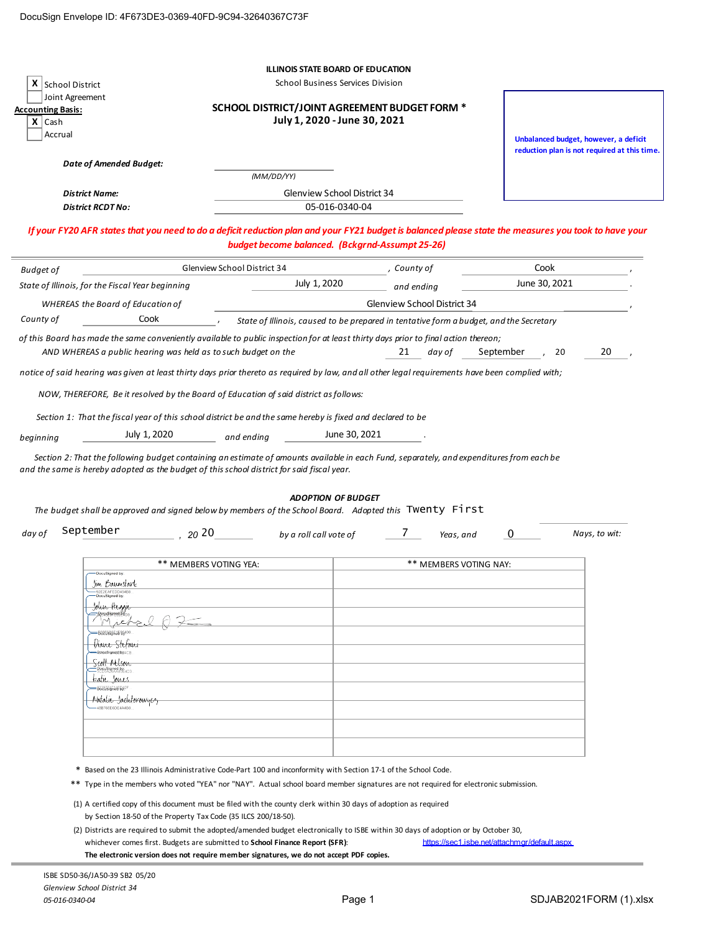|                                                                                                                                                   |                                                                | <b>ILLINOIS STATE BOARD OF EDUCATION</b>                                                                                                                                |                             |                                                                                                                                                       |  |
|---------------------------------------------------------------------------------------------------------------------------------------------------|----------------------------------------------------------------|-------------------------------------------------------------------------------------------------------------------------------------------------------------------------|-----------------------------|-------------------------------------------------------------------------------------------------------------------------------------------------------|--|
| x<br>School District                                                                                                                              |                                                                | School Business Services Division                                                                                                                                       |                             |                                                                                                                                                       |  |
| Joint Agreement                                                                                                                                   |                                                                | SCHOOL DISTRICT/JOINT AGREEMENT BUDGET FORM *                                                                                                                           |                             |                                                                                                                                                       |  |
| <b>Accounting Basis:</b><br>$X$   Cash                                                                                                            |                                                                | July 1, 2020 - June 30, 2021                                                                                                                                            |                             |                                                                                                                                                       |  |
| Accrual                                                                                                                                           |                                                                |                                                                                                                                                                         |                             |                                                                                                                                                       |  |
|                                                                                                                                                   |                                                                |                                                                                                                                                                         |                             | Unbalanced budget, however, a deficit                                                                                                                 |  |
|                                                                                                                                                   |                                                                |                                                                                                                                                                         |                             | reduction plan is not required at this time.                                                                                                          |  |
| Date of Amended Budget:                                                                                                                           |                                                                |                                                                                                                                                                         |                             |                                                                                                                                                       |  |
|                                                                                                                                                   |                                                                | (MM/DD/YY)                                                                                                                                                              |                             |                                                                                                                                                       |  |
| District Name:                                                                                                                                    |                                                                | Glenview School District 34                                                                                                                                             |                             |                                                                                                                                                       |  |
| <b>District RCDT No:</b>                                                                                                                          |                                                                | 05-016-0340-04                                                                                                                                                          |                             |                                                                                                                                                       |  |
|                                                                                                                                                   |                                                                | budget become balanced. (Bckgrnd-Assumpt 25-26)                                                                                                                         |                             | If your FY20 AFR states that you need to do a deficit reduction plan and your FY21 budget is balanced please state the measures you took to have your |  |
|                                                                                                                                                   | Glenview School District 34                                    |                                                                                                                                                                         | , County of                 | Cook                                                                                                                                                  |  |
| <b>Budget of</b>                                                                                                                                  |                                                                |                                                                                                                                                                         |                             |                                                                                                                                                       |  |
| State of Illinois, for the Fiscal Year beginning                                                                                                  |                                                                | July 1, 2020                                                                                                                                                            | and ending                  | June 30, 2021                                                                                                                                         |  |
| <b>WHEREAS</b> the Board of Education of                                                                                                          |                                                                |                                                                                                                                                                         | Glenview School District 34 |                                                                                                                                                       |  |
| Cook<br>County of                                                                                                                                 |                                                                | State of Illinois, caused to be prepared in tentative form a budget, and the Secretary                                                                                  |                             |                                                                                                                                                       |  |
|                                                                                                                                                   |                                                                |                                                                                                                                                                         |                             |                                                                                                                                                       |  |
| of this Board has made the same conveniently available to public inspection for at least thirty days prior to final action thereon;               |                                                                |                                                                                                                                                                         |                             |                                                                                                                                                       |  |
| AND WHEREAS a public hearing was held as to such budget on the                                                                                    |                                                                |                                                                                                                                                                         | 21<br>day of                | 20<br>September<br>20                                                                                                                                 |  |
| notice of said hearing was given at least thirty days prior thereto as required by law, and all other legal requirements have been complied with; |                                                                |                                                                                                                                                                         |                             |                                                                                                                                                       |  |
|                                                                                                                                                   |                                                                |                                                                                                                                                                         |                             |                                                                                                                                                       |  |
| NOW, THEREFORE, Be it resolved by the Board of Education of said district as follows:                                                             |                                                                |                                                                                                                                                                         |                             |                                                                                                                                                       |  |
|                                                                                                                                                   |                                                                |                                                                                                                                                                         |                             |                                                                                                                                                       |  |
| Section 1: That the fiscal year of this school district be and the same hereby is fixed and declared to be                                        |                                                                |                                                                                                                                                                         |                             |                                                                                                                                                       |  |
| July 1, 2020                                                                                                                                      | and ending                                                     | June 30, 2021                                                                                                                                                           |                             |                                                                                                                                                       |  |
| beginning                                                                                                                                         |                                                                |                                                                                                                                                                         |                             |                                                                                                                                                       |  |
| Section 2: That the following budget containing an estimate of amounts available in each Fund, separately, and expenditures from each be          |                                                                |                                                                                                                                                                         |                             |                                                                                                                                                       |  |
| and the same is hereby adopted as the budget of this school district for said fiscal year.                                                        |                                                                |                                                                                                                                                                         |                             |                                                                                                                                                       |  |
|                                                                                                                                                   |                                                                |                                                                                                                                                                         |                             |                                                                                                                                                       |  |
|                                                                                                                                                   |                                                                |                                                                                                                                                                         |                             |                                                                                                                                                       |  |
|                                                                                                                                                   |                                                                |                                                                                                                                                                         |                             |                                                                                                                                                       |  |
|                                                                                                                                                   |                                                                | <b>ADOPTION OF BUDGET</b>                                                                                                                                               |                             |                                                                                                                                                       |  |
| The budget shall be approved and signed below by members of the School Board. Adopted this TWENTY First                                           |                                                                |                                                                                                                                                                         |                             |                                                                                                                                                       |  |
| September                                                                                                                                         |                                                                |                                                                                                                                                                         |                             |                                                                                                                                                       |  |
| day of                                                                                                                                            | $- 2020$                                                       | by a roll call vote of                                                                                                                                                  | Yeas, and                   | 0<br>Nays, to wit:                                                                                                                                    |  |
|                                                                                                                                                   |                                                                |                                                                                                                                                                         |                             |                                                                                                                                                       |  |
|                                                                                                                                                   | ** MEMBERS VOTING YEA:                                         |                                                                                                                                                                         | ** MEMBERS VOTING NAY:      |                                                                                                                                                       |  |
| DocuSigned by                                                                                                                                     |                                                                |                                                                                                                                                                         |                             |                                                                                                                                                       |  |
| <u>Jim Baumstark</u>                                                                                                                              |                                                                |                                                                                                                                                                         |                             |                                                                                                                                                       |  |
| -92E2EAFEDD494B8.<br>- DocuSigned by:                                                                                                             |                                                                |                                                                                                                                                                         |                             |                                                                                                                                                       |  |
| John Heggie<br>з ResuSigned PX bo                                                                                                                 |                                                                |                                                                                                                                                                         |                             |                                                                                                                                                       |  |
| M<br>x.                                                                                                                                           |                                                                |                                                                                                                                                                         |                             |                                                                                                                                                       |  |
| B526596F4F95400                                                                                                                                   |                                                                |                                                                                                                                                                         |                             |                                                                                                                                                       |  |
| Diane Stefani<br>BoonSignating4CB.                                                                                                                |                                                                |                                                                                                                                                                         |                             |                                                                                                                                                       |  |
| Scott Mlson                                                                                                                                       |                                                                |                                                                                                                                                                         |                             |                                                                                                                                                       |  |
| PoruSigned by: 4D3.<br>zatie Joues                                                                                                                |                                                                |                                                                                                                                                                         |                             |                                                                                                                                                       |  |
| -B320347146B42F                                                                                                                                   |                                                                |                                                                                                                                                                         |                             |                                                                                                                                                       |  |
| Matalie Jaclitorowyce                                                                                                                             |                                                                |                                                                                                                                                                         |                             |                                                                                                                                                       |  |
| -48B766E6DE4A4B0.                                                                                                                                 |                                                                |                                                                                                                                                                         |                             |                                                                                                                                                       |  |
|                                                                                                                                                   |                                                                |                                                                                                                                                                         |                             |                                                                                                                                                       |  |
|                                                                                                                                                   |                                                                |                                                                                                                                                                         |                             |                                                                                                                                                       |  |
|                                                                                                                                                   |                                                                |                                                                                                                                                                         |                             |                                                                                                                                                       |  |
|                                                                                                                                                   |                                                                |                                                                                                                                                                         |                             |                                                                                                                                                       |  |
|                                                                                                                                                   |                                                                | * Based on the 23 Illinois Administrative Code-Part 100 and inconformity with Section 17-1 of the School Code.                                                          |                             |                                                                                                                                                       |  |
|                                                                                                                                                   |                                                                | ** Type in the members who voted "YEA" nor "NAY". Actual school board member signatures are not required for electronic submission.                                     |                             |                                                                                                                                                       |  |
|                                                                                                                                                   |                                                                |                                                                                                                                                                         |                             |                                                                                                                                                       |  |
|                                                                                                                                                   |                                                                | (1) A certified copy of this document must be filed with the county clerk within 30 days of adoption as required                                                        |                             |                                                                                                                                                       |  |
|                                                                                                                                                   | by Section 18-50 of the Property Tax Code (35 ILCS 200/18-50). |                                                                                                                                                                         |                             |                                                                                                                                                       |  |
|                                                                                                                                                   |                                                                | (2) Districts are required to submit the adopted/amended budget electronically to ISBE within 30 days of adoption or by October 30,                                     |                             |                                                                                                                                                       |  |
|                                                                                                                                                   |                                                                | whichever comes first. Budgets are submitted to School Finance Report (SFR):<br>The electronic version does not require member signatures, we do not accept PDF copies. |                             | https://sec1.isbe.net/attachmgr/default.aspx                                                                                                          |  |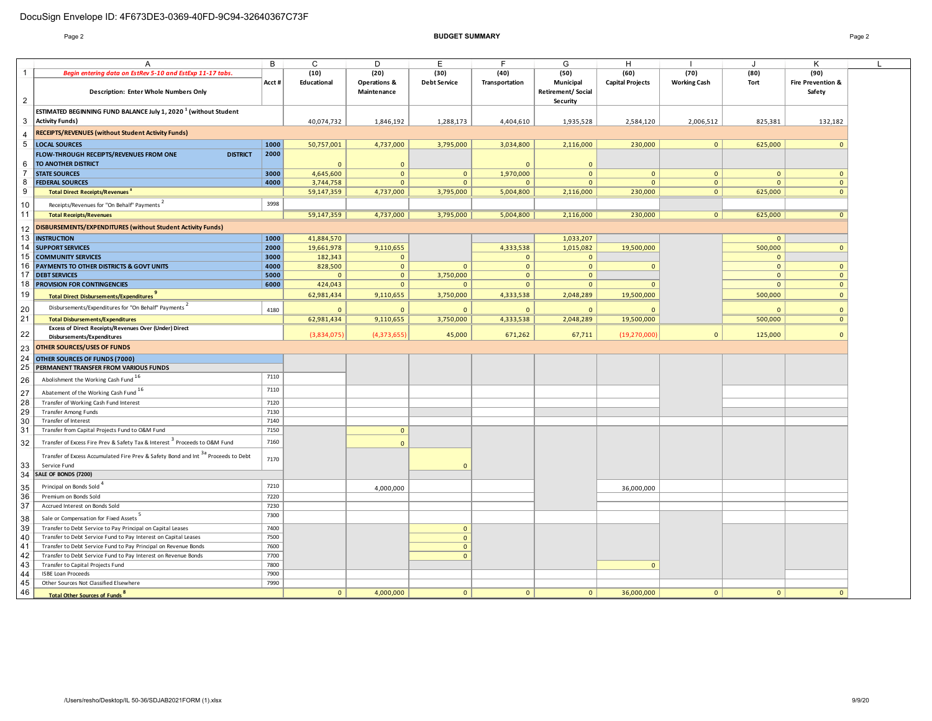#### Page 2 **BUDGET SUMMARY** Page 2

|                | $\mathsf{A}$                                                                           | B     | $\mathsf{C}$   | D                                      | E.                  | E              | G                                                 | H                       |                     | $\cdot$                 | ĸ                                      |  |
|----------------|----------------------------------------------------------------------------------------|-------|----------------|----------------------------------------|---------------------|----------------|---------------------------------------------------|-------------------------|---------------------|-------------------------|----------------------------------------|--|
| $\mathbf{1}$   |                                                                                        |       |                |                                        |                     |                |                                                   |                         |                     |                         |                                        |  |
|                | Begin entering data on EstRev 5-10 and EstExp 11-17 tabs.                              |       | (10)           | (20)                                   | (30)                | (40)           | (50)                                              | (60)                    | (70)                | (80)                    | (90)                                   |  |
| 2              | <b>Description: Enter Whole Numbers Only</b>                                           | Acct# | Educational    | <b>Operations &amp;</b><br>Maintenance | <b>Debt Service</b> | Transportation | Municipal<br><b>Retirement/Social</b><br>Security | <b>Capital Projects</b> | <b>Working Cash</b> | <b>Tort</b>             | <b>Fire Prevention &amp;</b><br>Safety |  |
|                | ESTIMATED BEGINNING FUND BALANCE July 1, 2020 <sup>1</sup> (without Student            |       |                |                                        |                     |                |                                                   |                         |                     |                         |                                        |  |
| 3              | <b>Activity Funds)</b>                                                                 |       | 40,074,732     | 1,846,192                              | 1,288,173           | 4,404,610      | 1,935,528                                         | 2,584,120               | 2,006,512           | 825,381                 | 132,182                                |  |
| $\overline{4}$ | <b>RECEIPTS/REVENUES (without Student Activity Funds)</b>                              |       |                |                                        |                     |                |                                                   |                         |                     |                         |                                        |  |
| 5              | <b>LOCAL SOURCES</b>                                                                   | 1000  | 50,757,001     | 4,737,000                              | 3,795,000           | 3,034,800      | 2,116,000                                         | 230,000                 | $\overline{0}$      | 625,000                 | $\mathbf{0}$                           |  |
|                | FLOW-THROUGH RECEIPTS/REVENUES FROM ONE<br><b>DISTRICT</b>                             | 2000  |                |                                        |                     |                |                                                   |                         |                     |                         |                                        |  |
| -6             | TO ANOTHER DISTRICT                                                                    |       |                | $\overline{0}$                         |                     | $\Omega$       | $\Omega$                                          |                         |                     |                         |                                        |  |
| $\overline{7}$ | <b>STATE SOURCES</b>                                                                   | 3000  | 4,645,600      | $\overline{0}$                         | $\mathbf{0}$        | 1,970,000      | $\mathbf{0}$                                      | $\mathbf{0}$            | $\mathbf{0}$        | $\overline{\mathbf{0}}$ | $\mathbf{0}$                           |  |
| 8              | <b>FEDERAL SOURCES</b>                                                                 | 4000  | 3,744,758      | $\mathbf{0}$                           | $\mathbf{0}$        | $\Omega$       | $\Omega$                                          | $\mathbf 0$             | $\overline{0}$      | $\Omega$                | $\mathbf{0}$                           |  |
| 9              | <b>Total Direct Receipts/Revenues</b>                                                  |       | 59,147,359     | 4,737,000                              | 3,795,000           | 5,004,800      | 2,116,000                                         | 230,000                 | $\overline{0}$      | 625,000                 | $\mathbf{0}$                           |  |
|                |                                                                                        |       |                |                                        |                     |                |                                                   |                         |                     |                         |                                        |  |
| 10             | Receipts/Revenues for "On Behalf" Payments                                             | 3998  |                |                                        |                     |                |                                                   |                         |                     |                         |                                        |  |
| 11             | <b>Total Receipts/Revenues</b>                                                         |       | 59,147,359     | 4,737,000                              | 3,795,000           | 5,004,800      | 2,116,000                                         | 230,000                 | $\overline{0}$      | 625,000                 | $\overline{0}$                         |  |
| 12             | DISBURSEMENTS/EXPENDITURES (without Student Activity Funds)                            |       |                |                                        |                     |                |                                                   |                         |                     |                         |                                        |  |
| 13             | <b>INSTRUCTION</b>                                                                     | 1000  | 41,884,570     |                                        |                     |                | 1,033,207                                         |                         |                     | $\overline{\mathbf{0}}$ |                                        |  |
| 14             | <b>SUPPORT SERVICES</b>                                                                | 2000  | 19,661,978     | 9,110,655                              |                     | 4,333,538      | 1,015,082                                         | 19,500,000              |                     | 500,000                 | $\Omega$                               |  |
| 15             | <b>COMMUNITY SERVICES</b>                                                              | 3000  | 182,343        | $\mathbf{0}$                           |                     | $\overline{0}$ | $\mathbf{0}$                                      |                         |                     | $\overline{0}$          |                                        |  |
| 16             | PAYMENTS TO OTHER DISTRICTS & GOVT UNITS                                               | 4000  | 828,500        | $\mathbf 0$                            | $\mathbf{0}$        | $\mathbf 0$    | $\mathbf{0}$                                      | $\mathbf 0$             |                     | $\circ$                 | $\mathbf{0}$                           |  |
| 17             | <b>DEBT SERVICES</b>                                                                   | 5000  | $\Omega$       | $\mathbf{0}$                           | 3,750,000           | $\overline{0}$ | $\Omega$                                          |                         |                     | $\Omega$                | $\mathbf{0}$                           |  |
| 18             | PROVISION FOR CONTINGENCIES                                                            | 6000  | 424,043        | $\mathbf{0}$                           | $\mathbf{0}$        | $\mathbf{0}$   | $\mathbf{0}$                                      | $\mathbf{0}$            |                     | $\overline{\mathbf{0}}$ | $\mathbf{0}$                           |  |
| 19             | <b>Total Direct Disbursements/Expenditures</b>                                         |       | 62,981,434     | 9,110,655                              | 3,750,000           | 4,333,538      | 2,048,289                                         | 19,500,000              |                     | 500,000                 | $\mathbf{0}$                           |  |
|                | Disbursements/Expenditures for "On Behalf" Payments                                    |       |                |                                        |                     |                |                                                   |                         |                     |                         |                                        |  |
| 20<br>21       |                                                                                        | 4180  | $\Omega$       | $\Omega$                               | $\Omega$            | $\Omega$       | $\Omega$                                          | $\Omega$<br>19,500,000  |                     | $\Omega$<br>500,000     | $\mathbf{0}$<br>$\overline{0}$         |  |
|                | <b>Total Disbursements/Expenditures</b>                                                |       | 62,981,434     | 9,110,655                              | 3,750,000           | 4,333,538      | 2,048,289                                         |                         |                     |                         |                                        |  |
| 22             | Excess of Direct Receipts/Revenues Over (Under) Direct<br>Disbursements/Expenditures   |       | (3,834,075)    | (4,373,655)                            | 45,000              | 671,262        | 67,711                                            | (19, 270, 000)          | $\overline{0}$      | 125,000                 | $\mathbf{0}$                           |  |
|                | OTHER SOURCES/USES OF FUNDS                                                            |       |                |                                        |                     |                |                                                   |                         |                     |                         |                                        |  |
| 23             |                                                                                        |       |                |                                        |                     |                |                                                   |                         |                     |                         |                                        |  |
| 24             | OTHER SOURCES OF FUNDS (7000)                                                          |       |                |                                        |                     |                |                                                   |                         |                     |                         |                                        |  |
| 25             | PERMANENT TRANSFER FROM VARIOUS FUNDS                                                  |       |                |                                        |                     |                |                                                   |                         |                     |                         |                                        |  |
| 26             | Abolishment the Working Cash Fund 16                                                   | 7110  |                |                                        |                     |                |                                                   |                         |                     |                         |                                        |  |
| 27             | Abatement of the Working Cash Fund 16                                                  | 7110  |                |                                        |                     |                |                                                   |                         |                     |                         |                                        |  |
| 28             | Transfer of Working Cash Fund Interest                                                 | 7120  |                |                                        |                     |                |                                                   |                         |                     |                         |                                        |  |
| 29             | Transfer Among Funds                                                                   | 7130  |                |                                        |                     |                |                                                   |                         |                     |                         |                                        |  |
| 30             | Transfer of Interest                                                                   | 7140  |                |                                        |                     |                |                                                   |                         |                     |                         |                                        |  |
| 31             | Transfer from Capital Projects Fund to O&M Fund                                        | 7150  |                | $\mathbf{0}$                           |                     |                |                                                   |                         |                     |                         |                                        |  |
| 32             | Transfer of Excess Fire Prev & Safety Tax & Interest <sup>3</sup> Proceeds to O&M Fund | 7160  |                | $\mathbf{0}$                           |                     |                |                                                   |                         |                     |                         |                                        |  |
|                | Transfer of Excess Accumulated Fire Prev & Safety Bond and Int 3a Proceeds to Debt     | 7170  |                |                                        |                     |                |                                                   |                         |                     |                         |                                        |  |
| 33             | Service Fund                                                                           |       |                |                                        | $\mathbf{0}$        |                |                                                   |                         |                     |                         |                                        |  |
| 34             | SALE OF BONDS (7200)                                                                   |       |                |                                        |                     |                |                                                   |                         |                     |                         |                                        |  |
| 35             | Principal on Bonds Sold                                                                | 7210  |                | 4,000,000                              |                     |                |                                                   | 36,000,000              |                     |                         |                                        |  |
| 36             | Premium on Bonds Sold                                                                  | 7220  |                |                                        |                     |                |                                                   |                         |                     |                         |                                        |  |
| 37             | Accrued Interest on Bonds Sold                                                         | 7230  |                |                                        |                     |                |                                                   |                         |                     |                         |                                        |  |
| 38             | Sale or Compensation for Fixed Assets                                                  | 7300  |                |                                        |                     |                |                                                   |                         |                     |                         |                                        |  |
| 39             | Transfer to Debt Service to Pay Principal on Capital Leases                            | 7400  |                |                                        | $\mathbf{0}$        |                |                                                   |                         |                     |                         |                                        |  |
| 40             | Transfer to Debt Service Fund to Pay Interest on Capital Leases                        | 7500  |                |                                        | $\mathbf{0}$        |                |                                                   |                         |                     |                         |                                        |  |
| 41             | Transfer to Debt Service Fund to Pay Principal on Revenue Bonds                        | 7600  |                |                                        | $\mathbf 0$         |                |                                                   |                         |                     |                         |                                        |  |
| 42             | Transfer to Debt Service Fund to Pay Interest on Revenue Bonds                         | 7700  |                |                                        | $\mathbf{0}$        |                |                                                   |                         |                     |                         |                                        |  |
| 43             | Transfer to Capital Projects Fund                                                      | 7800  |                |                                        |                     |                |                                                   | $\mathbf 0$             |                     |                         |                                        |  |
| 44             | <b>ISBE Loan Proceeds</b>                                                              | 7900  |                |                                        |                     |                |                                                   |                         |                     |                         |                                        |  |
| 45             | Other Sources Not Classified Elsewhere                                                 | 7990  |                |                                        |                     |                |                                                   |                         |                     |                         |                                        |  |
| 46             | Total Other Sources of Funds <sup>8</sup>                                              |       | $\overline{0}$ | 4,000,000                              | $\overline{0}$      | $\mathbf{0}$   | $\overline{0}$                                    | 36,000,000              | $\overline{0}$      | $\overline{0}$          | $\overline{0}$                         |  |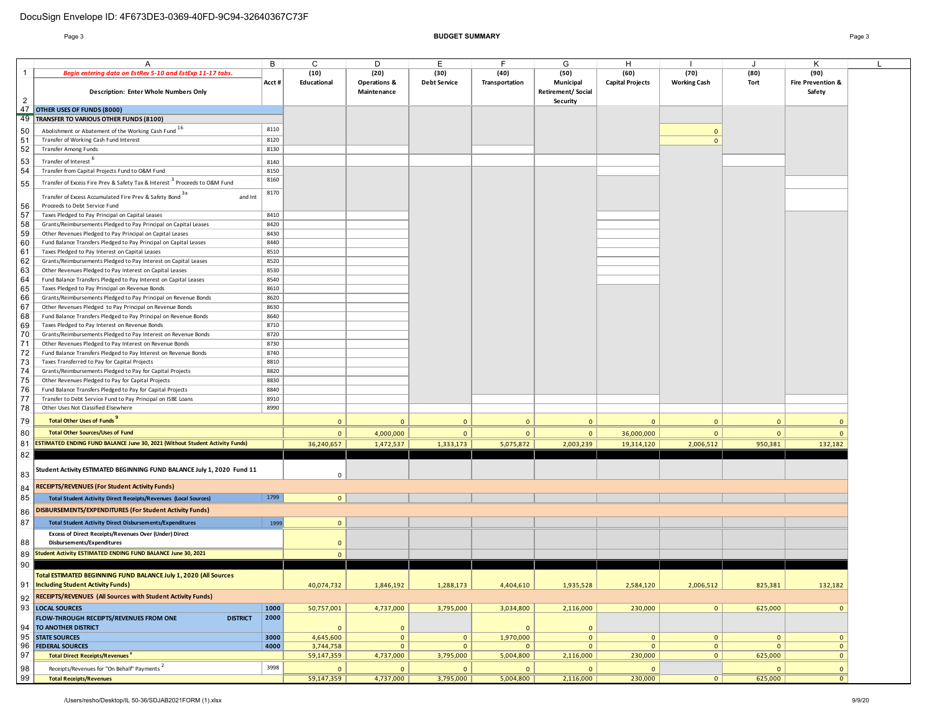#### Page 3 **BUDGET SUMMARY** Page 3

|                | Α                                                                                      | B     | C            | D                       | E                   | F              | G                        | H                       |                     | J            | Κ                            |  |
|----------------|----------------------------------------------------------------------------------------|-------|--------------|-------------------------|---------------------|----------------|--------------------------|-------------------------|---------------------|--------------|------------------------------|--|
| -1             | Begin entering data on EstRev 5-10 and EstExp 11-17 tabs.                              |       | (10)         | (20)                    | (30)                | (40)           | (50)                     | (60)                    | (70)                | (80)         | (90)                         |  |
|                |                                                                                        | Acct# | Educational  | <b>Operations &amp;</b> | <b>Debt Service</b> | Transportation | Municipal                | <b>Capital Projects</b> | <b>Working Cash</b> | Tort         | <b>Fire Prevention &amp;</b> |  |
|                | <b>Description: Enter Whole Numbers Only</b>                                           |       |              | Maintenance             |                     |                | <b>Retirement/Social</b> |                         |                     |              | Safety                       |  |
| $\overline{2}$ |                                                                                        |       |              |                         |                     |                | Security                 |                         |                     |              |                              |  |
| 47             | OTHER USES OF FUNDS (8000)                                                             |       |              |                         |                     |                |                          |                         |                     |              |                              |  |
|                |                                                                                        |       |              |                         |                     |                |                          |                         |                     |              |                              |  |
| 49             | TRANSFER TO VARIOUS OTHER FUNDS (8100)                                                 |       |              |                         |                     |                |                          |                         |                     |              |                              |  |
| 50             | Abolishment or Abatement of the Working Cash Fund 16                                   | 8110  |              |                         |                     |                |                          |                         | $\overline{0}$      |              |                              |  |
| 51             | Transfer of Working Cash Fund Interest                                                 | 8120  |              |                         |                     |                |                          |                         | $\mathbf{0}$        |              |                              |  |
| 52             | Transfer Among Funds                                                                   | 8130  |              |                         |                     |                |                          |                         |                     |              |                              |  |
| 53             | Transfer of Interest <sup>o</sup>                                                      |       |              |                         |                     |                |                          |                         |                     |              |                              |  |
| 54             |                                                                                        | 8140  |              |                         |                     |                |                          |                         |                     |              |                              |  |
|                | Transfer from Capital Projects Fund to O&M Fund                                        | 8150  |              |                         |                     |                |                          |                         |                     |              |                              |  |
| 55             | Transfer of Excess Fire Prev & Safety Tax & Interest <sup>3</sup> Proceeds to O&M Fund | 8160  |              |                         |                     |                |                          |                         |                     |              |                              |  |
|                |                                                                                        | 8170  |              |                         |                     |                |                          |                         |                     |              |                              |  |
|                | Transfer of Excess Accumulated Fire Prev & Safety Bond 3a<br>and Int                   |       |              |                         |                     |                |                          |                         |                     |              |                              |  |
| 56             | Proceeds to Debt Service Fund                                                          |       |              |                         |                     |                |                          |                         |                     |              |                              |  |
| 57             | Taxes Pledged to Pay Principal on Capital Leases                                       | 8410  |              |                         |                     |                |                          |                         |                     |              |                              |  |
| 58             | Grants/Reimbursements Pledged to Pay Principal on Capital Leases                       | 8420  |              |                         |                     |                |                          |                         |                     |              |                              |  |
| 59             | Other Revenues Pledged to Pay Principal on Capital Leases                              | 8430  |              |                         |                     |                |                          |                         |                     |              |                              |  |
| 60             | Fund Balance Transfers Pledged to Pay Principal on Capital Leases                      | 8440  |              |                         |                     |                |                          |                         |                     |              |                              |  |
| 61             | Taxes Pledged to Pay Interest on Capital Leases                                        | 8510  |              |                         |                     |                |                          |                         |                     |              |                              |  |
| 62             | Grants/Reimbursements Pledged to Pay Interest on Capital Leases                        | 8520  |              |                         |                     |                |                          |                         |                     |              |                              |  |
| 63             | Other Revenues Pledged to Pay Interest on Capital Leases                               | 8530  |              |                         |                     |                |                          |                         |                     |              |                              |  |
| 64             | Fund Balance Transfers Pledged to Pay Interest on Capital Leases                       | 8540  |              |                         |                     |                |                          |                         |                     |              |                              |  |
| 65             | Taxes Pledged to Pay Principal on Revenue Bonds                                        | 8610  |              |                         |                     |                |                          |                         |                     |              |                              |  |
| 66             | Grants/Reimbursements Pledged to Pay Principal on Revenue Bonds                        | 8620  |              |                         |                     |                |                          |                         |                     |              |                              |  |
| 67             | Other Revenues Pledged to Pay Principal on Revenue Bonds                               | 8630  |              |                         |                     |                |                          |                         |                     |              |                              |  |
| 68             | Fund Balance Transfers Pledged to Pay Principal on Revenue Bonds                       | 8640  |              |                         |                     |                |                          |                         |                     |              |                              |  |
| 69             | Taxes Pledged to Pay Interest on Revenue Bonds                                         | 8710  |              |                         |                     |                |                          |                         |                     |              |                              |  |
| 70             | Grants/Reimbursements Pledged to Pay Interest on Revenue Bonds                         | 8720  |              |                         |                     |                |                          |                         |                     |              |                              |  |
| 71             | Other Revenues Pledged to Pay Interest on Revenue Bonds                                | 8730  |              |                         |                     |                |                          |                         |                     |              |                              |  |
| 72             |                                                                                        | 8740  |              |                         |                     |                |                          |                         |                     |              |                              |  |
|                | Fund Balance Transfers Pledged to Pay Interest on Revenue Bonds                        |       |              |                         |                     |                |                          |                         |                     |              |                              |  |
| 73             | Taxes Transferred to Pay for Capital Projects                                          | 8810  |              |                         |                     |                |                          |                         |                     |              |                              |  |
| 74             | Grants/Reimbursements Pledged to Pay for Capital Projects                              | 8820  |              |                         |                     |                |                          |                         |                     |              |                              |  |
| 75             | Other Revenues Pledged to Pay for Capital Projects                                     | 8830  |              |                         |                     |                |                          |                         |                     |              |                              |  |
| 76             | Fund Balance Transfers Pledged to Pay for Capital Projects                             | 8840  |              |                         |                     |                |                          |                         |                     |              |                              |  |
| 77             | Transfer to Debt Service Fund to Pay Principal on ISBE Loans                           | 8910  |              |                         |                     |                |                          |                         |                     |              |                              |  |
| 78             | Other Uses Not Classified Elsewhere                                                    | 8990  |              |                         |                     |                |                          |                         |                     |              |                              |  |
| 79             | <b>Total Other Uses of Funds</b>                                                       |       | $\mathbf{0}$ | $\Omega$                | $\mathbf{0}$        | $\mathbf{0}$   | $\overline{0}$           | $\mathbf{0}$            | $\mathbf{0}$        | $\mathbf{0}$ | $\Omega$                     |  |
|                |                                                                                        |       |              |                         |                     |                |                          |                         |                     |              |                              |  |
| 80             | <b>Total Other Sources/Uses of Fund</b>                                                |       | $\mathbf{0}$ | 4,000,000               | $\mathbf{0}$        | $\mathbf{0}$   | $\mathbf 0$              | 36,000,000              | $\mathbf{0}$        | $\mathbf{0}$ | $\Omega$                     |  |
| 81             | <b>STIMATED ENDING FUND BALANCE June 30, 2021 (Without Student Activity Funds)</b>     |       | 36,240,657   | 1,472,537               | 1,333,173           | 5,075,872      | 2,003,239                | 19,314,120              | 2,006,512           | 950,381      | 132,182                      |  |
| 82             |                                                                                        |       |              |                         |                     |                |                          |                         |                     |              |                              |  |
|                |                                                                                        |       |              |                         |                     |                |                          |                         |                     |              |                              |  |
| 83             | Student Activity ESTIMATED BEGINNING FUND BALANCE July 1, 2020 Fund 11                 |       | $\mathbf 0$  |                         |                     |                |                          |                         |                     |              |                              |  |
|                |                                                                                        |       |              |                         |                     |                |                          |                         |                     |              |                              |  |
| 84             | <b>RECEIPTS/REVENUES (For Student Activity Funds)</b>                                  |       |              |                         |                     |                |                          |                         |                     |              |                              |  |
| 85             | <b>Total Student Activity Direct Receipts/Revenues (Local Sources)</b>                 | 1799  | 0            |                         |                     |                |                          |                         |                     |              |                              |  |
|                | DISBURSEMENTS/EXPENDITURES (For Student Activity Funds)                                |       |              |                         |                     |                |                          |                         |                     |              |                              |  |
| 86             |                                                                                        |       |              |                         |                     |                |                          |                         |                     |              |                              |  |
| 87             | <b>Total Student Activity Direct Disbursements/Expenditures</b>                        | 1999  | 0            |                         |                     |                |                          |                         |                     |              |                              |  |
|                | Excess of Direct Receipts/Revenues Over (Under) Direct                                 |       |              |                         |                     |                |                          |                         |                     |              |                              |  |
| 88             | Disbursements/Expenditures                                                             |       | $\mathbf{0}$ |                         |                     |                |                          |                         |                     |              |                              |  |
| 89             | tudent Activity ESTIMATED ENDING FUND BALANCE June 30, 2021                            |       | $\mathbf{0}$ |                         |                     |                |                          |                         |                     |              |                              |  |
|                |                                                                                        |       |              |                         |                     |                |                          |                         |                     |              |                              |  |
| 90             |                                                                                        |       |              |                         |                     |                |                          |                         |                     |              |                              |  |
|                | Total ESTIMATED BEGINNING FUND BALANCE July 1, 2020 (All Sources                       |       |              |                         |                     |                |                          |                         |                     |              |                              |  |
|                | 91   Including Student Activity Funds)                                                 |       | 40,074,732   | 1,846,192               | 1,288,173           | 4,404,610      | 1,935,528                | 2,584,120               | 2,006,512           | 825,381      | 132,182                      |  |
|                | 92 RECEIPTS/REVENUES (All Sources with Student Activity Funds)                         |       |              |                         |                     |                |                          |                         |                     |              |                              |  |
|                | 93 LOCAL SOURCES                                                                       | 1000  | 50,757,001   | 4,737,000               | 3,795,000           |                | 2,116,000                | 230,000                 | $\mathbf{0}$        | 625,000      | $\mathbf{0}$                 |  |
|                |                                                                                        |       |              |                         |                     | 3,034,800      |                          |                         |                     |              |                              |  |
|                | FLOW-THROUGH RECEIPTS/REVENUES FROM ONE<br><b>DISTRICT</b>                             | 2000  |              |                         |                     |                |                          |                         |                     |              |                              |  |
| 94             | TO ANOTHER DISTRICT                                                                    |       | $\mathbf{0}$ | $\mathbf{0}$            |                     | $\mathbf{0}$   | $\mathbf{0}$             |                         |                     |              |                              |  |
| 95             | <b>STATE SOURCES</b>                                                                   | 3000  | 4,645,600    | $\mathbf 0$             | $\mathbf{0}$        | 1,970,000      | $\mathbf 0$              | $\mathbf{0}$            | $\mathbf{0}$        | $\mathbf{0}$ | $\mathbf{0}$                 |  |
| 96             | <b>FEDERAL SOURCES</b>                                                                 | 4000  | 3,744,758    | $\mathbf 0$             | $\mathbf{0}$        | $\overline{0}$ | $\mathbf 0$              | $\mathbf{0}$            | $\overline{0}$      | $\mathbf{0}$ | $\mathbf{0}$                 |  |
| 97             | <b>Total Direct Receipts/Revenues<sup>8</sup></b>                                      |       | 59,147,359   | 4,737,000               | 3,795,000           | 5,004,800      | 2,116,000                | 230,000                 | $\overline{0}$      | 625,000      | $\mathbf{0}$                 |  |
| 98             | Receipts/Revenues for "On Behalf" Payments <sup>2</sup>                                | 3998  | $\mathbf{0}$ | $\mathbf{0}$            | $\Omega$            | $\mathbf{0}$   | $\mathbf{0}$             | $\mathbf{0}$            |                     | $\Omega$     | $\mathbf 0$                  |  |
|                |                                                                                        |       |              |                         |                     |                |                          |                         |                     |              |                              |  |
| 99             | <b>Total Receipts/Revenues</b>                                                         |       | 59,147,359   | 4,737,000               | 3,795,000           | 5,004,800      | 2,116,000                | 230,000                 | $\mathbf{0}$        | 625,000      | $\overline{0}$               |  |

Ξ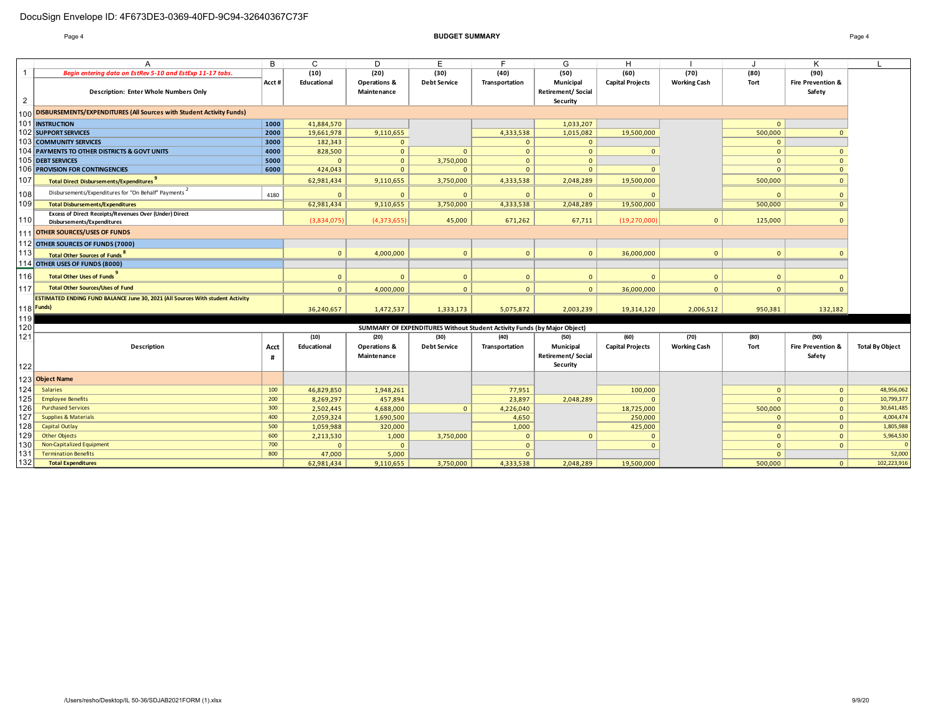#### Page 4 **BUDGET SUMMARY** Page 4

|                | A                                                                                    | B     | $\mathsf{C}$   | D                       | E                   | E                                                                        | G                        | H                       |                     |                | K                            |                        |
|----------------|--------------------------------------------------------------------------------------|-------|----------------|-------------------------|---------------------|--------------------------------------------------------------------------|--------------------------|-------------------------|---------------------|----------------|------------------------------|------------------------|
| 1              | Begin entering data on EstRev 5-10 and EstExp 11-17 tabs.                            |       | (10)           | (20)                    | (30)                | (40)                                                                     | (50)                     | (60)                    | (70)                | (80)           | (90)                         |                        |
|                |                                                                                      | Acct# | Educational    | <b>Operations &amp;</b> | <b>Debt Service</b> | Transportation                                                           | Municipal                | <b>Capital Projects</b> | <b>Working Cash</b> | Tort           | <b>Fire Prevention &amp;</b> |                        |
|                | <b>Description: Enter Whole Numbers Only</b>                                         |       |                | Maintenance             |                     |                                                                          | <b>Retirement/Social</b> |                         |                     |                | Safety                       |                        |
| $\overline{2}$ |                                                                                      |       |                |                         |                     |                                                                          | Security                 |                         |                     |                |                              |                        |
|                | 100 DISBURSEMENTS/EXPENDITURES (All Sources with Student Activity Funds)             |       |                |                         |                     |                                                                          |                          |                         |                     |                |                              |                        |
|                | 101 INSTRUCTION                                                                      | 1000  | 41,884,570     |                         |                     |                                                                          | 1,033,207                |                         |                     | $\overline{0}$ |                              |                        |
|                | 102 SUPPORT SERVICES                                                                 | 2000  | 19,661,978     | 9,110,655               |                     | 4,333,538                                                                | 1,015,082                | 19,500,000              |                     | 500,000        | $\mathbf{0}$                 |                        |
|                | <b>103 COMMUNITY SERVICES</b>                                                        | 3000  | 182,343        | $\mathbf{0}$            |                     | $\mathbf{0}$                                                             | $\mathbf{0}$             |                         |                     | $\mathbf{0}$   |                              |                        |
|                | 104 PAYMENTS TO OTHER DISTRICTS & GOVT UNITS                                         | 4000  | 828,500        | $\overline{0}$          | $\mathbf{0}$        | $\overline{0}$                                                           | $\mathbf{0}$             | $\Omega$                |                     | $\mathbf{0}$   | $\overline{0}$               |                        |
|                | 105 DEBT SERVICES                                                                    | 5000  | $\mathbf{0}$   | $\overline{0}$          | 3,750,000           | $\overline{0}$                                                           | $\mathbf{0}$             |                         |                     | $\mathbf{0}$   | $\overline{0}$               |                        |
|                | <b>106 PROVISION FOR CONTINGENCIES</b>                                               | 6000  | 424,043        | $\overline{0}$          | $\Omega$            | $\mathbf{0}$                                                             | $\mathbf{0}$             | $\Omega$                |                     | $\mathbf{0}$   | $\mathbf{0}$                 |                        |
| 107            | <b>Total Direct Disbursements/Expenditures</b>                                       |       | 62,981,434     | 9,110,655               | 3,750,000           | 4,333,538                                                                | 2,048,289                | 19,500,000              |                     | 500,000        | $\Omega$                     |                        |
| 108            | Disbursements/Expenditures for "On Behalf" Payments                                  | 4180  | $\mathbf{0}$   | $\Omega$                | $\Omega$            | $\Omega$                                                                 | $\Omega$                 |                         |                     | $\mathbf{0}$   | $\Omega$                     |                        |
| 109            | <b>Total Disbursements/Expenditures</b>                                              |       | 62,981,434     | 9,110,655               | 3,750,000           | 4,333,538                                                                | 2,048,289                | 19,500,000              |                     | 500,000        | $\Omega$                     |                        |
|                | Excess of Direct Receipts/Revenues Over (Under) Direct                               |       |                |                         |                     |                                                                          |                          |                         |                     |                |                              |                        |
| 110            | Disbursements/Expenditures                                                           |       | (3,834,075)    | (4,373,655)             | 45,000              | 671,262                                                                  | 67,711                   | (19,270,000)            | $\mathbf{0}$        | 125,000        | $\Omega$                     |                        |
|                | 111 OTHER SOURCES/USES OF FUNDS                                                      |       |                |                         |                     |                                                                          |                          |                         |                     |                |                              |                        |
|                | 112 OTHER SOURCES OF FUNDS (7000)                                                    |       |                |                         |                     |                                                                          |                          |                         |                     |                |                              |                        |
| 113            | Total Other Sources of Funds 8                                                       |       | $\Omega$       | 4,000,000               | $\Omega$            | $\Omega$                                                                 | $\Omega$                 | 36,000,000              | $\Omega$            | $\Omega$       |                              |                        |
|                | 114 OTHER USES OF FUNDS (8000)                                                       |       |                |                         |                     |                                                                          |                          |                         |                     |                |                              |                        |
| 116            | Total Other Uses of Funds <sup>9</sup>                                               |       | $\mathbf{0}$   | $\Omega$                | $\mathbf{0}$        | $\mathbf{0}$                                                             | $\mathbf{0}$             | $\Omega$                | $\Omega$            | $\mathbf{0}$   |                              |                        |
| 117            | <b>Total Other Sources/Uses of Fund</b>                                              |       | $\overline{0}$ | 4,000,000               | $\Omega$            | $\mathbf{0}$                                                             | $\mathbf{0}$             | 36,000,000              | $\Omega$            | $\mathbf{0}$   | $\Omega$                     |                        |
|                | <b>STIMATED ENDING FUND BALANCE June 30, 2021 (All Sources With student Activity</b> |       |                |                         |                     |                                                                          |                          |                         |                     |                |                              |                        |
|                | 118 Funds)                                                                           |       | 36,240,657     | 1,472,537               | 1,333,173           | 5,075,872                                                                | 2,003,239                | 19,314,120              | 2,006,512           | 950,381        | 132,182                      |                        |
| 119            |                                                                                      |       |                |                         |                     |                                                                          |                          |                         |                     |                |                              |                        |
| 120            |                                                                                      |       |                |                         |                     | SUMMARY OF EXPENDITURES Without Student Activity Funds (by Major Object) |                          |                         |                     |                |                              |                        |
| 121            |                                                                                      |       | (10)           | (20)                    | (30)                | (40)                                                                     | (50)                     | (60)                    | (70)                | (80)           | (90)                         |                        |
|                | Description                                                                          | Acct  | Educational    | <b>Operations &amp;</b> | <b>Debt Service</b> | Transportation                                                           | Municipal                | <b>Capital Projects</b> | <b>Working Cash</b> | Tort           | <b>Fire Prevention &amp;</b> | <b>Total By Object</b> |
|                |                                                                                      | #     |                | Maintenance             |                     |                                                                          | <b>Retirement/Social</b> |                         |                     |                | Safety                       |                        |
| 122            |                                                                                      |       |                |                         |                     |                                                                          | Security                 |                         |                     |                |                              |                        |
|                | 123 Object Name                                                                      |       |                |                         |                     |                                                                          |                          |                         |                     |                |                              |                        |
| 124            | Salaries                                                                             | 100   | 46,829,850     | 1,948,261               |                     | 77,951                                                                   |                          | 100,000                 |                     | $\mathbf{0}$   | $\overline{0}$               | 48,956,062             |
| 125            | <b>Employee Benefits</b>                                                             | 200   | 8,269,297      | 457,894                 |                     | 23,897                                                                   | 2,048,289                | $\Omega$                |                     | $\Omega$       | $\overline{0}$               | 10,799,377             |
| 126            | <b>Purchased Services</b>                                                            | 300   | 2,502,445      | 4,688,000               | $\mathbf{0}$        | 4,226,040                                                                |                          | 18,725,000              |                     | 500,000        | $\overline{0}$               | 30,641,485             |
| 127            | <b>Supplies &amp; Materials</b>                                                      | 400   | 2,059,324      | 1,690,500               |                     | 4,650                                                                    |                          | 250,000                 |                     | $\mathbf{0}$   | $\mathbf{0}$                 | 4,004,474              |
| 128            | <b>Capital Outlay</b>                                                                | 500   | 1,059,988      | 320,000                 |                     | 1,000                                                                    |                          | 425,000                 |                     | $\mathbf{0}$   | $\mathbf{0}$                 | 1,805,988              |
| 129            | <b>Other Objects</b>                                                                 | 600   | 2,213,530      | 1,000                   | 3,750,000           | $\mathbf{0}$                                                             | $\mathbf{0}$             | $\Omega$                |                     | $\mathbf{0}$   | $\mathbf{0}$                 | 5,964,530              |
| 130            | Non-Capitalized Equipment                                                            | 700   | $\mathbf{0}$   | $\mathbf{0}$            |                     | $\mathbf{0}$                                                             |                          | $\Omega$                |                     | $\mathbf{0}$   | $\mathbf{0}$                 |                        |
| 131            | <b>Termination Benefits</b>                                                          | 800   | 47,000         | 5,000                   |                     | $\Omega$                                                                 |                          |                         |                     | $\Omega$       |                              | 52,000                 |
| 132            | <b>Total Expenditures</b>                                                            |       | 62,981,434     | 9,110,655               | 3,750,000           | 4,333,538                                                                | 2,048,289                | 19,500,000              |                     | 500,000        | $\Omega$                     | 102,223,916            |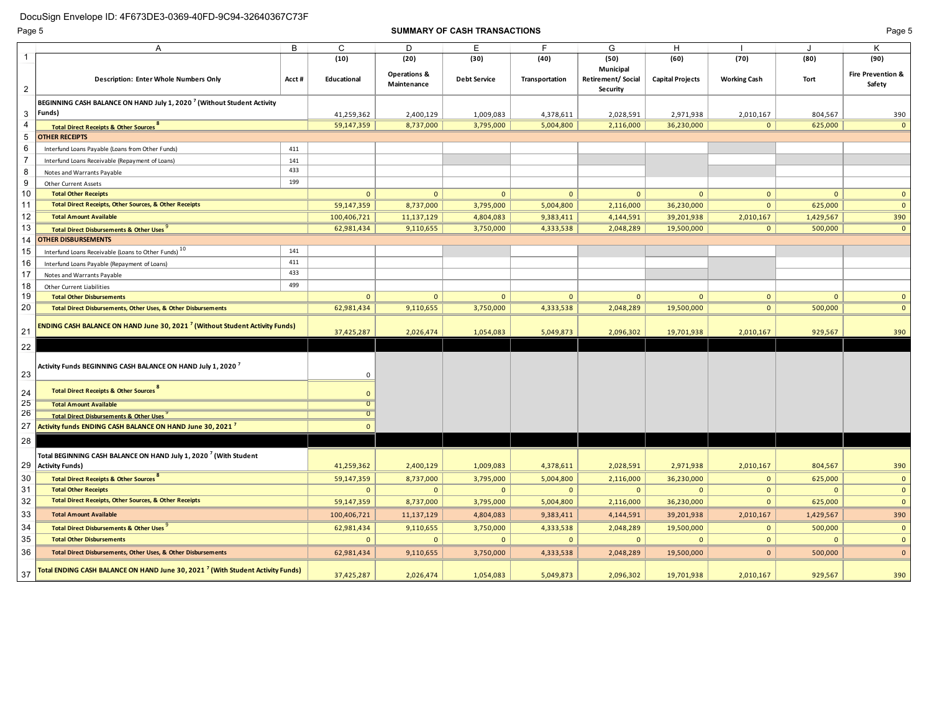# DocuSign Envelope ID: 4F673DE3-0369-40FD-9C94-32640367C73F

# Page 5 **SUMMARY OF CASH TRANSACTIONS** Page 5

|                | A                                                                                             | В          | С                          | D                                      | Е                   | F              | G                                                 | H                       |                     | J            | ĸ                                      |
|----------------|-----------------------------------------------------------------------------------------------|------------|----------------------------|----------------------------------------|---------------------|----------------|---------------------------------------------------|-------------------------|---------------------|--------------|----------------------------------------|
| $\overline{1}$ |                                                                                               |            | (10)                       | (20)                                   | (30)                | (40)           | (50)                                              | (60)                    | (70)                | (80)         | (90)                                   |
| $\overline{2}$ | Description: Enter Whole Numbers Only                                                         | Acct#      | Educational                | <b>Operations &amp;</b><br>Maintenance | <b>Debt Service</b> | Transportation | Municipal<br><b>Retirement/Social</b><br>Security | <b>Capital Projects</b> | <b>Working Cash</b> | Tort         | <b>Fire Prevention &amp;</b><br>Safety |
| 3              | BEGINNING CASH BALANCE ON HAND July 1, 2020 <sup>7</sup> (Without Student Activity<br>Funds)  |            | 41,259,362                 | 2,400,129                              | 1,009,083           | 4,378,611      | 2,028,591                                         | 2,971,938               | 2,010,167           | 804,567      | 390                                    |
| $\overline{4}$ | <b>Total Direct Receipts &amp; Other Sources 8</b>                                            |            | 59,147,359                 | 8,737,000                              | 3,795,000           | 5,004,800      | 2,116,000                                         | 36,230,000              | $\overline{0}$      | 625,000      | $\mathbf{0}$                           |
| 5              | <b>OTHER RECEIPTS</b>                                                                         |            |                            |                                        |                     |                |                                                   |                         |                     |              |                                        |
| 6              | Interfund Loans Payable (Loans from Other Funds)                                              | 411        |                            |                                        |                     |                |                                                   |                         |                     |              |                                        |
| $\overline{7}$ | Interfund Loans Receivable (Repayment of Loans)                                               | 141        |                            |                                        |                     |                |                                                   |                         |                     |              |                                        |
| 8              | Notes and Warrants Payable                                                                    | 433        |                            |                                        |                     |                |                                                   |                         |                     |              |                                        |
| 9              | Other Current Assets                                                                          | 199        |                            |                                        |                     |                |                                                   |                         |                     |              |                                        |
| 10             | <b>Total Other Receipts</b>                                                                   |            | $\mathbf{0}$               | $\mathbf{0}$                           | $\mathbf{0}$        | $\mathbf{0}$   | $\mathbf{0}$                                      | $\overline{0}$          | $\mathbf{0}$        | $\mathbf{0}$ | $\mathbf{0}$                           |
| 11             | <b>Total Direct Receipts, Other Sources, &amp; Other Receipts</b>                             |            | 59,147,359                 | 8,737,000                              | 3,795,000           | 5,004,800      | 2,116,000                                         | 36,230,000              | $\mathbf{0}$        | 625,000      | $\overline{0}$                         |
| 12             | <b>Total Amount Available</b>                                                                 |            | 100,406,721                | 11,137,129                             | 4,804,083           | 9,383,411      | 4,144,591                                         | 39,201,938              | 2,010,167           | 1,429,567    | 390                                    |
| 13             |                                                                                               |            | 62,981,434                 | 9,110,655                              | 3,750,000           | 4,333,538      | 2,048,289                                         | 19,500,000              | 0                   | 500,000      | 0 <sup>1</sup>                         |
| 14             | Total Direct Disbursements & Other Uses<br><b>OTHER DISBURSEMENTS</b>                         |            |                            |                                        |                     |                |                                                   |                         |                     |              |                                        |
|                |                                                                                               | 141        |                            |                                        |                     |                |                                                   |                         |                     |              |                                        |
| 15             | Interfund Loans Receivable (Loans to Other Funds) 10                                          |            |                            |                                        |                     |                |                                                   |                         |                     |              |                                        |
| 16             | Interfund Loans Payable (Repayment of Loans)                                                  | 411<br>433 |                            |                                        |                     |                |                                                   |                         |                     |              |                                        |
| 17             | Notes and Warrants Payable                                                                    |            |                            |                                        |                     |                |                                                   |                         |                     |              |                                        |
| 18             | Other Current Liabilities                                                                     | 499        |                            |                                        |                     |                |                                                   |                         |                     |              |                                        |
| 19             | <b>Total Other Disbursements</b>                                                              |            | $\mathbf{0}$               | $\mathbf{0}$                           | $\Omega$            | $\mathbf{0}$   | $\mathbf{0}$                                      | $\mathbf{0}$            | $\mathbf{0}$        | $\mathbf{0}$ | $\mathbf 0$                            |
| 20             | Total Direct Disbursements, Other Uses, & Other Disbursements                                 |            | 62,981,434                 | 9,110,655                              | 3,750,000           | 4,333,538      | 2,048,289                                         | 19,500,000              | 0                   | 500,000      | $\mathbf{0}$                           |
| 21             | <b>ENDING CASH BALANCE ON HAND June 30, 2021<sup>7</sup> (Without Student Activity Funds)</b> |            | 37,425,287                 | 2,026,474                              | 1,054,083           | 5,049,873      | 2,096,302                                         | 19,701,938              | 2,010,167           | 929,567      | 390                                    |
| 22             |                                                                                               |            |                            |                                        |                     |                |                                                   |                         |                     |              |                                        |
| 23             | Activity Funds BEGINNING CASH BALANCE ON HAND July 1, 2020 <sup>7</sup>                       |            | $\mathsf 0$                |                                        |                     |                |                                                   |                         |                     |              |                                        |
| 24<br>25       | <b>Total Direct Receipts &amp; Other Sources<sup>8</sup></b>                                  |            | $\Omega$<br>$\overline{0}$ |                                        |                     |                |                                                   |                         |                     |              |                                        |
| 26             | <b>Total Amount Available</b>                                                                 |            | $\overline{0}$             |                                        |                     |                |                                                   |                         |                     |              |                                        |
| 27             | Total Direct Disbursements & Other Uses                                                       |            |                            |                                        |                     |                |                                                   |                         |                     |              |                                        |
|                | Activity funds ENDING CASH BALANCE ON HAND June 30, 2021                                      |            | $\mathbf{0}$               |                                        |                     |                |                                                   |                         |                     |              |                                        |
| 28             |                                                                                               |            |                            |                                        |                     |                |                                                   |                         |                     |              |                                        |
|                | Total BEGINNING CASH BALANCE ON HAND July 1, 2020 <sup>7</sup> (With Student                  |            |                            |                                        |                     |                |                                                   |                         |                     |              |                                        |
| 29             | <b>Activity Funds)</b>                                                                        |            | 41,259,362                 | 2,400,129                              | 1,009,083           | 4,378,611      | 2,028,591                                         | 2,971,938               | 2,010,167           | 804,567      | 390                                    |
| 30             | <b>Total Direct Receipts &amp; Other Sources<sup>8</sup></b>                                  |            | 59,147,359                 | 8,737,000                              | 3,795,000           | 5,004,800      | 2,116,000                                         | 36,230,000              | $\mathbf{0}$        | 625,000      | $\mathbf 0$                            |
| 31             | <b>Total Other Receipts</b>                                                                   |            | $\mathbf{0}$               | $\mathbf{0}$                           | $\mathbf{0}$        | $\mathbf{0}$   | $\mathbf{0}$                                      | $\mathbf{0}$            | $\mathbf{0}$        | $\mathbf{0}$ | $\mathbf 0$                            |
| 32             | <b>Total Direct Receipts, Other Sources, &amp; Other Receipts</b>                             |            | 59,147,359                 | 8,737,000                              | 3,795,000           | 5,004,800      | 2,116,000                                         | 36,230,000              | $\mathbf{0}$        | 625,000      | $\mathbf{0}$                           |
| 33             | <b>Total Amount Available</b>                                                                 |            | 100,406,721                | 11,137,129                             | 4,804,083           | 9,383,411      | 4,144,591                                         | 39,201,938              | 2,010,167           | 1,429,567    | 390                                    |
| 34             | <b>Total Direct Disbursements &amp; Other Uses</b>                                            |            | 62,981,434                 | 9,110,655                              | 3,750,000           | 4,333,538      | 2,048,289                                         | 19,500,000              | $\mathbf{0}$        | 500,000      | $\mathbf{0}$                           |
| 35             | <b>Total Other Disbursements</b>                                                              |            | $\mathbf{0}$               | $\mathbf{0}$                           | $\Omega$            | $\mathbf{0}$   | $\mathbf{0}$                                      | $\mathbf{0}$            | $\mathbf{0}$        | $\Omega$     | $\mathbf{0}$                           |
| 36             | Total Direct Disbursements, Other Uses, & Other Disbursements                                 |            | 62,981,434                 | 9,110,655                              | 3,750,000           | 4,333,538      | 2,048,289                                         | 19,500,000              | $\mathbf{0}$        | 500,000      | $\mathbf{0}$                           |
| 37             | Total ENDING CASH BALANCE ON HAND June 30, 2021 <sup>7</sup> (With Student Activity Funds)    |            | 37,425,287                 | 2,026,474                              | 1,054,083           | 5,049,873      | 2,096,302                                         | 19,701,938              | 2,010,167           | 929,567      | 390                                    |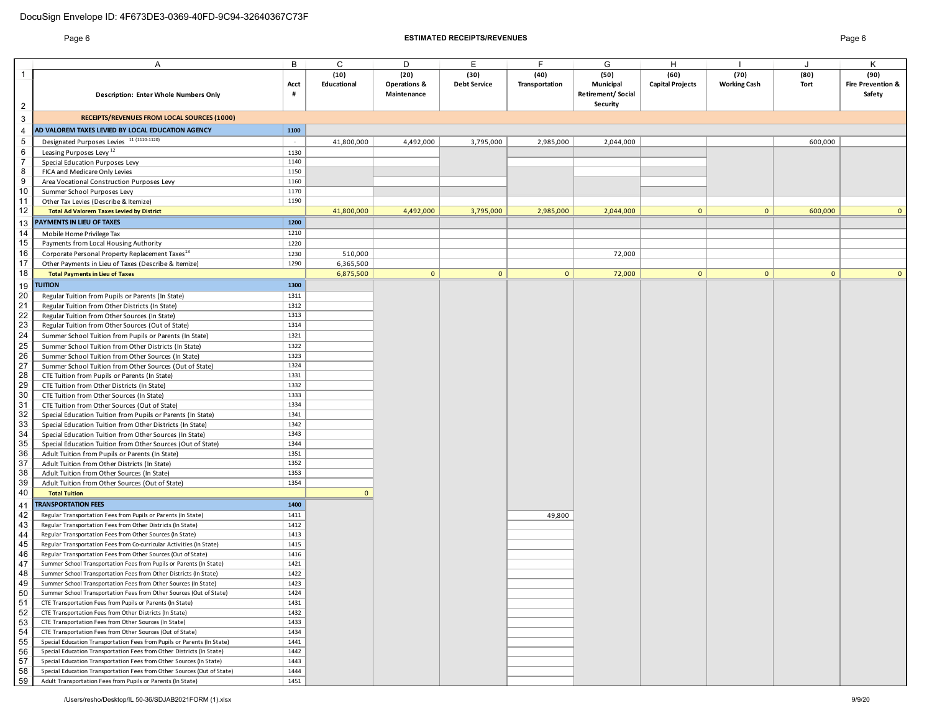### Page 6 **ESTIMATED RECEIPTS/REVENUES** Page 6

|                       | A                                                                                                                                        | B            | C                   | D                               | Ε                           | F.                     | G                             | H                               |                             | J            | Κ                                    |
|-----------------------|------------------------------------------------------------------------------------------------------------------------------------------|--------------|---------------------|---------------------------------|-----------------------------|------------------------|-------------------------------|---------------------------------|-----------------------------|--------------|--------------------------------------|
| $\mathbf{1}$          |                                                                                                                                          | Acct         | (10)<br>Educational | (20)<br><b>Operations &amp;</b> | (30)<br><b>Debt Service</b> | (40)<br>Transportation | (50)<br>Municipal             | (60)<br><b>Capital Projects</b> | (70)<br><b>Working Cash</b> | (80)<br>Tort | (90)<br><b>Fire Prevention &amp;</b> |
| $\overline{2}$        | <b>Description: Enter Whole Numbers Only</b>                                                                                             | #            |                     | Maintenance                     |                             |                        | Retirement/Social<br>Security |                                 |                             |              | Safety                               |
| 3                     | RECEIPTS/REVENUES FROM LOCAL SOURCES (1000)                                                                                              |              |                     |                                 |                             |                        |                               |                                 |                             |              |                                      |
| $\overline{4}$        | AD VALOREM TAXES LEVIED BY LOCAL EDUCATION AGENCY                                                                                        | 1100         |                     |                                 |                             |                        |                               |                                 |                             |              |                                      |
|                       | Designated Purposes Levies 11 (1110-1120)                                                                                                | $\sim$       |                     |                                 |                             |                        |                               |                                 |                             |              |                                      |
| $\sqrt{5}$<br>$\,6\,$ |                                                                                                                                          |              | 41,800,000          | 4,492,000                       | 3,795,000                   | 2,985,000              | 2,044,000                     |                                 |                             | 600,000      |                                      |
| $\overline{7}$        | Leasing Purposes Levy <sup>12</sup>                                                                                                      | 1130<br>1140 |                     |                                 |                             |                        |                               |                                 |                             |              |                                      |
| 8                     | Special Education Purposes Levy<br>FICA and Medicare Only Levies                                                                         | 1150         |                     |                                 |                             |                        |                               |                                 |                             |              |                                      |
| 9                     | Area Vocational Construction Purposes Levy                                                                                               | 1160         |                     |                                 |                             |                        |                               |                                 |                             |              |                                      |
| 10                    | Summer School Purposes Levy                                                                                                              | 1170         |                     |                                 |                             |                        |                               |                                 |                             |              |                                      |
| 11                    | Other Tax Levies (Describe & Itemize)                                                                                                    | 1190         |                     |                                 |                             |                        |                               |                                 |                             |              |                                      |
| 12                    | <b>Total Ad Valorem Taxes Levied by District</b>                                                                                         |              | 41,800,000          | 4,492,000                       | 3,795,000                   | 2,985,000              | 2,044,000                     | $\mathbf{0}$                    | $\overline{0}$              | 600,000      |                                      |
| 13                    | PAYMENTS IN LIEU OF TAXES                                                                                                                | 1200         |                     |                                 |                             |                        |                               |                                 |                             |              |                                      |
| 14                    | Mobile Home Privilege Tax                                                                                                                | 1210         |                     |                                 |                             |                        |                               |                                 |                             |              |                                      |
| 15                    | Payments from Local Housing Authority                                                                                                    | 1220         |                     |                                 |                             |                        |                               |                                 |                             |              |                                      |
| 16                    | Corporate Personal Property Replacement Taxes <sup>13</sup>                                                                              | 1230         | 510,000             |                                 |                             |                        | 72,000                        |                                 |                             |              |                                      |
| 17                    | Other Payments in Lieu of Taxes (Describe & Itemize)                                                                                     | 1290         | 6,365,500           |                                 |                             |                        |                               |                                 |                             |              |                                      |
| 18                    | <b>Total Payments in Lieu of Taxes</b>                                                                                                   |              | 6,875,500           | $\mathbf{0}$                    | $\mathbf{0}$                | $\mathbf{0}$           | 72,000                        | $\mathbf{0}$                    | $\mathbf{0}$                | $\mathbf{0}$ |                                      |
|                       | <b>TUITION</b>                                                                                                                           | 1300         |                     |                                 |                             |                        |                               |                                 |                             |              |                                      |
| 19<br>20              |                                                                                                                                          | 1311         |                     |                                 |                             |                        |                               |                                 |                             |              |                                      |
| 21                    | Regular Tuition from Pupils or Parents (In State)                                                                                        | 1312         |                     |                                 |                             |                        |                               |                                 |                             |              |                                      |
| 22                    | Regular Tuition from Other Districts (In State)<br>Regular Tuition from Other Sources (In State)                                         | 1313         |                     |                                 |                             |                        |                               |                                 |                             |              |                                      |
| 23                    | Regular Tuition from Other Sources (Out of State)                                                                                        | 1314         |                     |                                 |                             |                        |                               |                                 |                             |              |                                      |
| 24                    | Summer School Tuition from Pupils or Parents (In State)                                                                                  | 1321         |                     |                                 |                             |                        |                               |                                 |                             |              |                                      |
| 25                    | Summer School Tuition from Other Districts (In State)                                                                                    | 1322         |                     |                                 |                             |                        |                               |                                 |                             |              |                                      |
| 26                    | Summer School Tuition from Other Sources (In State)                                                                                      | 1323         |                     |                                 |                             |                        |                               |                                 |                             |              |                                      |
| 27                    | Summer School Tuition from Other Sources (Out of State)                                                                                  | 1324         |                     |                                 |                             |                        |                               |                                 |                             |              |                                      |
| 28                    | CTE Tuition from Pupils or Parents (In State)                                                                                            | 1331         |                     |                                 |                             |                        |                               |                                 |                             |              |                                      |
| 29                    | CTE Tuition from Other Districts (In State)                                                                                              | 1332         |                     |                                 |                             |                        |                               |                                 |                             |              |                                      |
| 30                    | CTE Tuition from Other Sources (In State)                                                                                                | 1333         |                     |                                 |                             |                        |                               |                                 |                             |              |                                      |
| 31                    | CTE Tuition from Other Sources (Out of State)                                                                                            | 1334         |                     |                                 |                             |                        |                               |                                 |                             |              |                                      |
| 32                    | Special Education Tuition from Pupils or Parents (In State)                                                                              | 1341         |                     |                                 |                             |                        |                               |                                 |                             |              |                                      |
| 33                    | Special Education Tuition from Other Districts (In State)                                                                                | 1342         |                     |                                 |                             |                        |                               |                                 |                             |              |                                      |
| 34                    | Special Education Tuition from Other Sources (In State)                                                                                  | 1343         |                     |                                 |                             |                        |                               |                                 |                             |              |                                      |
| 35                    | Special Education Tuition from Other Sources (Out of State)                                                                              | 1344         |                     |                                 |                             |                        |                               |                                 |                             |              |                                      |
| 36                    | Adult Tuition from Pupils or Parents (In State)                                                                                          | 1351         |                     |                                 |                             |                        |                               |                                 |                             |              |                                      |
| 37                    | Adult Tuition from Other Districts (In State)                                                                                            | 1352         |                     |                                 |                             |                        |                               |                                 |                             |              |                                      |
| 38                    | Adult Tuition from Other Sources (In State)                                                                                              | 1353         |                     |                                 |                             |                        |                               |                                 |                             |              |                                      |
| 39                    | Adult Tuition from Other Sources (Out of State)                                                                                          | 1354         |                     |                                 |                             |                        |                               |                                 |                             |              |                                      |
| 40                    | <b>Total Tuition</b>                                                                                                                     |              | $\Omega$            |                                 |                             |                        |                               |                                 |                             |              |                                      |
| 41                    | <b>TRANSPORTATION FEES</b>                                                                                                               | 1400         |                     |                                 |                             |                        |                               |                                 |                             |              |                                      |
| 42                    | Regular Transportation Fees from Pupils or Parents (In State)                                                                            | 1411         |                     |                                 |                             | 49,800                 |                               |                                 |                             |              |                                      |
| 43                    | Regular Transportation Fees from Other Districts (In State)                                                                              | 1412         |                     |                                 |                             |                        |                               |                                 |                             |              |                                      |
| 44                    | Regular Transportation Fees from Other Sources (In State)                                                                                | 1413         |                     |                                 |                             |                        |                               |                                 |                             |              |                                      |
| 45<br>46              | Regular Transportation Fees from Co-curricular Activities (In State)<br>Regular Transportation Fees from Other Sources (Out of State)    | 1415<br>1416 |                     |                                 |                             |                        |                               |                                 |                             |              |                                      |
| 47                    |                                                                                                                                          | 1421         |                     |                                 |                             |                        |                               |                                 |                             |              |                                      |
| 48                    | Summer School Transportation Fees from Pupils or Parents (In State)<br>Summer School Transportation Fees from Other Districts (In State) | 1422         |                     |                                 |                             |                        |                               |                                 |                             |              |                                      |
| 49                    | Summer School Transportation Fees from Other Sources (In State)                                                                          | 1423         |                     |                                 |                             |                        |                               |                                 |                             |              |                                      |
| 50                    | Summer School Transportation Fees from Other Sources (Out of State)                                                                      | 1424         |                     |                                 |                             |                        |                               |                                 |                             |              |                                      |
| 51                    | CTE Transportation Fees from Pupils or Parents (In State)                                                                                | 1431         |                     |                                 |                             |                        |                               |                                 |                             |              |                                      |
| 52                    | CTE Transportation Fees from Other Districts (In State)                                                                                  | 1432         |                     |                                 |                             |                        |                               |                                 |                             |              |                                      |
| 53                    | CTE Transportation Fees from Other Sources (In State)                                                                                    | 1433         |                     |                                 |                             |                        |                               |                                 |                             |              |                                      |
| 54                    | CTE Transportation Fees from Other Sources (Out of State)                                                                                | 1434         |                     |                                 |                             |                        |                               |                                 |                             |              |                                      |
| 55                    | Special Education Transportation Fees from Pupils or Parents (In State)                                                                  | 1441         |                     |                                 |                             |                        |                               |                                 |                             |              |                                      |
| 56                    | Special Education Transportation Fees from Other Districts (In State)                                                                    | 1442         |                     |                                 |                             |                        |                               |                                 |                             |              |                                      |
| 57                    | Special Education Transportation Fees from Other Sources (In State)                                                                      | 1443         |                     |                                 |                             |                        |                               |                                 |                             |              |                                      |
| 58                    | Special Education Transportation Fees from Other Sources (Out of State)                                                                  | 1444         |                     |                                 |                             |                        |                               |                                 |                             |              |                                      |
| 59                    | Adult Transportation Fees from Pupils or Parents (In State)                                                                              | 1451         |                     |                                 |                             |                        |                               |                                 |                             |              |                                      |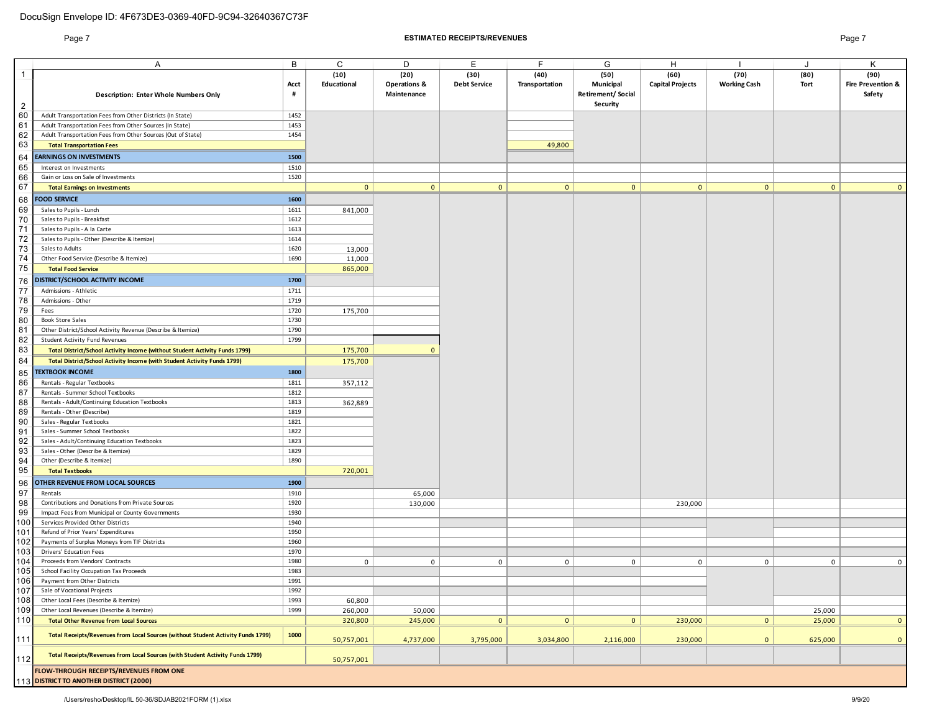### Page 7 **ESTIMATED RECEIPTS/REVENUES** Page 7

|                | A                                                                                  | В            | C                   | D                               | Е                           | F.                     | G                                    | H                               |                             | J            | Κ                                    |
|----------------|------------------------------------------------------------------------------------|--------------|---------------------|---------------------------------|-----------------------------|------------------------|--------------------------------------|---------------------------------|-----------------------------|--------------|--------------------------------------|
| $\mathbf{1}$   |                                                                                    | Acct         | (10)<br>Educational | (20)<br><b>Operations &amp;</b> | (30)<br><b>Debt Service</b> | (40)<br>Transportation | (50)<br>Municipal                    | (60)<br><b>Capital Projects</b> | (70)<br><b>Working Cash</b> | (80)<br>Tort | (90)<br><b>Fire Prevention &amp;</b> |
| $\overline{2}$ | Description: Enter Whole Numbers Only                                              | #            |                     | Maintenance                     |                             |                        | <b>Retirement/Social</b><br>Security |                                 |                             |              | Safety                               |
| 60             | Adult Transportation Fees from Other Districts (In State)                          | 1452         |                     |                                 |                             |                        |                                      |                                 |                             |              |                                      |
| 61             | Adult Transportation Fees from Other Sources (In State)                            | 1453         |                     |                                 |                             |                        |                                      |                                 |                             |              |                                      |
| 62             | Adult Transportation Fees from Other Sources (Out of State)                        | 1454         |                     |                                 |                             |                        |                                      |                                 |                             |              |                                      |
| 63             | <b>Total Transportation Fees</b>                                                   |              |                     |                                 |                             | 49,800                 |                                      |                                 |                             |              |                                      |
| 64             | <b>EARNINGS ON INVESTMENTS</b>                                                     | 1500         |                     |                                 |                             |                        |                                      |                                 |                             |              |                                      |
| 65             | Interest on Investments                                                            | 1510         |                     |                                 |                             |                        |                                      |                                 |                             |              |                                      |
| 66             | Gain or Loss on Sale of Investments                                                | 1520         |                     |                                 |                             |                        |                                      |                                 |                             |              |                                      |
| 67             |                                                                                    |              | $\mathbf{0}$        | $\mathbf 0$                     | $\overline{0}$              | $\mathbf{0}$           | $\mathbf{0}$                         | $\mathbf{0}$                    | $\overline{0}$              | $\mathbf{0}$ |                                      |
|                | <b>Total Earnings on Investments</b>                                               |              |                     |                                 |                             |                        |                                      |                                 |                             |              |                                      |
| 68             | <b>FOOD SERVICE</b>                                                                | 1600         |                     |                                 |                             |                        |                                      |                                 |                             |              |                                      |
| 69             | Sales to Pupils - Lunch                                                            | 1611         | 841,000             |                                 |                             |                        |                                      |                                 |                             |              |                                      |
| 70             | Sales to Pupils - Breakfast                                                        | 1612         |                     |                                 |                             |                        |                                      |                                 |                             |              |                                      |
| 71             | Sales to Pupils - A la Carte                                                       | 1613<br>1614 |                     |                                 |                             |                        |                                      |                                 |                             |              |                                      |
| 72             | Sales to Pupils - Other (Describe & Itemize)                                       |              |                     |                                 |                             |                        |                                      |                                 |                             |              |                                      |
| 73<br>74       | Sales to Adults<br>Other Food Service (Describe & Itemize)                         | 1620<br>1690 | 13,000              |                                 |                             |                        |                                      |                                 |                             |              |                                      |
| 75             |                                                                                    |              | 11,000              |                                 |                             |                        |                                      |                                 |                             |              |                                      |
|                | <b>Total Food Service</b>                                                          |              | 865,000             |                                 |                             |                        |                                      |                                 |                             |              |                                      |
| 76             | <b>DISTRICT/SCHOOL ACTIVITY INCOME</b>                                             | 1700         |                     |                                 |                             |                        |                                      |                                 |                             |              |                                      |
| 77             | Admissions - Athletic                                                              | 1711         |                     |                                 |                             |                        |                                      |                                 |                             |              |                                      |
| 78             | Admissions - Other                                                                 | 1719         |                     |                                 |                             |                        |                                      |                                 |                             |              |                                      |
| 79             | Fees                                                                               | 1720         | 175,700             |                                 |                             |                        |                                      |                                 |                             |              |                                      |
| 80             | Book Store Sales                                                                   | 1730         |                     |                                 |                             |                        |                                      |                                 |                             |              |                                      |
| 81             | Other District/School Activity Revenue (Describe & Itemize)                        | 1790         |                     |                                 |                             |                        |                                      |                                 |                             |              |                                      |
| 82             | <b>Student Activity Fund Revenues</b>                                              | 1799         |                     |                                 |                             |                        |                                      |                                 |                             |              |                                      |
| 83             | Total District/School Activity Income (without Student Activity Funds 1799)        |              | 175,700             | $\mathbf{0}$                    |                             |                        |                                      |                                 |                             |              |                                      |
| 84             | Total District/School Activity Income (with Student Activity Funds 1799)           |              | 175,700             |                                 |                             |                        |                                      |                                 |                             |              |                                      |
| 85             | <b>TEXTBOOK INCOME</b>                                                             | 1800         |                     |                                 |                             |                        |                                      |                                 |                             |              |                                      |
| 86             | Rentals - Regular Textbooks                                                        | 1811         | 357,112             |                                 |                             |                        |                                      |                                 |                             |              |                                      |
| 87             | Rentals - Summer School Textbooks                                                  | 1812         |                     |                                 |                             |                        |                                      |                                 |                             |              |                                      |
| 88             | Rentals - Adult/Continuing Education Textbooks                                     | 1813         | 362,889             |                                 |                             |                        |                                      |                                 |                             |              |                                      |
| 89             | Rentals - Other (Describe)                                                         | 1819         |                     |                                 |                             |                        |                                      |                                 |                             |              |                                      |
| 90             | Sales - Regular Textbooks                                                          | 1821         |                     |                                 |                             |                        |                                      |                                 |                             |              |                                      |
| 91             | Sales - Summer School Textbooks                                                    | 1822         |                     |                                 |                             |                        |                                      |                                 |                             |              |                                      |
| 92             | Sales - Adult/Continuing Education Textbooks                                       | 1823         |                     |                                 |                             |                        |                                      |                                 |                             |              |                                      |
| 93             | Sales - Other (Describe & Itemize)                                                 | 1829         |                     |                                 |                             |                        |                                      |                                 |                             |              |                                      |
| 94             | Other (Describe & Itemize)                                                         | 1890         |                     |                                 |                             |                        |                                      |                                 |                             |              |                                      |
| 95             | <b>Total Textbooks</b>                                                             |              | 720,001             |                                 |                             |                        |                                      |                                 |                             |              |                                      |
| 96             | OTHER REVENUE FROM LOCAL SOURCES                                                   | 1900         |                     |                                 |                             |                        |                                      |                                 |                             |              |                                      |
| 97             | Rentals                                                                            | 1910         |                     | 65,000                          |                             |                        |                                      |                                 |                             |              |                                      |
| 98             | Contributions and Donations from Private Sources                                   | 1920         |                     | 130,000                         |                             |                        |                                      | 230,000                         |                             |              |                                      |
| 99             | Impact Fees from Municipal or County Governments                                   | 1930         |                     |                                 |                             |                        |                                      |                                 |                             |              |                                      |
| 100            | Services Provided Other Districts                                                  | 1940         |                     |                                 |                             |                        |                                      |                                 |                             |              |                                      |
| 101            | Refund of Prior Years' Expenditures                                                | 1950         |                     |                                 |                             |                        |                                      |                                 |                             |              |                                      |
| 102            | Payments of Surplus Moneys from TIF Districts                                      | 1960         |                     |                                 |                             |                        |                                      |                                 |                             |              |                                      |
| 103            | Drivers' Education Fees                                                            | 1970         |                     |                                 |                             |                        |                                      |                                 |                             |              |                                      |
| 104            | Proceeds from Vendors' Contracts<br>School Facility Occupation Tax Proceeds        | 1980<br>1983 | $\mathbf 0$         | $\mathbf 0$                     | $\mathbf 0$                 | $\mathbf 0$            | $\mathsf 0$                          | $\mathbf 0$                     | $\mathbf 0$                 | $\mathbf 0$  |                                      |
| 105            |                                                                                    |              |                     |                                 |                             |                        |                                      |                                 |                             |              |                                      |
| 106<br>107     | Payment from Other Districts<br>Sale of Vocational Projects                        | 1991<br>1992 |                     |                                 |                             |                        |                                      |                                 |                             |              |                                      |
| 108            | Other Local Fees (Describe & Itemize)                                              | 1993         | 60,800              |                                 |                             |                        |                                      |                                 |                             |              |                                      |
| 109            | Other Local Revenues (Describe & Itemize)                                          | 1999         | 260,000             | 50,000                          |                             |                        |                                      |                                 |                             | 25,000       |                                      |
| 110            | <b>Total Other Revenue from Local Sources</b>                                      |              | 320,800             | 245,000                         | $\overline{0}$              | $\mathbf{0}$           | $\overline{0}$                       | 230,000                         | $\mathbf{0}$                | 25,000       | $\mathsf{C}$                         |
|                |                                                                                    |              |                     |                                 |                             |                        |                                      |                                 |                             |              |                                      |
| 111            | Total Receipts/Revenues from Local Sources (without Student Activity Funds 1799)   | 1000         | 50,757,001          | 4,737,000                       | 3,795,000                   | 3,034,800              | 2,116,000                            | 230,000                         | $\mathbf 0$                 | 625,000      | $\epsilon$                           |
| 112            | Total Receipts/Revenues from Local Sources (with Student Activity Funds 1799)      |              | 50,757,001          |                                 |                             |                        |                                      |                                 |                             |              |                                      |
|                | FLOW-THROUGH RECEIPTS/REVENUES FROM ONE<br>113 DISTRICT TO ANOTHER DISTRICT (2000) |              |                     |                                 |                             |                        |                                      |                                 |                             |              |                                      |

/Users/resho/Desktop/IL 50-36/SDJAB2021FORM (1).xlsx 9/9/20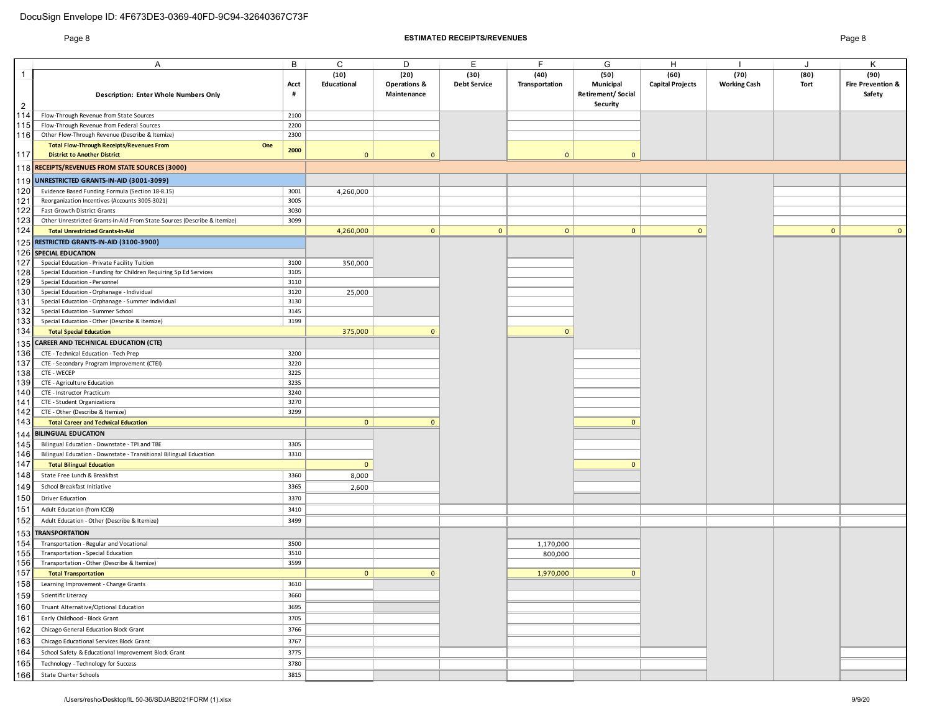1

### Page 8 **ESTIMATED RECEIPTS/REVENUES** Page 8

| A                               | B            | $\mathbf C$         | D                                              | E                           | F                      | G                                                  | H                               |                             | J              | K.                                  |
|---------------------------------|--------------|---------------------|------------------------------------------------|-----------------------------|------------------------|----------------------------------------------------|---------------------------------|-----------------------------|----------------|-------------------------------------|
| <b>Whole Numbers Only</b>       | Acct<br>$\#$ | (10)<br>Educational | (20)<br><b>Operations &amp;</b><br>Maintenance | (30)<br><b>Debt Service</b> | (40)<br>Transportation | (50)<br>Municipal<br>Retirement/Social<br>Security | (60)<br><b>Capital Projects</b> | (70)<br><b>Working Cash</b> | (80)<br>Tort   | (90)<br>Fire Prevention &<br>Safety |
|                                 | 2100         |                     |                                                |                             |                        |                                                    |                                 |                             |                |                                     |
| es                              | 2200         |                     |                                                |                             |                        |                                                    |                                 |                             |                |                                     |
| temize)                         | 2300         |                     |                                                |                             |                        |                                                    |                                 |                             |                |                                     |
| From<br>One                     | 2000         | $\mathbf 0$         | $\mathbf 0$                                    |                             | $\mathbf{0}$           | $\mathbf 0$                                        |                                 |                             |                |                                     |
| CES (3000)                      |              |                     |                                                |                             |                        |                                                    |                                 |                             |                |                                     |
| 099)                            |              |                     |                                                |                             |                        |                                                    |                                 |                             |                |                                     |
| $8-8.15$                        | 3001         | 4,260,000           |                                                |                             |                        |                                                    |                                 |                             |                |                                     |
| 021)                            | 3005         |                     |                                                |                             |                        |                                                    |                                 |                             |                |                                     |
|                                 | 3030         |                     |                                                |                             |                        |                                                    |                                 |                             |                |                                     |
| te Sources (Describe & Itemize) | 3099         |                     |                                                |                             |                        |                                                    |                                 |                             |                |                                     |
|                                 |              | 4,260,000           | $\mathbf{0}$                                   | $\overline{0}$              | $\overline{0}$         | $\mathbf{0}$                                       | $\mathbf{0}$                    |                             | $\overline{0}$ | $\mathbf{0}$                        |
|                                 |              |                     |                                                |                             |                        |                                                    |                                 |                             |                |                                     |
|                                 |              |                     |                                                |                             |                        |                                                    |                                 |                             |                |                                     |
|                                 | 3100         | 350,000             |                                                |                             |                        |                                                    |                                 |                             |                |                                     |
| quiring Sp Ed Services          | 3105         |                     |                                                |                             |                        |                                                    |                                 |                             |                |                                     |
|                                 | 3110         |                     |                                                |                             |                        |                                                    |                                 |                             |                |                                     |
|                                 | 3120         | 25,000              |                                                |                             |                        |                                                    |                                 |                             |                |                                     |
| dividual                        | 3130         |                     |                                                |                             |                        |                                                    |                                 |                             |                |                                     |
|                                 | 3145         |                     |                                                |                             |                        |                                                    |                                 |                             |                |                                     |
| ze)                             | 3199         |                     |                                                |                             |                        |                                                    |                                 |                             |                |                                     |
|                                 |              | 375,000             | $\mathbf{0}$                                   |                             | $\overline{0}$         |                                                    |                                 |                             |                |                                     |
| re)                             |              |                     |                                                |                             |                        |                                                    |                                 |                             |                |                                     |
|                                 | 3200         |                     |                                                |                             |                        |                                                    |                                 |                             |                |                                     |
| EI)                             | 3220         |                     |                                                |                             |                        |                                                    |                                 |                             |                |                                     |
|                                 | 3225         |                     |                                                |                             |                        |                                                    |                                 |                             |                |                                     |
|                                 | 3235         |                     |                                                |                             |                        |                                                    |                                 |                             |                |                                     |
|                                 | 3240         |                     |                                                |                             |                        |                                                    |                                 |                             |                |                                     |

|            | Description: Enter Whole Numbers Only                                                          | Acct<br>#    | (10)<br>Educational | (20)<br>Operations &<br>Maintenance | (30)<br><b>Debt Service</b> | (40)<br>Transportation | (50)<br>Municipal<br>Retirement/Social | (60)<br><b>Capital Projects</b> | (70)<br><b>Working Cash</b> | (80)<br>Tort | (90)<br><b>Fire Prevention &amp;</b><br>Safety |
|------------|------------------------------------------------------------------------------------------------|--------------|---------------------|-------------------------------------|-----------------------------|------------------------|----------------------------------------|---------------------------------|-----------------------------|--------------|------------------------------------------------|
| 2          |                                                                                                |              |                     |                                     |                             |                        | Security                               |                                 |                             |              |                                                |
| 114        | Flow-Through Revenue from State Sources                                                        | 2100         |                     |                                     |                             |                        |                                        |                                 |                             |              |                                                |
| 115        | Flow-Through Revenue from Federal Sources                                                      | 2200         |                     |                                     |                             |                        |                                        |                                 |                             |              |                                                |
| 116        | Other Flow-Through Revenue (Describe & Itemize)                                                | 2300         |                     |                                     |                             |                        |                                        |                                 |                             |              |                                                |
| 117        | <b>Total Flow-Through Receipts/Revenues From</b><br>One<br><b>District to Another District</b> | 2000         | $\mathbf{0}$        | $\mathbf{0}$                        |                             | $\mathbf{0}$           | $\mathbf 0$                            |                                 |                             |              |                                                |
|            | 118 RECEIPTS/REVENUES FROM STATE SOURCES (3000)                                                |              |                     |                                     |                             |                        |                                        |                                 |                             |              |                                                |
| 119        | UNRESTRICTED GRANTS-IN-AID (3001-3099)                                                         |              |                     |                                     |                             |                        |                                        |                                 |                             |              |                                                |
| 120        | Evidence Based Funding Formula (Section 18-8.15)                                               | 3001         | 4,260,000           |                                     |                             |                        |                                        |                                 |                             |              |                                                |
| 121        | Reorganization Incentives (Accounts 3005-3021)                                                 | 3005         |                     |                                     |                             |                        |                                        |                                 |                             |              |                                                |
| 122        | Fast Growth District Grants                                                                    | 3030         |                     |                                     |                             |                        |                                        |                                 |                             |              |                                                |
| 123        | Other Unrestricted Grants-In-Aid From State Sources (Describe & Itemize)                       | 3099         |                     |                                     |                             |                        |                                        |                                 |                             |              |                                                |
| 124        | <b>Total Unrestricted Grants-In-Aid</b>                                                        |              | 4,260,000           | $\overline{0}$                      | $\mathbf{0}$                | $\mathbf{0}$           | $\mathbf{0}$                           | $\mathbf{0}$                    |                             | $\mathbf{0}$ | $\mathbf{0}$                                   |
|            | 125 RESTRICTED GRANTS-IN-AID (3100-3900)                                                       |              |                     |                                     |                             |                        |                                        |                                 |                             |              |                                                |
|            | 126 SPECIAL EDUCATION                                                                          |              |                     |                                     |                             |                        |                                        |                                 |                             |              |                                                |
| 127        | Special Education - Private Facility Tuition                                                   | 3100         | 350,000             |                                     |                             |                        |                                        |                                 |                             |              |                                                |
| 128        | Special Education - Funding for Children Requiring Sp Ed Services                              | 3105         |                     |                                     |                             |                        |                                        |                                 |                             |              |                                                |
| 129<br>130 | Special Education - Personnel<br>Special Education - Orphanage - Individual                    | 3110<br>3120 |                     |                                     |                             |                        |                                        |                                 |                             |              |                                                |
| 131        | Special Education - Orphanage - Summer Individual                                              | 3130         | 25,000              |                                     |                             |                        |                                        |                                 |                             |              |                                                |
| 132        | Special Education - Summer School                                                              | 3145         |                     |                                     |                             |                        |                                        |                                 |                             |              |                                                |
| 133        | Special Education - Other (Describe & Itemize)                                                 | 3199         |                     |                                     |                             |                        |                                        |                                 |                             |              |                                                |
| 134        | <b>Total Special Education</b>                                                                 |              | 375,000             | $\Omega$                            |                             | $\mathbf{0}$           |                                        |                                 |                             |              |                                                |
| 135        | <b>CAREER AND TECHNICAL EDUCATION (CTE)</b>                                                    |              |                     |                                     |                             |                        |                                        |                                 |                             |              |                                                |
| 136        | CTE - Technical Education - Tech Prep                                                          | 3200         |                     |                                     |                             |                        |                                        |                                 |                             |              |                                                |
| 137        | CTE - Secondary Program Improvement (CTEI)                                                     | 3220         |                     |                                     |                             |                        |                                        |                                 |                             |              |                                                |
| 138        | CTE - WECEP                                                                                    | 3225         |                     |                                     |                             |                        |                                        |                                 |                             |              |                                                |
| 139        | CTE - Agriculture Education                                                                    | 3235         |                     |                                     |                             |                        |                                        |                                 |                             |              |                                                |
| 140        | CTE - Instructor Practicum                                                                     | 3240         |                     |                                     |                             |                        |                                        |                                 |                             |              |                                                |
| 141        | CTE - Student Organizations                                                                    | 3270         |                     |                                     |                             |                        |                                        |                                 |                             |              |                                                |
| 142        | CTE - Other (Describe & Itemize)                                                               | 3299         |                     |                                     |                             |                        |                                        |                                 |                             |              |                                                |
| 143        | <b>Total Career and Technical Education</b>                                                    |              | 0                   | $\Omega$                            |                             |                        | $\mathbf{0}$                           |                                 |                             |              |                                                |
| 144        | <b>BILINGUAL EDUCATION</b>                                                                     |              |                     |                                     |                             |                        |                                        |                                 |                             |              |                                                |
| 145        | Bilingual Education - Downstate - TPI and TBE                                                  | 3305         |                     |                                     |                             |                        |                                        |                                 |                             |              |                                                |
| 146        | Bilingual Education - Downstate - Transitional Bilingual Education                             | 3310         |                     |                                     |                             |                        |                                        |                                 |                             |              |                                                |
| 147        | <b>Total Bilingual Education</b>                                                               |              | $\overline{0}$      |                                     |                             |                        | $\Omega$                               |                                 |                             |              |                                                |
| 148        | State Free Lunch & Breakfast                                                                   | 3360         | 8,000               |                                     |                             |                        |                                        |                                 |                             |              |                                                |
| 149        | School Breakfast Initiative                                                                    | 3365         | 2,600               |                                     |                             |                        |                                        |                                 |                             |              |                                                |
| 150        | <b>Driver Education</b>                                                                        | 3370         |                     |                                     |                             |                        |                                        |                                 |                             |              |                                                |
| 151        | Adult Education (from ICCB)                                                                    | 3410         |                     |                                     |                             |                        |                                        |                                 |                             |              |                                                |
| 152        | Adult Education - Other (Describe & Itemize)                                                   | 3499         |                     |                                     |                             |                        |                                        |                                 |                             |              |                                                |
| 153        | <b>TRANSPORTATION</b>                                                                          |              |                     |                                     |                             |                        |                                        |                                 |                             |              |                                                |
| 154        | Transportation - Regular and Vocational                                                        | 3500         |                     |                                     |                             | 1,170,000              |                                        |                                 |                             |              |                                                |
| 155        | Transportation - Special Education                                                             | 3510         |                     |                                     |                             | 800,000                |                                        |                                 |                             |              |                                                |
| 156        | Transportation - Other (Describe & Itemize)                                                    | 3599         |                     |                                     |                             |                        |                                        |                                 |                             |              |                                                |
| 157        | <b>Total Transportation</b>                                                                    |              | $\overline{0}$      | $\mathbf{0}$                        |                             | 1,970,000              | $\mathbf 0$                            |                                 |                             |              |                                                |
| 158        | Learning Improvement - Change Grants                                                           | 3610         |                     |                                     |                             |                        |                                        |                                 |                             |              |                                                |
| 159        | Scientific Literacy                                                                            | 3660         |                     |                                     |                             |                        |                                        |                                 |                             |              |                                                |
| 160        | Truant Alternative/Optional Education                                                          | 3695         |                     |                                     |                             |                        |                                        |                                 |                             |              |                                                |
| 161        | Early Childhood - Block Grant                                                                  | 3705         |                     |                                     |                             |                        |                                        |                                 |                             |              |                                                |
| 162        | Chicago General Education Block Grant                                                          | 3766         |                     |                                     |                             |                        |                                        |                                 |                             |              |                                                |
| 163        | Chicago Educational Services Block Grant                                                       | 3767         |                     |                                     |                             |                        |                                        |                                 |                             |              |                                                |
|            |                                                                                                |              |                     |                                     |                             |                        |                                        |                                 |                             |              |                                                |
| 164        | School Safety & Educational Improvement Block Grant                                            | 3775         |                     |                                     |                             |                        |                                        |                                 |                             |              |                                                |
| 165        | Technology - Technology for Success                                                            | 3780         |                     |                                     |                             |                        |                                        |                                 |                             |              |                                                |
| 166        | State Charter Schools                                                                          | 3815         |                     |                                     |                             |                        |                                        |                                 |                             |              |                                                |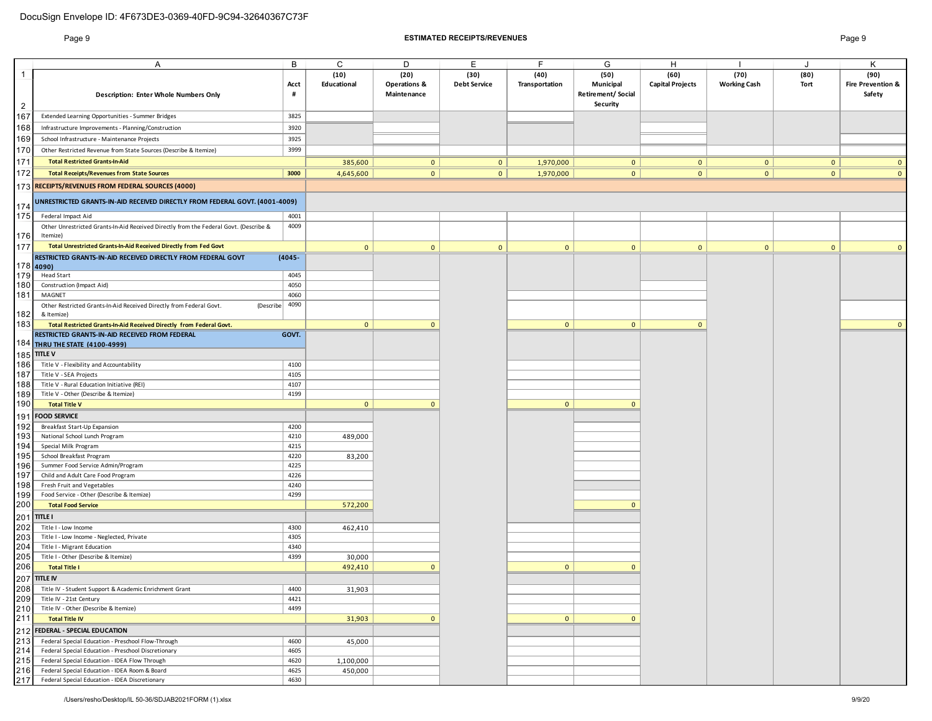### Page 9 **ESTIMATED RECEIPTS/REVENUES** Page 9

| $\mathbf{1}$   | A                                                                                                                            | B<br>Acct    | C<br>(10)<br>Educational | D<br>(20)<br><b>Operations &amp;</b> | E<br>(30)<br><b>Debt Service</b> | E<br>(40)<br>Transportation | G<br>(50)<br>Municipal               | H<br>(60)<br><b>Capital Projects</b> | (70)<br><b>Working Cash</b> | - J<br>(80)<br>Tort | K<br>(90)<br><b>Fire Prevention &amp;</b> |
|----------------|------------------------------------------------------------------------------------------------------------------------------|--------------|--------------------------|--------------------------------------|----------------------------------|-----------------------------|--------------------------------------|--------------------------------------|-----------------------------|---------------------|-------------------------------------------|
| $\overline{2}$ | Description: Enter Whole Numbers Only                                                                                        | #            |                          | Maintenance                          |                                  |                             | <b>Retirement/Social</b><br>Security |                                      |                             |                     | Safety                                    |
| 167            | Extended Learning Opportunities - Summer Bridges                                                                             | 3825         |                          |                                      |                                  |                             |                                      |                                      |                             |                     |                                           |
| 168            | Infrastructure Improvements - Planning/Construction                                                                          | 3920         |                          |                                      |                                  |                             |                                      |                                      |                             |                     |                                           |
| 169            | School Infrastructure - Maintenance Projects                                                                                 | 3925         |                          |                                      |                                  |                             |                                      |                                      |                             |                     |                                           |
| 170            | Other Restricted Revenue from State Sources (Describe & Itemize)                                                             | 3999         |                          |                                      |                                  |                             |                                      |                                      |                             |                     |                                           |
| 171            | <b>Total Restricted Grants-In-Aid</b>                                                                                        |              | 385,600                  | 0                                    | 0                                | 1,970,000                   | $\overline{0}$                       | $\overline{0}$                       | $\mathbf{0}$                | $\overline{0}$      | $\mathbf{0}$                              |
| 172            | <b>Total Receipts/Revenues from State Sources</b>                                                                            | 3000         | 4,645,600                | 0                                    | 0 <sup>1</sup>                   | 1,970,000                   | $\overline{0}$                       | 0 <sup>1</sup>                       | $\mathbf{0}$                | 0 <sup>1</sup>      | $\mathbf{0}$                              |
|                | 173 RECEIPTS/REVENUES FROM FEDERAL SOURCES (4000)                                                                            |              |                          |                                      |                                  |                             |                                      |                                      |                             |                     |                                           |
| 174            | UNRESTRICTED GRANTS-IN-AID RECEIVED DIRECTLY FROM FEDERAL GOVT. (4001-4009)                                                  |              |                          |                                      |                                  |                             |                                      |                                      |                             |                     |                                           |
| 175            | Federal Impact Aid                                                                                                           | 4001         |                          |                                      |                                  |                             |                                      |                                      |                             |                     |                                           |
| 176            | Other Unrestricted Grants-In-Aid Received Directly from the Federal Govt. (Describe &<br>Itemize)                            | 4009         |                          |                                      |                                  |                             |                                      |                                      |                             |                     |                                           |
| 177            | Total Unrestricted Grants-In-Aid Received Directly from Fed Govt                                                             |              | $\mathbf{0}$             | $\mathbf 0$                          | $\mathbf{0}$                     | $\overline{0}$              | $\mathbf{0}$                         | $\overline{0}$                       | $\mathbf{0}$                | $\mathbf 0$         | $\mathbf{0}$                              |
|                | RESTRICTED GRANTS-IN-AID RECEIVED DIRECTLY FROM FEDERAL GOVT<br>$178$ 4090)                                                  | $(4045 -$    |                          |                                      |                                  |                             |                                      |                                      |                             |                     |                                           |
| 179            | <b>Head Start</b>                                                                                                            | 4045         |                          |                                      |                                  |                             |                                      |                                      |                             |                     |                                           |
| 180            | Construction (Impact Aid)                                                                                                    | 4050         |                          |                                      |                                  |                             |                                      |                                      |                             |                     |                                           |
| 181            | MAGNET<br>Other Restricted Grants-In-Aid Received Directly from Federal Govt.<br>(Describe                                   | 4060<br>4090 |                          |                                      |                                  |                             |                                      |                                      |                             |                     |                                           |
| 182            | & Itemize)                                                                                                                   |              |                          |                                      |                                  |                             |                                      |                                      |                             |                     |                                           |
| 183            | Total Restricted Grants-In-Aid Received Directly from Federal Govt.<br><b>RESTRICTED GRANTS-IN-AID RECEIVED FROM FEDERAL</b> |              | $\overline{0}$           | $\mathbf 0$                          |                                  | $\overline{0}$              | $\mathbf{0}$                         | $\overline{0}$                       |                             |                     | $\mathbf{0}$                              |
|                | 184 THRU THE STATE (4100-4999)                                                                                               | GOVT.        |                          |                                      |                                  |                             |                                      |                                      |                             |                     |                                           |
|                | 185 TITLE V                                                                                                                  |              |                          |                                      |                                  |                             |                                      |                                      |                             |                     |                                           |
| 186            | Title V - Flexibility and Accountability                                                                                     | 4100         |                          |                                      |                                  |                             |                                      |                                      |                             |                     |                                           |
| 187            | Title V - SEA Projects                                                                                                       | 4105         |                          |                                      |                                  |                             |                                      |                                      |                             |                     |                                           |
| 188            | Title V - Rural Education Initiative (REI)                                                                                   | 4107         |                          |                                      |                                  |                             |                                      |                                      |                             |                     |                                           |
| 189            | Title V - Other (Describe & Itemize)                                                                                         | 4199         |                          |                                      |                                  |                             |                                      |                                      |                             |                     |                                           |
| 190            | <b>Total Title V</b>                                                                                                         |              | $\mathbf{0}$             | $\mathbf{0}$                         |                                  | $\overline{0}$              | $\mathbf{0}$                         |                                      |                             |                     |                                           |
| 191            | <b>FOOD SERVICE</b>                                                                                                          |              |                          |                                      |                                  |                             |                                      |                                      |                             |                     |                                           |
| 192            | Breakfast Start-Up Expansion                                                                                                 | 4200         |                          |                                      |                                  |                             |                                      |                                      |                             |                     |                                           |
| 193            | National School Lunch Program                                                                                                | 4210         | 489,000                  |                                      |                                  |                             |                                      |                                      |                             |                     |                                           |
| 194            | Special Milk Program                                                                                                         | 4215         |                          |                                      |                                  |                             |                                      |                                      |                             |                     |                                           |
| 195            | School Breakfast Program                                                                                                     | 4220         | 83,200                   |                                      |                                  |                             |                                      |                                      |                             |                     |                                           |
| 196            | Summer Food Service Admin/Program                                                                                            | 4225         |                          |                                      |                                  |                             |                                      |                                      |                             |                     |                                           |
| 197            | Child and Adult Care Food Program                                                                                            | 4226<br>4240 |                          |                                      |                                  |                             |                                      |                                      |                             |                     |                                           |
| 198<br>199     | Fresh Fruit and Vegetables<br>Food Service - Other (Describe & Itemize)                                                      | 4299         |                          |                                      |                                  |                             |                                      |                                      |                             |                     |                                           |
| 200            | <b>Total Food Service</b>                                                                                                    |              | 572,200                  |                                      |                                  |                             | $\mathbf{0}$                         |                                      |                             |                     |                                           |
|                | 201 TITLE I                                                                                                                  |              |                          |                                      |                                  |                             |                                      |                                      |                             |                     |                                           |
| 202            | Title I - Low Income                                                                                                         | 4300         | 462,410                  |                                      |                                  |                             |                                      |                                      |                             |                     |                                           |
| 203            | Title I - Low Income - Neglected, Private                                                                                    | 4305         |                          |                                      |                                  |                             |                                      |                                      |                             |                     |                                           |
| 204            | Title I - Migrant Education                                                                                                  | 4340         |                          |                                      |                                  |                             |                                      |                                      |                             |                     |                                           |
| 205            | Title I - Other (Describe & Itemize)                                                                                         | 4399         | 30,000                   |                                      |                                  |                             |                                      |                                      |                             |                     |                                           |
| 206            | <b>Total Title I</b>                                                                                                         |              | 492,410                  | $\mathbf{0}$                         |                                  | $\mathbf{0}$                | $\mathbf{0}$                         |                                      |                             |                     |                                           |
|                | 207 TITLE IV                                                                                                                 |              |                          |                                      |                                  |                             |                                      |                                      |                             |                     |                                           |
| 208            | Title IV - Student Support & Academic Enrichment Grant                                                                       | 4400         | 31,903                   |                                      |                                  |                             |                                      |                                      |                             |                     |                                           |
| 209            | Title IV - 21st Century                                                                                                      | 4421         |                          |                                      |                                  |                             |                                      |                                      |                             |                     |                                           |
| 210            | Title IV - Other (Describe & Itemize)                                                                                        | 4499         |                          |                                      |                                  |                             |                                      |                                      |                             |                     |                                           |
| 211            | <b>Total Title IV</b>                                                                                                        |              | 31,903                   | $\mathbf 0$                          |                                  | $\overline{0}$              | $\mathbf{0}$                         |                                      |                             |                     |                                           |
|                | 212 FEDERAL - SPECIAL EDUCATION                                                                                              |              |                          |                                      |                                  |                             |                                      |                                      |                             |                     |                                           |
| 213            | Federal Special Education - Preschool Flow-Through                                                                           | 4600         | 45,000                   |                                      |                                  |                             |                                      |                                      |                             |                     |                                           |
| 214            | Federal Special Education - Preschool Discretionary                                                                          | 4605         |                          |                                      |                                  |                             |                                      |                                      |                             |                     |                                           |
| 215            | Federal Special Education - IDEA Flow Through                                                                                | 4620         | 1,100,000                |                                      |                                  |                             |                                      |                                      |                             |                     |                                           |
|                | 216 Federal Special Education - IDEA Room & Board                                                                            | 4625         | 450,000                  |                                      |                                  |                             |                                      |                                      |                             |                     |                                           |
| 217            | Federal Special Education - IDEA Discretionary                                                                               | 4630         |                          |                                      |                                  |                             |                                      |                                      |                             |                     |                                           |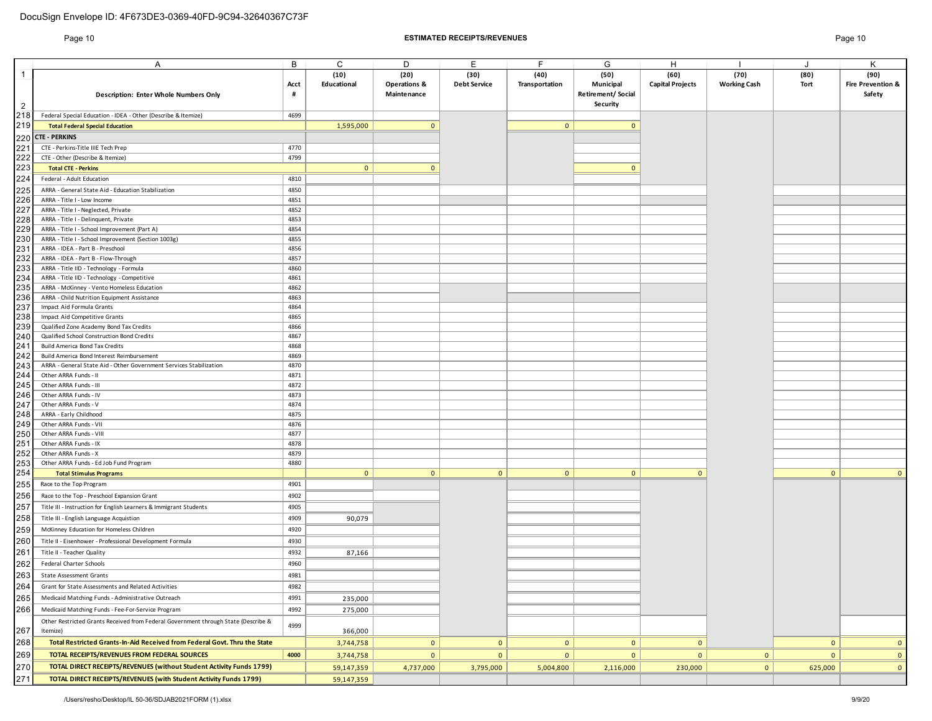### Page 10 **ESTIMATED RECEIPTS/REVENUES** Page 10

|              | Α                                                                                              | В            | C                   | D                               | Е                           | F                      | G                             | н                               |                             |              | K                                    |
|--------------|------------------------------------------------------------------------------------------------|--------------|---------------------|---------------------------------|-----------------------------|------------------------|-------------------------------|---------------------------------|-----------------------------|--------------|--------------------------------------|
| $\mathbf{1}$ |                                                                                                | Acct         | (10)<br>Educational | (20)<br><b>Operations &amp;</b> | (30)<br><b>Debt Service</b> | (40)<br>Transportation | (50)<br>Municipal             | (60)<br><b>Capital Projects</b> | (70)<br><b>Working Cash</b> | (80)<br>Tort | (90)<br><b>Fire Prevention &amp;</b> |
|              | Description: Enter Whole Numbers Only                                                          | #            |                     | Maintenance                     |                             |                        | Retirement/Social<br>Security |                                 |                             |              | Safety                               |
| 2<br>218     | Federal Special Education - IDEA - Other (Describe & Itemize)                                  | 4699         |                     |                                 |                             |                        |                               |                                 |                             |              |                                      |
| 219          |                                                                                                |              | 1,595,000           | $\mathbf{0}$                    |                             | $\overline{0}$         | $\mathbf{0}$                  |                                 |                             |              |                                      |
|              | <b>Total Federal Special Education</b><br><b>CTE - PERKINS</b>                                 |              |                     |                                 |                             |                        |                               |                                 |                             |              |                                      |
| 220<br>221   |                                                                                                | 4770         |                     |                                 |                             |                        |                               |                                 |                             |              |                                      |
| 222          | CTE - Perkins-Title IIIE Tech Prep<br>CTE - Other (Describe & Itemize)                         | 4799         |                     |                                 |                             |                        |                               |                                 |                             |              |                                      |
| 223          | <b>Total CTE - Perkins</b>                                                                     |              | $\mathbf{0}$        | $\Omega$                        |                             |                        | $\mathbf{0}$                  |                                 |                             |              |                                      |
| 224          | Federal - Adult Education                                                                      | 4810         |                     |                                 |                             |                        |                               |                                 |                             |              |                                      |
| 225          | ARRA - General State Aid - Education Stabilization                                             | 4850         |                     |                                 |                             |                        |                               |                                 |                             |              |                                      |
| 226          | ARRA - Title I - Low Income                                                                    | 4851         |                     |                                 |                             |                        |                               |                                 |                             |              |                                      |
| 227          | ARRA - Title I - Neglected, Private                                                            | 4852         |                     |                                 |                             |                        |                               |                                 |                             |              |                                      |
| 228          | ARRA - Title I - Delinquent, Private                                                           | 4853         |                     |                                 |                             |                        |                               |                                 |                             |              |                                      |
| 229          | ARRA - Title I - School Improvement (Part A)                                                   | 4854         |                     |                                 |                             |                        |                               |                                 |                             |              |                                      |
| 230          | ARRA - Title I - School Improvement (Section 1003g)                                            | 4855         |                     |                                 |                             |                        |                               |                                 |                             |              |                                      |
| 231          | ARRA - IDEA - Part B - Preschool                                                               | 4856         |                     |                                 |                             |                        |                               |                                 |                             |              |                                      |
| 232          | ARRA - IDEA - Part B - Flow-Through                                                            | 4857         |                     |                                 |                             |                        |                               |                                 |                             |              |                                      |
| 233          | ARRA - Title IID - Technology - Formula                                                        | 4860         |                     |                                 |                             |                        |                               |                                 |                             |              |                                      |
| 234          | ARRA - Title IID - Technology - Competitive                                                    | 4861         |                     |                                 |                             |                        |                               |                                 |                             |              |                                      |
| 235          | ARRA - McKinney - Vento Homeless Education                                                     | 4862         |                     |                                 |                             |                        |                               |                                 |                             |              |                                      |
| 236          | ARRA - Child Nutrition Equipment Assistance                                                    | 4863         |                     |                                 |                             |                        |                               |                                 |                             |              |                                      |
| 237          | Impact Aid Formula Grants                                                                      | 4864         |                     |                                 |                             |                        |                               |                                 |                             |              |                                      |
| 238<br>239   | Impact Aid Competitive Grants<br>Qualified Zone Academy Bond Tax Credits                       | 4865<br>4866 |                     |                                 |                             |                        |                               |                                 |                             |              |                                      |
| 240          | Qualified School Construction Bond Credits                                                     | 4867         |                     |                                 |                             |                        |                               |                                 |                             |              |                                      |
| 241          | <b>Build America Bond Tax Credits</b>                                                          | 4868         |                     |                                 |                             |                        |                               |                                 |                             |              |                                      |
| 242          | Build America Bond Interest Reimbursement                                                      | 4869         |                     |                                 |                             |                        |                               |                                 |                             |              |                                      |
| 243          | ARRA - General State Aid - Other Government Services Stabilization                             | 4870         |                     |                                 |                             |                        |                               |                                 |                             |              |                                      |
| 244          | Other ARRA Funds - II                                                                          | 4871         |                     |                                 |                             |                        |                               |                                 |                             |              |                                      |
| 245          | Other ARRA Funds - III                                                                         | 4872         |                     |                                 |                             |                        |                               |                                 |                             |              |                                      |
| 246          | Other ARRA Funds - IV                                                                          | 4873         |                     |                                 |                             |                        |                               |                                 |                             |              |                                      |
| 247          | Other ARRA Funds - V                                                                           | 4874         |                     |                                 |                             |                        |                               |                                 |                             |              |                                      |
| 248          | ARRA - Early Childhood                                                                         | 4875         |                     |                                 |                             |                        |                               |                                 |                             |              |                                      |
| 249          | Other ARRA Funds - VII                                                                         | 4876         |                     |                                 |                             |                        |                               |                                 |                             |              |                                      |
| 250          | Other ARRA Funds - VIII                                                                        | 4877         |                     |                                 |                             |                        |                               |                                 |                             |              |                                      |
| 251          | Other ARRA Funds - IX                                                                          | 4878         |                     |                                 |                             |                        |                               |                                 |                             |              |                                      |
| 252          | Other ARRA Funds - X                                                                           | 4879         |                     |                                 |                             |                        |                               |                                 |                             |              |                                      |
| 253<br>254   | Other ARRA Funds - Ed Job Fund Program<br><b>Total Stimulus Programs</b>                       | 4880         | $\mathbf{0}$        | $\mathbf{0}$                    | $\mathbf{0}$                | $\mathbf{0}$           | $\mathbf{0}$                  | $\mathbf{0}$                    |                             | $\mathbf{0}$ | $\mathbf{0}$                         |
|              |                                                                                                |              |                     |                                 |                             |                        |                               |                                 |                             |              |                                      |
| 255          | Race to the Top Program                                                                        | 4901         |                     |                                 |                             |                        |                               |                                 |                             |              |                                      |
| 256          | Race to the Top - Preschool Expansion Grant                                                    | 4902         |                     |                                 |                             |                        |                               |                                 |                             |              |                                      |
| 257          | Title III - Instruction for English Learners & Immigrant Students                              | 4905         |                     |                                 |                             |                        |                               |                                 |                             |              |                                      |
| 258          | Title III - English Language Acquistion                                                        | 4909         | 90,079              |                                 |                             |                        |                               |                                 |                             |              |                                      |
| 259          | McKinney Education for Homeless Children                                                       | 4920         |                     |                                 |                             |                        |                               |                                 |                             |              |                                      |
| 260          | Title II - Eisenhower - Professional Development Formula                                       | 4930         |                     |                                 |                             |                        |                               |                                 |                             |              |                                      |
| 261          | Title II - Teacher Quality                                                                     | 4932         | 87,166              |                                 |                             |                        |                               |                                 |                             |              |                                      |
| 262          | <b>Federal Charter Schools</b>                                                                 | 4960         |                     |                                 |                             |                        |                               |                                 |                             |              |                                      |
| 263          | <b>State Assessment Grants</b>                                                                 | 4981         |                     |                                 |                             |                        |                               |                                 |                             |              |                                      |
| 264          | Grant for State Assessments and Related Activities                                             | 4982         |                     |                                 |                             |                        |                               |                                 |                             |              |                                      |
| 265          | Medicaid Matching Funds - Administrative Outreach                                              | 4991         | 235,000             |                                 |                             |                        |                               |                                 |                             |              |                                      |
| 266          | Medicaid Matching Funds - Fee-For-Service Program                                              | 4992         | 275,000             |                                 |                             |                        |                               |                                 |                             |              |                                      |
|              |                                                                                                |              |                     |                                 |                             |                        |                               |                                 |                             |              |                                      |
| 267          | Other Restricted Grants Received from Federal Government through State (Describe &<br>Itemize) | 4999         | 366,000             |                                 |                             |                        |                               |                                 |                             |              |                                      |
| 268          | Total Restricted Grants-In-Aid Received from Federal Govt. Thru the State                      |              | 3,744,758           | $\mathbf{0}$                    | $\mathbf{0}$                | $\overline{0}$         | $\mathbf{0}$                  | $\mathbf{0}$                    |                             | $\mathbf{0}$ | $\mathbf{0}$                         |
| 269          | TOTAL RECEIPTS/REVENUES FROM FEDERAL SOURCES                                                   | 4000         | 3,744,758           | $\overline{0}$                  | $\circ$                     | $\mathbf{0}$           | $\mathbf{0}$                  | $\overline{0}$                  | 0 <sup>1</sup>              | $\mathbf{0}$ | $\mathbf{0}$                         |
| 270          | <b>TOTAL DIRECT RECEIPTS/REVENUES (without Student Activity Funds 1799)</b>                    |              | 59,147,359          | 4,737,000                       | 3,795,000                   | 5,004,800              | 2,116,000                     | 230,000                         | 0                           | 625,000      | $\mathbf{0}$                         |
| 271          | <b>TOTAL DIRECT RECEIPTS/REVENUES (with Student Activity Funds 1799)</b>                       |              | 59,147,359          |                                 |                             |                        |                               |                                 |                             |              |                                      |
|              |                                                                                                |              |                     |                                 |                             |                        |                               |                                 |                             |              |                                      |

/Users/resho/Desktop/IL 50-36/SDJAB2021FORM (1).xlsx 9/9/20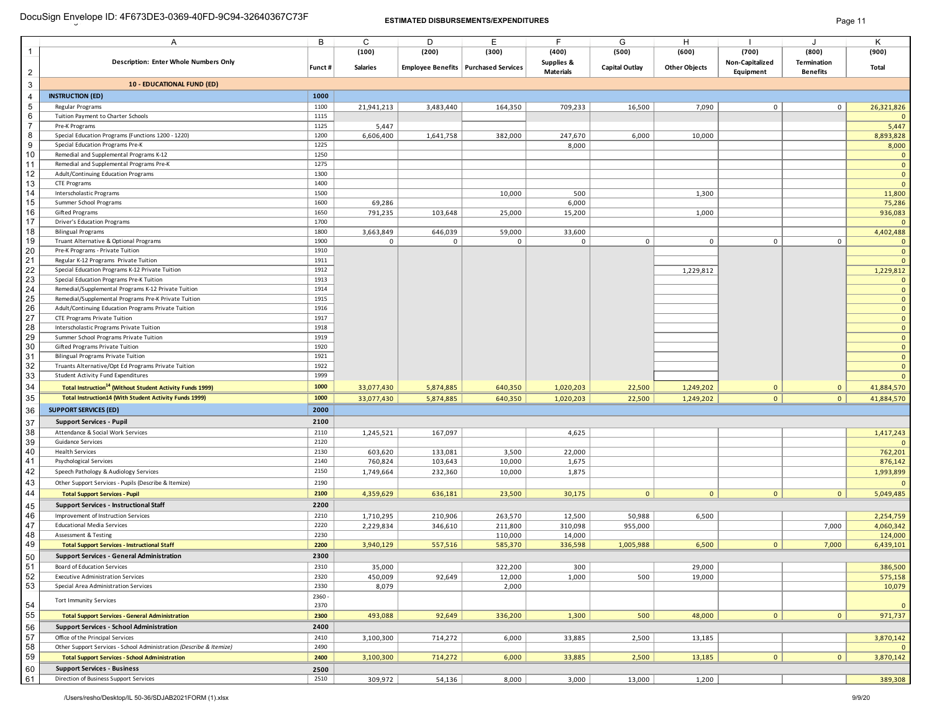|                | Α                                                                          | В            | C               | D           | Е                                      | F.                    | G                     | H                    |                 | IJ              | K                            |
|----------------|----------------------------------------------------------------------------|--------------|-----------------|-------------|----------------------------------------|-----------------------|-----------------------|----------------------|-----------------|-----------------|------------------------------|
| 1              |                                                                            |              | (100)           | (200)       | (300)                                  | (400)                 | (500)                 | (600)                | (700)           | (800)           | (900)                        |
|                | <b>Description: Enter Whole Numbers Only</b>                               |              |                 |             |                                        | Supplies &            |                       |                      | Non-Capitalized | Termination     |                              |
| $\overline{2}$ |                                                                            | Funct#       | <b>Salaries</b> |             | Employee Benefits   Purchased Services | <b>Materials</b>      | <b>Capital Outlay</b> | <b>Other Objects</b> | Equipment       | <b>Benefits</b> | Total                        |
| 3              | 10 - EDUCATIONAL FUND (ED)                                                 |              |                 |             |                                        |                       |                       |                      |                 |                 |                              |
| 4              | <b>INSTRUCTION (ED)</b>                                                    | 1000         |                 |             |                                        |                       |                       |                      |                 |                 |                              |
| 5              | Regular Programs                                                           | 1100         | 21,941,213      | 3,483,440   | 164,350                                | 709,233               | 16,500                | 7,090                | $\mathbf 0$     | $\overline{0}$  | 26,321,826                   |
| 6              | Tuition Payment to Charter Schools                                         | 1115         |                 |             |                                        |                       |                       |                      |                 |                 |                              |
| $\overline{7}$ | Pre-K Programs                                                             | 1125         | 5,447           |             |                                        |                       |                       |                      |                 |                 | 5,447                        |
| 8              | Special Education Programs (Functions 1200 - 1220)                         | 1200         | 6,606,400       | 1,641,758   | 382,000                                | 247,670               | 6,000                 | 10,000               |                 |                 | 8,893,828                    |
| 9              | Special Education Programs Pre-K                                           | 1225         |                 |             |                                        | 8,000                 |                       |                      |                 |                 | 8,000                        |
| 10             | Remedial and Supplemental Programs K-12                                    | 1250         |                 |             |                                        |                       |                       |                      |                 |                 | $\mathbf{0}$                 |
| 11             | Remedial and Supplemental Programs Pre-K                                   | 1275         |                 |             |                                        |                       |                       |                      |                 |                 | $\mathbf{0}$                 |
| 12             | Adult/Continuing Education Programs                                        | 1300         |                 |             |                                        |                       |                       |                      |                 |                 | $\mathbf{0}$                 |
| 13             | <b>CTE Programs</b>                                                        | 1400         |                 |             |                                        |                       |                       |                      |                 |                 | $\mathbf{0}$                 |
| 14             | <b>Interscholastic Programs</b>                                            | 1500         |                 |             | 10,000                                 | 500                   |                       | 1,300                |                 |                 | 11,800                       |
| 15             | Summer School Programs                                                     | 1600         | 69,286          |             |                                        | 6,000                 |                       |                      |                 |                 | 75,286                       |
| 16             | Gifted Programs                                                            | 1650         | 791,235         | 103,648     | 25,000                                 | 15,200                |                       | 1,000                |                 |                 | 936,083                      |
| 17             | Driver's Education Programs                                                | 1700         |                 |             |                                        |                       |                       |                      |                 |                 | $\mathbf{0}$                 |
| 18<br>19       | <b>Bilingual Programs</b>                                                  | 1800<br>1900 | 3,663,849       | 646,039     | 59,000                                 | 33,600<br>$\mathbf 0$ |                       | $\mathsf 0$          | $\mathsf{O}$    | $\mathsf{o}$    | 4,402,488                    |
| 20             | Truant Alternative & Optional Programs<br>Pre-K Programs - Private Tuition | 1910         | $\mathbf 0$     | $\mathbf 0$ | $\mathbf 0$                            |                       | $\mathbf 0$           |                      |                 |                 | $\mathbf{0}$<br>$\mathbf{0}$ |
| 21             | Regular K-12 Programs Private Tuition                                      | 1911         |                 |             |                                        |                       |                       |                      |                 |                 | $\mathbf{0}$                 |
| 22             | Special Education Programs K-12 Private Tuition                            | 1912         |                 |             |                                        |                       |                       | 1,229,812            |                 |                 | 1,229,812                    |
| 23             | Special Education Programs Pre-K Tuition                                   | 1913         |                 |             |                                        |                       |                       |                      |                 |                 | $\mathbf{0}$                 |
| 24             | Remedial/Supplemental Programs K-12 Private Tuition                        | 1914         |                 |             |                                        |                       |                       |                      |                 |                 | $\mathbf{0}$                 |
| 25             | Remedial/Supplemental Programs Pre-K Private Tuition                       | 1915         |                 |             |                                        |                       |                       |                      |                 |                 | $\mathbf{0}$                 |
| 26             | Adult/Continuing Education Programs Private Tuition                        | 1916         |                 |             |                                        |                       |                       |                      |                 |                 | $\mathbf{0}$                 |
| 27             | <b>CTE Programs Private Tuition</b>                                        | 1917         |                 |             |                                        |                       |                       |                      |                 |                 | $\mathbf{0}$                 |
| 28             | Interscholastic Programs Private Tuition                                   | 1918         |                 |             |                                        |                       |                       |                      |                 |                 | $\mathbf{0}$                 |
| 29             | Summer School Programs Private Tuition                                     | 1919         |                 |             |                                        |                       |                       |                      |                 |                 | $\mathbf{0}$                 |
| 30             | Gifted Programs Private Tuition                                            | 1920         |                 |             |                                        |                       |                       |                      |                 |                 | $\mathbf{0}$                 |
| 31             | Bilingual Programs Private Tuition                                         | 1921         |                 |             |                                        |                       |                       |                      |                 |                 | $\mathbf{0}$                 |
| 32             | Truants Alternative/Opt Ed Programs Private Tuition                        | 1922         |                 |             |                                        |                       |                       |                      |                 |                 | $\mathbf{0}$                 |
| 33             | Student Activity Fund Expenditures                                         | 1999         |                 |             |                                        |                       |                       |                      |                 |                 | $\mathbf{0}$                 |
| 34             | Total Instruction <sup>14</sup> (Without Student Activity Funds 1999)      | 1000         | 33,077,430      | 5,874,885   | 640,350                                | 1,020,203             | 22,500                | 1,249,202            | $\mathbf{0}$    | $\mathbf{0}$    | 41,884,570                   |
| 35             | Total Instruction14 (With Student Activity Funds 1999)                     | 1000         | 33,077,430      | 5,874,885   | 640,350                                | 1,020,203             | 22,500                | 1,249,202            | $\mathbf{0}$    | $\overline{0}$  | 41,884,570                   |
| 36             | <b>SUPPORT SERVICES (ED)</b>                                               | 2000         |                 |             |                                        |                       |                       |                      |                 |                 |                              |
| 37             | <b>Support Services - Pupil</b>                                            | 2100         |                 |             |                                        |                       |                       |                      |                 |                 |                              |
| 38             | Attendance & Social Work Services                                          | 2110         | 1,245,521       | 167,097     |                                        | 4,625                 |                       |                      |                 |                 | 1,417,243                    |
| 39             | <b>Guidance Services</b>                                                   | 2120         |                 |             |                                        |                       |                       |                      |                 |                 | $\mathbf{0}$                 |
| 40             | <b>Health Services</b>                                                     | 2130         | 603,620         | 133,081     | 3,500                                  | 22,000                |                       |                      |                 |                 | 762,201                      |
| 41             | Psychological Services                                                     | 2140         | 760,824         | 103,643     | 10,000                                 | 1,675                 |                       |                      |                 |                 | 876,142                      |
| 42             | Speech Pathology & Audiology Services                                      | 2150         | 1,749,664       | 232,360     | 10,000                                 | 1,875                 |                       |                      |                 |                 | 1,993,899                    |
| 43             | Other Support Services - Pupils (Describe & Itemize)                       | 2190         |                 |             |                                        |                       |                       |                      |                 |                 | $\mathbf{0}$                 |
| 44             | <b>Total Support Services - Pupil</b>                                      | 2100         | 4,359,629       | 636,181     | 23,500                                 | 30,175                | $\mathbf 0$           | $\overline{0}$       | $\mathbf{0}$    | $\overline{0}$  | 5,049,485                    |
| 45             | <b>Support Services - Instructional Staff</b>                              | 2200         |                 |             |                                        |                       |                       |                      |                 |                 |                              |
| 46             | Improvement of Instruction Services                                        | 2210         | 1,710,295       | 210,906     | 263,570                                | 12,500                | 50,988                | 6,500                |                 |                 | 2,254,759                    |
| 47             | <b>Educational Media Services</b>                                          | 2220         | 2,229,834       | 346,610     | 211,800                                | 310,098               | 955,000               |                      |                 | 7,000           | 4,060,342                    |
| 48             | Assessment & Testing                                                       | 2230         |                 |             | 110,000                                | 14,000                |                       |                      |                 |                 | 124,000                      |
| 49             | <b>Total Support Services - Instructional Staff</b>                        | 2200         | 3,940,129       | 557,516     | 585,370                                | 336,598               | 1,005,988             | 6,500                | $\mathbf{0}$    | 7,000           | 6,439,101                    |
| 50             | <b>Support Services - General Administration</b>                           | 2300         |                 |             |                                        |                       |                       |                      |                 |                 |                              |
| 51             | Board of Education Services                                                | 2310         | 35,000          |             | 322,200                                | 300                   |                       | 29,000               |                 |                 | 386,500                      |
| 52             | <b>Executive Administration Services</b>                                   | 2320         | 450,009         | 92,649      | 12,000                                 | 1,000                 | 500                   | 19,000               |                 |                 | 575,158                      |
| 53             | Special Area Administration Services                                       | 2330         | 8,079           |             | 2,000                                  |                       |                       |                      |                 |                 | 10,079                       |
|                |                                                                            | 2360 -       |                 |             |                                        |                       |                       |                      |                 |                 |                              |
| 54             | <b>Tort Immunity Services</b>                                              | 2370         |                 |             |                                        |                       |                       |                      |                 |                 | $\mathbf{0}$                 |
| 55             | <b>Total Support Services - General Administration</b>                     | 2300         | 493,088         | 92,649      | 336,200                                | 1,300                 | 500                   | 48,000               | 0               | 0               | 971,737                      |
| 56             | <b>Support Services - School Administration</b>                            | 2400         |                 |             |                                        |                       |                       |                      |                 |                 |                              |
| 57             | Office of the Principal Services                                           | 2410         | 3,100,300       | 714,272     | 6,000                                  | 33,885                | 2,500                 | 13,185               |                 |                 | 3,870,142                    |
| 58             | Other Support Services - School Administration (Describe & Itemize)        | 2490         |                 |             |                                        |                       |                       |                      |                 |                 | $\mathbf{0}$                 |
| 59             | <b>Total Support Services - School Administration</b>                      | 2400         | 3,100,300       | 714,272     | 6,000                                  | 33,885                | 2,500                 | 13,185               | $\overline{0}$  | 0               | 3,870,142                    |
| 60             | <b>Support Services - Business</b>                                         | 2500         |                 |             |                                        |                       |                       |                      |                 |                 |                              |
| 61             | Direction of Business Support Services                                     | 2510         | 309,972         | 54,136      | 8,000                                  | 3,000                 | 13,000                | 1,200                |                 |                 | 389,308                      |
|                |                                                                            |              |                 |             |                                        |                       |                       |                      |                 |                 |                              |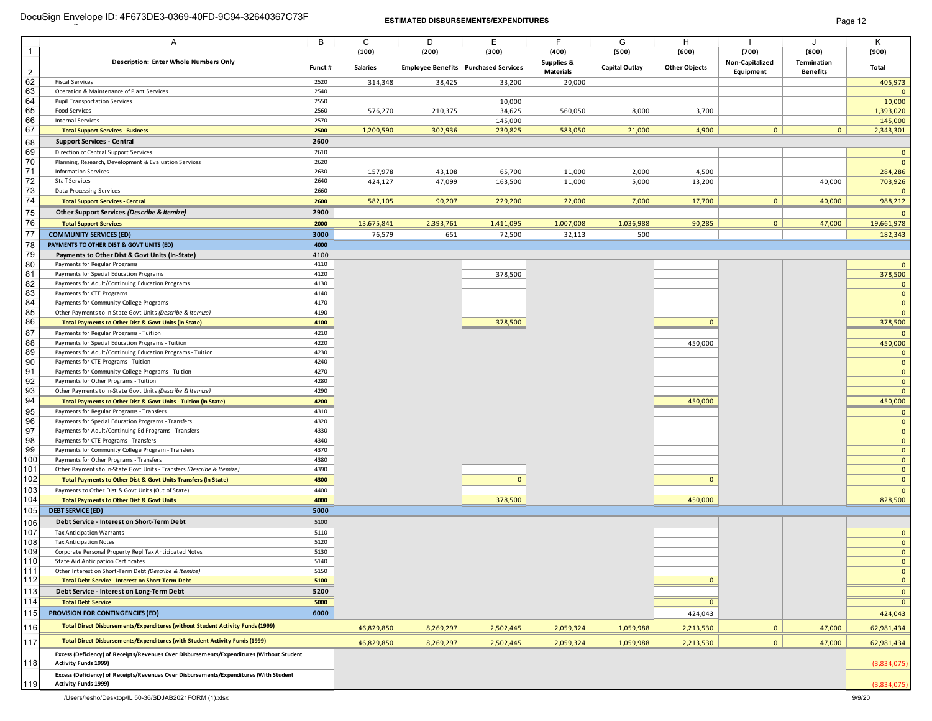|                | Α                                                                                                                        | В            | C               | D         | Е                                      | F.               | G                     | H                    |                 |              | K                            |
|----------------|--------------------------------------------------------------------------------------------------------------------------|--------------|-----------------|-----------|----------------------------------------|------------------|-----------------------|----------------------|-----------------|--------------|------------------------------|
| $\mathbf{1}$   |                                                                                                                          |              | (100)           | (200)     | (300)                                  | (400)            | (500)                 | (600)                | (700)           | (800)        | (900)                        |
|                | <b>Description: Enter Whole Numbers Only</b>                                                                             | Funct#       | <b>Salaries</b> |           | Employee Benefits   Purchased Services | Supplies &       | <b>Capital Outlay</b> | <b>Other Objects</b> | Non-Capitalized | Termination  | <b>Total</b>                 |
| $\overline{c}$ |                                                                                                                          |              |                 |           |                                        | <b>Materials</b> |                       |                      | Equipment       | Benefits     |                              |
| 62             | <b>Fiscal Services</b>                                                                                                   | 2520         | 314,348         | 38,425    | 33,200                                 | 20,000           |                       |                      |                 |              | 405,973                      |
| 63             | Operation & Maintenance of Plant Services                                                                                | 2540         |                 |           |                                        |                  |                       |                      |                 |              | $\mathbf{0}$                 |
| 64             | <b>Pupil Transportation Services</b>                                                                                     | 2550         |                 |           | 10,000                                 |                  |                       |                      |                 |              | 10,000                       |
| 65<br>66       | Food Services<br><b>Internal Services</b>                                                                                | 2560<br>2570 | 576,270         | 210,375   | 34,625                                 | 560,050          | 8,000                 | 3,700                |                 |              | 1,393,020                    |
| 67             | <b>Total Support Services - Business</b>                                                                                 | 2500         | 1,200,590       | 302,936   | 145,000<br>230,825                     | 583,050          | 21,000                | 4,900                | $\mathbf{0}$    | $\mathbf{0}$ | 145,000<br>2,343,301         |
|                |                                                                                                                          | 2600         |                 |           |                                        |                  |                       |                      |                 |              |                              |
| 68<br>69       | <b>Support Services - Central</b><br>Direction of Central Support Services                                               | 2610         |                 |           |                                        |                  |                       |                      |                 |              |                              |
| 70             | Planning, Research, Development & Evaluation Services                                                                    | 2620         |                 |           |                                        |                  |                       |                      |                 |              | $\mathbf{0}$<br>$\mathbf{0}$ |
| 71             | <b>Information Services</b>                                                                                              | 2630         | 157,978         | 43,108    | 65,700                                 | 11,000           | 2,000                 | 4,500                |                 |              | 284,286                      |
| 72             | <b>Staff Services</b>                                                                                                    | 2640         | 424,127         | 47,099    | 163,500                                | 11,000           | 5,000                 | 13,200               |                 | 40,000       | 703,926                      |
| 73             | Data Processing Services                                                                                                 | 2660         |                 |           |                                        |                  |                       |                      |                 |              | $\mathbf{0}$                 |
| 74             | <b>Total Support Services - Central</b>                                                                                  | 2600         | 582,105         | 90,207    | 229,200                                | 22,000           | 7,000                 | 17,700               | $\mathbf{0}$    | 40,000       | 988,212                      |
| 75             | Other Support Services (Describe & Itemize)                                                                              | 2900         |                 |           |                                        |                  |                       |                      |                 |              | $\mathbf{0}$                 |
| 76             | <b>Total Support Services</b>                                                                                            | 2000         | 13,675,841      | 2,393,761 | 1,411,095                              | 1,007,008        | 1,036,988             | 90,285               | $\mathbf{0}$    | 47,000       | 19,661,978                   |
| 77             | <b>COMMUNITY SERVICES (ED)</b>                                                                                           | 3000         | 76,579          | 651       | 72,500                                 | 32,113           | 500                   |                      |                 |              | 182,343                      |
| 78             | PAYMENTS TO OTHER DIST & GOVT UNITS (ED)                                                                                 | 4000         |                 |           |                                        |                  |                       |                      |                 |              |                              |
| 79             | Payments to Other Dist & Govt Units (In-State)                                                                           | 4100         |                 |           |                                        |                  |                       |                      |                 |              |                              |
| 80             | Payments for Regular Programs                                                                                            | 4110         |                 |           |                                        |                  |                       |                      |                 |              | $\mathbf{0}$                 |
| 81             | Payments for Special Education Programs                                                                                  | 4120         |                 |           | 378,500                                |                  |                       |                      |                 |              | 378,500                      |
| 82             | Payments for Adult/Continuing Education Programs                                                                         | 4130         |                 |           |                                        |                  |                       |                      |                 |              | $\mathbf{0}$                 |
| 83             | Payments for CTE Programs                                                                                                | 4140         |                 |           |                                        |                  |                       |                      |                 |              | $\mathbf{0}$                 |
| 84<br>85       | Payments for Community College Programs                                                                                  | 4170         |                 |           |                                        |                  |                       |                      |                 |              | $\mathbf{0}$                 |
| 86             | Other Payments to In-State Govt Units (Describe & Itemize)<br>Total Payments to Other Dist & Govt Units (In-State)       | 4190<br>4100 |                 |           | 378,500                                |                  |                       | $\overline{0}$       |                 |              | $\mathbf{0}$<br>378,500      |
| 87             | Payments for Regular Programs - Tuition                                                                                  | 4210         |                 |           |                                        |                  |                       |                      |                 |              | $\mathbf{0}$                 |
| 88             | Payments for Special Education Programs - Tuition                                                                        | 4220         |                 |           |                                        |                  |                       | 450,000              |                 |              | 450,000                      |
| 89             | Payments for Adult/Continuing Education Programs - Tuition                                                               | 4230         |                 |           |                                        |                  |                       |                      |                 |              | $\mathbf{0}$                 |
| 90             | Payments for CTE Programs - Tuition                                                                                      | 4240         |                 |           |                                        |                  |                       |                      |                 |              | $\mathbf{0}$                 |
| 91             | Payments for Community College Programs - Tuition                                                                        | 4270         |                 |           |                                        |                  |                       |                      |                 |              | $\mathbf{0}$                 |
| 92             | Payments for Other Programs - Tuition                                                                                    | 4280         |                 |           |                                        |                  |                       |                      |                 |              | $\mathbf{0}$                 |
| 93             | Other Payments to In-State Govt Units (Describe & Itemize)                                                               | 4290         |                 |           |                                        |                  |                       |                      |                 |              | $\mathbf{0}$                 |
| 94             | Total Payments to Other Dist & Govt Units - Tuition (In State)                                                           | 4200         |                 |           |                                        |                  |                       | 450,000              |                 |              | 450,000                      |
| 95             | Payments for Regular Programs - Transfers                                                                                | 4310         |                 |           |                                        |                  |                       |                      |                 |              | $\mathbf{0}$                 |
| 96             | Payments for Special Education Programs - Transfers                                                                      | 4320         |                 |           |                                        |                  |                       |                      |                 |              | $\mathbf{0}$                 |
| 97             | Payments for Adult/Continuing Ed Programs - Transfers                                                                    | 4330<br>4340 |                 |           |                                        |                  |                       |                      |                 |              | $\mathbf{0}$                 |
| 98<br>99       | Payments for CTE Programs - Transfers<br>Payments for Community College Program - Transfers                              | 4370         |                 |           |                                        |                  |                       |                      |                 |              | $\mathbf{0}$<br>$\mathbf{0}$ |
| 100            | Payments for Other Programs - Transfers                                                                                  | 4380         |                 |           |                                        |                  |                       |                      |                 |              | $\mathbf{0}$                 |
| 101            | Other Payments to In-State Govt Units - Transfers (Describe & Itemize)                                                   | 4390         |                 |           |                                        |                  |                       |                      |                 |              | $\mathbf{0}$                 |
| 102            | Total Payments to Other Dist & Govt Units-Transfers (In State)                                                           | 4300         |                 |           | $\mathbf{0}$                           |                  |                       | $\overline{0}$       |                 |              | $\mathbf{0}$                 |
| 103            | Payments to Other Dist & Govt Units (Out of State)                                                                       | 4400         |                 |           |                                        |                  |                       |                      |                 |              | $\mathbf{0}$                 |
| 104            | <b>Total Payments to Other Dist &amp; Govt Units</b>                                                                     | 4000         |                 |           | 378,500                                |                  |                       | 450,000              |                 |              | 828,500                      |
| 105            | <b>DEBT SERVICE (ED)</b>                                                                                                 | 5000         |                 |           |                                        |                  |                       |                      |                 |              |                              |
| 106            | Debt Service - Interest on Short-Term Debt                                                                               | 5100         |                 |           |                                        |                  |                       |                      |                 |              |                              |
| 107            | <b>Tax Anticipation Warrants</b>                                                                                         | 5110         |                 |           |                                        |                  |                       |                      |                 |              | $\mathbf{0}$                 |
| 108            | <b>Tax Anticipation Notes</b>                                                                                            | 5120         |                 |           |                                        |                  |                       |                      |                 |              | $\mathbf{0}$                 |
| 109            | Corporate Personal Property Repl Tax Anticipated Notes                                                                   | 5130         |                 |           |                                        |                  |                       |                      |                 |              | $\mathbf{0}$                 |
| 110            | State Aid Anticipation Certificates                                                                                      | 5140         |                 |           |                                        |                  |                       |                      |                 |              | $\mathbf{0}$                 |
| 111            | Other Interest on Short-Term Debt (Describe & Itemize)                                                                   | 5150         |                 |           |                                        |                  |                       |                      |                 |              | $\mathbf{0}$                 |
| 112            | <b>Total Debt Service - Interest on Short-Term Debt</b>                                                                  | 5100         |                 |           |                                        |                  |                       | $\mathbf{0}$         |                 |              | $\mathbf{0}$                 |
| 113            | Debt Service - Interest on Long-Term Debt                                                                                | 5200         |                 |           |                                        |                  |                       |                      |                 |              | $\mathbf{0}$                 |
| 114            | <b>Total Debt Service</b>                                                                                                | 5000         |                 |           |                                        |                  |                       | $\mathbf{0}$         |                 |              | $\mathbf{0}$                 |
| 115            | <b>PROVISION FOR CONTINGENCIES (ED)</b>                                                                                  | 6000         |                 |           |                                        |                  |                       | 424,043              |                 |              | 424,043                      |
| 116            | Total Direct Disbursements/Expenditures (without Student Activity Funds (1999)                                           |              | 46,829,850      | 8,269,297 | 2,502,445                              | 2,059,324        | 1,059,988             | 2,213,530            | $\mathbf{0}$    | 47,000       | 62,981,434                   |
| 117            | Total Direct Disbursements/Expenditures (with Student Activity Funds (1999)                                              |              | 46,829,850      | 8,269,297 | 2,502,445                              | 2,059,324        | 1,059,988             | 2,213,530            | $\mathbf 0$     | 47,000       | 62,981,434                   |
| 118            | Excess (Deficiency) of Receipts/Revenues Over Disbursements/Expenditures (Without Student<br><b>Activity Funds 1999)</b> |              |                 |           |                                        |                  |                       |                      |                 |              | (3,834,075)                  |
| 119            | Excess (Deficiency) of Receipts/Revenues Over Disbursements/Expenditures (With Student<br><b>Activity Funds 1999)</b>    |              |                 |           |                                        |                  |                       |                      |                 |              | (3,834,075)                  |
|                |                                                                                                                          |              |                 |           |                                        |                  |                       |                      |                 |              |                              |

/Users/resho/Desktop/IL 50-36/SDJAB2021FORM (1).xlsx 9/9/20

J,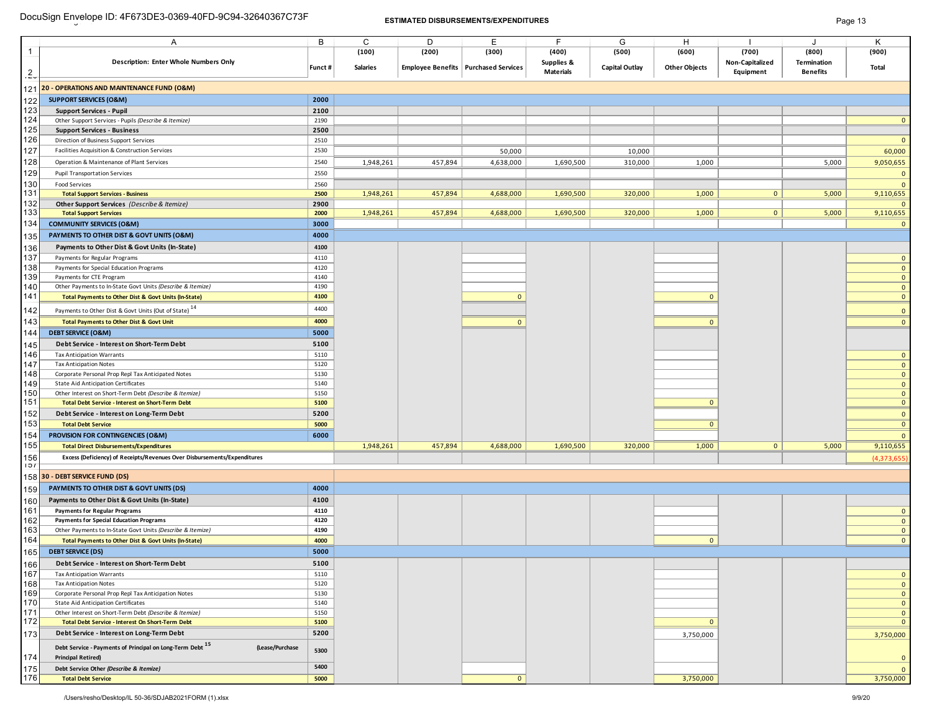|               | A                                                                                                            | В            | C               | D       | Е                                      | F          | G                     | Н                    |                 | $\cdot$         | K                            |
|---------------|--------------------------------------------------------------------------------------------------------------|--------------|-----------------|---------|----------------------------------------|------------|-----------------------|----------------------|-----------------|-----------------|------------------------------|
| $\mathbf{1}$  |                                                                                                              |              | (100)           | (200)   | (300)                                  | (400)      | (500)                 | (600)                | (700)           | (800)           | (900)                        |
|               | <b>Description: Enter Whole Numbers Only</b>                                                                 |              |                 |         |                                        | Supplies & |                       |                      | Non-Capitalized | Termination     |                              |
| $\frac{2}{1}$ |                                                                                                              | Funct#       | <b>Salaries</b> |         | Employee Benefits   Purchased Services | Materials  | <b>Capital Outlay</b> | <b>Other Objects</b> | Equipment       | <b>Benefits</b> | <b>Total</b>                 |
|               |                                                                                                              |              |                 |         |                                        |            |                       |                      |                 |                 |                              |
| 121           | 20 - OPERATIONS AND MAINTENANCE FUND (O&M)                                                                   |              |                 |         |                                        |            |                       |                      |                 |                 |                              |
| 122           | <b>SUPPORT SERVICES (O&amp;M)</b>                                                                            | 2000         |                 |         |                                        |            |                       |                      |                 |                 |                              |
| 123           | <b>Support Services - Pupil</b>                                                                              | 2100         |                 |         |                                        |            |                       |                      |                 |                 |                              |
| 124           | Other Support Services - Pupils (Describe & Itemize)                                                         | 2190         |                 |         |                                        |            |                       |                      |                 |                 | $\mathbf{0}$                 |
| 125<br>126    | <b>Support Services - Business</b>                                                                           | 2500         |                 |         |                                        |            |                       |                      |                 |                 |                              |
|               | Direction of Business Support Services                                                                       | 2510         |                 |         |                                        |            |                       |                      |                 |                 | $\mathbf{0}$                 |
| 127           | Facilities Acquisition & Construction Services                                                               | 2530         |                 |         | 50,000                                 |            | 10,000                |                      |                 |                 | 60,000                       |
| 128           | Operation & Maintenance of Plant Services                                                                    | 2540         | 1,948,261       | 457,894 | 4,638,000                              | 1,690,500  | 310,000               | 1,000                |                 | 5,000           | 9,050,655                    |
| 129           | <b>Pupil Transportation Services</b>                                                                         | 2550         |                 |         |                                        |            |                       |                      |                 |                 | $\mathbf 0$                  |
| 130           | Food Services                                                                                                | 2560         |                 |         |                                        |            |                       |                      |                 |                 | $\mathbf{0}$                 |
| 131           | <b>Total Support Services - Business</b>                                                                     | 2500         | 1,948,261       | 457,894 | 4,688,000                              | 1,690,500  | 320,000               | 1,000                | $\mathbf 0$     | 5,000           | 9,110,655                    |
| 132           | Other Support Services (Describe & Itemize)                                                                  | 2900         |                 |         |                                        |            |                       |                      |                 |                 | $\mathbf{0}$                 |
| 133           | <b>Total Support Services</b>                                                                                | 2000         | 1,948,261       | 457,894 | 4,688,000                              | 1,690,500  | 320,000               | 1,000                | $\overline{0}$  | 5,000           | 9,110,655                    |
| 134           | <b>COMMUNITY SERVICES (O&amp;M)</b>                                                                          | 3000         |                 |         |                                        |            |                       |                      |                 |                 | $\mathbf{0}$                 |
| 135           | PAYMENTS TO OTHER DIST & GOVT UNITS (O&M)                                                                    | 4000         |                 |         |                                        |            |                       |                      |                 |                 |                              |
| 136           | Payments to Other Dist & Govt Units (In-State)                                                               | 4100         |                 |         |                                        |            |                       |                      |                 |                 |                              |
| 137           | Payments for Regular Programs                                                                                | 4110         |                 |         |                                        |            |                       |                      |                 |                 | $\mathbf{0}$                 |
| 138           | Payments for Special Education Programs                                                                      | 4120         |                 |         |                                        |            |                       |                      |                 |                 | $\mathbf{0}$                 |
| 139           | Payments for CTE Program                                                                                     | 4140         |                 |         |                                        |            |                       |                      |                 |                 | $\mathbf{0}$                 |
| 140           | Other Payments to In-State Govt Units (Describe & Itemize)                                                   | 4190         |                 |         |                                        |            |                       |                      |                 |                 | $\mathbf{0}$                 |
| 141           | Total Payments to Other Dist & Govt Units (In-State)                                                         | 4100         |                 |         | $\mathbf 0$                            |            |                       | $\mathbf{0}$         |                 |                 | $\mathbf{0}$                 |
| 142           | Payments to Other Dist & Govt Units (Out of State) 14                                                        | 4400         |                 |         |                                        |            |                       |                      |                 |                 | $\mathbf{0}$                 |
| 143           | <b>Total Payments to Other Dist &amp; Govt Unit</b>                                                          | 4000         |                 |         | $\mathbf{0}$                           |            |                       | $\mathbf{0}$         |                 |                 | $\mathbf{0}$                 |
| 144           | <b>DEBT SERVICE (O&amp;M)</b>                                                                                | 5000         |                 |         |                                        |            |                       |                      |                 |                 |                              |
| 145           | Debt Service - Interest on Short-Term Debt                                                                   | 5100         |                 |         |                                        |            |                       |                      |                 |                 |                              |
| 146           | <b>Tax Anticipation Warrants</b>                                                                             | 5110         |                 |         |                                        |            |                       |                      |                 |                 | $\mathbf{0}$                 |
| 147           | <b>Tax Anticipation Notes</b>                                                                                | 5120         |                 |         |                                        |            |                       |                      |                 |                 | $\mathbf{0}$                 |
| 148           | Corporate Personal Prop Repl Tax Anticipated Notes                                                           | 5130         |                 |         |                                        |            |                       |                      |                 |                 | $\mathbf{0}$                 |
| 149           | State Aid Anticipation Certificates                                                                          | 5140         |                 |         |                                        |            |                       |                      |                 |                 | $\mathbf{0}$                 |
| 150           | Other Interest on Short-Term Debt (Describe & Itemize)                                                       | 5150         |                 |         |                                        |            |                       |                      |                 |                 | $\mathbf{0}$                 |
| 151           | Total Debt Service - Interest on Short-Term Debt                                                             | 5100         |                 |         |                                        |            |                       | $\mathbf{0}$         |                 |                 | $\mathbf{0}$                 |
| 152           | Debt Service - Interest on Long-Term Debt                                                                    | 5200         |                 |         |                                        |            |                       |                      |                 |                 | $\mathbf{0}$                 |
| 153           | <b>Total Debt Service</b>                                                                                    | 5000         |                 |         |                                        |            |                       | $\mathbf{0}$         |                 |                 | $\mathbf{0}$                 |
| 154           | PROVISION FOR CONTINGENCIES (O&M)                                                                            | 6000         |                 |         |                                        |            |                       |                      |                 |                 | $\mathbf{0}$                 |
| 155           | <b>Total Direct Disbursements/Expenditures</b>                                                               |              | 1,948,261       | 457,894 | 4,688,000                              | 1,690,500  | 320,000               | 1,000                | 0               | 5,000           | 9,110,655                    |
| 156           | Excess (Deficiency) of Receipts/Revenues Over Disbursements/Expenditures                                     |              |                 |         |                                        |            |                       |                      |                 |                 | (4,373,655)                  |
| 151           |                                                                                                              |              |                 |         |                                        |            |                       |                      |                 |                 |                              |
|               | 158 30 - DEBT SERVICE FUND (DS)                                                                              |              |                 |         |                                        |            |                       |                      |                 |                 |                              |
| 159           | PAYMENTS TO OTHER DIST & GOVT UNITS (DS)                                                                     | 4000         |                 |         |                                        |            |                       |                      |                 |                 |                              |
|               |                                                                                                              |              |                 |         |                                        |            |                       |                      |                 |                 |                              |
| 160           | Payments to Other Dist & Govt Units (In-State)                                                               | 4100         |                 |         |                                        |            |                       |                      |                 |                 |                              |
| 161<br>162    | <b>Payments for Regular Programs</b>                                                                         | 4110<br>4120 |                 |         |                                        |            |                       |                      |                 |                 | $\mathbf{0}$                 |
| 163           | <b>Payments for Special Education Programs</b><br>Other Payments to In-State Govt Units (Describe & Itemize) | 4190         |                 |         |                                        |            |                       |                      |                 |                 | $\mathbf{0}$<br>$\mathbf{0}$ |
| 164           | Total Payments to Other Dist & Govt Units (In-State)                                                         | 4000         |                 |         |                                        |            |                       | $\mathbf 0$          |                 |                 | $\mathbf{0}$                 |
|               |                                                                                                              | 5000         |                 |         |                                        |            |                       |                      |                 |                 |                              |
| 165           | <b>DEBT SERVICE (DS)</b>                                                                                     |              |                 |         |                                        |            |                       |                      |                 |                 |                              |
| 166           | Debt Service - Interest on Short-Term Debt                                                                   | 5100         |                 |         |                                        |            |                       |                      |                 |                 |                              |
| 167           | <b>Tax Anticipation Warrants</b>                                                                             | 5110         |                 |         |                                        |            |                       |                      |                 |                 | $\mathbf{0}$                 |
| 168           | <b>Tax Anticipation Notes</b>                                                                                | 5120         |                 |         |                                        |            |                       |                      |                 |                 | $\mathbf{0}$                 |
| 169           | Corporate Personal Prop Repl Tax Anticipation Notes                                                          | 5130         |                 |         |                                        |            |                       |                      |                 |                 | $\mathbf{0}$                 |
| 170<br>171    | <b>State Aid Anticipation Certificates</b><br>Other Interest on Short-Term Debt (Describe & Itemize)         | 5140         |                 |         |                                        |            |                       |                      |                 |                 | $\mathbf{0}$                 |
| 172           | Total Debt Service - Interest On Short-Term Debt                                                             | 5150<br>5100 |                 |         |                                        |            |                       | $\mathbf{0}$         |                 |                 | $\mathbf{0}$<br>$\mathbf{0}$ |
|               |                                                                                                              | 5200         |                 |         |                                        |            |                       |                      |                 |                 |                              |
| 173           | Debt Service - Interest on Long-Term Debt                                                                    |              |                 |         |                                        |            |                       | 3,750,000            |                 |                 | 3,750,000                    |
|               | Debt Service - Payments of Principal on Long-Term Debt 15<br>(Lease/Purchase                                 | 5300         |                 |         |                                        |            |                       |                      |                 |                 |                              |
| 174           | <b>Principal Retired)</b>                                                                                    |              |                 |         |                                        |            |                       |                      |                 |                 | $\mathbf 0$                  |
| 175           | Debt Service Other (Describe & Itemize)                                                                      | 5400         |                 |         |                                        |            |                       |                      |                 |                 | $\mathbf{0}$                 |
| 176           | <b>Total Debt Service</b>                                                                                    | 5000         |                 |         | $\mathbf{0}$                           |            |                       | 3,750,000            |                 |                 | 3,750,000                    |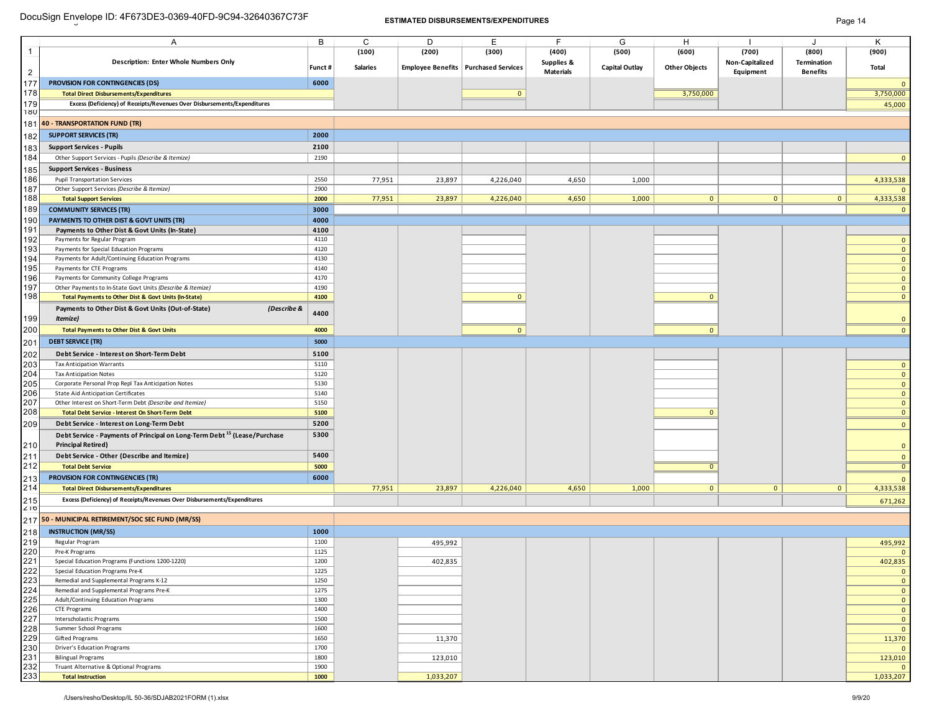|                   | Α                                                                                    | B      | C               | D         | Е                                      | F.               | G                     | н                    |                 |                 | K              |
|-------------------|--------------------------------------------------------------------------------------|--------|-----------------|-----------|----------------------------------------|------------------|-----------------------|----------------------|-----------------|-----------------|----------------|
| $\mathbf{1}$      |                                                                                      |        | (100)           | (200)     | (300)                                  | (400)            | (500)                 | (600)                | (700)           | (800)           | (900)          |
|                   | <b>Description: Enter Whole Numbers Only</b>                                         |        |                 |           |                                        | Supplies &       |                       |                      | Non-Capitalized | Termination     |                |
| $\overline{2}$    |                                                                                      | Funct# | <b>Salaries</b> |           | Employee Benefits   Purchased Services | <b>Materials</b> | <b>Capital Outlay</b> | <b>Other Objects</b> | Equipment       | <b>Benefits</b> | Total          |
| 177               | PROVISION FOR CONTINGENCIES (DS)                                                     | 6000   |                 |           |                                        |                  |                       |                      |                 |                 | $\mathbf{0}$   |
| 178               | <b>Total Direct Disbursements/Expenditures</b>                                       |        |                 |           | $\mathbf{0}$                           |                  |                       | 3,750,000            |                 |                 | 3,750,000      |
|                   | Excess (Deficiency) of Receipts/Revenues Over Disbursements/Expenditures             |        |                 |           |                                        |                  |                       |                      |                 |                 |                |
| 179<br><b>UÖI</b> |                                                                                      |        |                 |           |                                        |                  |                       |                      |                 |                 | 45,000         |
|                   |                                                                                      |        |                 |           |                                        |                  |                       |                      |                 |                 |                |
|                   | 181 40 - TRANSPORTATION FUND (TR)                                                    |        |                 |           |                                        |                  |                       |                      |                 |                 |                |
| 182               | <b>SUPPORT SERVICES (TR)</b>                                                         | 2000   |                 |           |                                        |                  |                       |                      |                 |                 |                |
| 183               | <b>Support Services - Pupils</b>                                                     | 2100   |                 |           |                                        |                  |                       |                      |                 |                 |                |
| 184               | Other Support Services - Pupils (Describe & Itemize)                                 | 2190   |                 |           |                                        |                  |                       |                      |                 |                 | $\mathbf{0}$   |
| 185               | <b>Support Services - Business</b>                                                   |        |                 |           |                                        |                  |                       |                      |                 |                 |                |
| 186               | <b>Pupil Transportation Services</b>                                                 | 2550   | 77,951          | 23,897    | 4,226,040                              | 4,650            | 1,000                 |                      |                 |                 | 4,333,538      |
| 187               | Other Support Services (Describe & Itemize)                                          | 2900   |                 |           |                                        |                  |                       |                      |                 |                 | $\mathbf{0}$   |
| 188               | <b>Total Support Services</b>                                                        | 2000   | 77,951          | 23,897    | 4,226,040                              | 4,650            | 1,000                 | $\circ$              | $\mathbf{0}$    | $\mathbf{0}$    | 4,333,538      |
| 189               | <b>COMMUNITY SERVICES (TR)</b>                                                       | 3000   |                 |           |                                        |                  |                       |                      |                 |                 | $\mathbf{0}$   |
| 190               | PAYMENTS TO OTHER DIST & GOVT UNITS (TR)                                             | 4000   |                 |           |                                        |                  |                       |                      |                 |                 |                |
| 191               | Payments to Other Dist & Govt Units (In-State)                                       | 4100   |                 |           |                                        |                  |                       |                      |                 |                 |                |
| 192               | Payments for Regular Program                                                         | 4110   |                 |           |                                        |                  |                       |                      |                 |                 | $\mathbf{0}$   |
| 193               | Payments for Special Education Programs                                              | 4120   |                 |           |                                        |                  |                       |                      |                 |                 | $\mathbf{0}$   |
| 194               | Payments for Adult/Continuing Education Programs                                     | 4130   |                 |           |                                        |                  |                       |                      |                 |                 | $\mathbf{0}$   |
| 195               | Payments for CTE Programs                                                            | 4140   |                 |           |                                        |                  |                       |                      |                 |                 | $\mathbf{0}$   |
| 196               | Payments for Community College Programs                                              | 4170   |                 |           |                                        |                  |                       |                      |                 |                 | $\mathbf{0}$   |
| 197               | Other Payments to In-State Govt Units (Describe & Itemize)                           | 4190   |                 |           |                                        |                  |                       |                      |                 |                 | $\mathbf{0}$   |
| 198               | Total Payments to Other Dist & Govt Units (In-State)                                 | 4100   |                 |           | $\mathbf{0}$                           |                  |                       | $\mathbf{0}$         |                 |                 | $\mathbf{0}$   |
|                   | (Describe &<br>Payments to Other Dist & Govt Units (Out-of-State)                    |        |                 |           |                                        |                  |                       |                      |                 |                 |                |
| 199               | <b>Itemize)</b>                                                                      | 4400   |                 |           |                                        |                  |                       |                      |                 |                 | $\mathbf{0}$   |
| 200               | <b>Total Payments to Other Dist &amp; Govt Units</b>                                 | 4000   |                 |           | $\mathbf{0}$                           |                  |                       | $\mathbf{0}$         |                 |                 | $\mathbf{0}$   |
|                   |                                                                                      |        |                 |           |                                        |                  |                       |                      |                 |                 |                |
| 201               | <b>DEBT SERVICE (TR)</b>                                                             | 5000   |                 |           |                                        |                  |                       |                      |                 |                 |                |
| 202               | Debt Service - Interest on Short-Term Debt                                           | 5100   |                 |           |                                        |                  |                       |                      |                 |                 |                |
| 203               | <b>Tax Anticipation Warrants</b>                                                     | 5110   |                 |           |                                        |                  |                       |                      |                 |                 | $\mathbf{0}$   |
| 204               | <b>Tax Anticipation Notes</b>                                                        | 5120   |                 |           |                                        |                  |                       |                      |                 |                 | $\mathbf{0}$   |
| 205               | Corporate Personal Prop Repl Tax Anticipation Notes                                  | 5130   |                 |           |                                        |                  |                       |                      |                 |                 | $\mathbf{0}$   |
| 206               | State Aid Anticipation Certificates                                                  | 5140   |                 |           |                                        |                  |                       |                      |                 |                 | $\mathbf{0}$   |
| 207               | Other Interest on Short-Term Debt (Describe and Itemize)                             | 5150   |                 |           |                                        |                  |                       |                      |                 |                 | $\mathbf{0}$   |
| 208               | Total Debt Service - Interest On Short-Term Debt                                     | 5100   |                 |           |                                        |                  |                       | $\mathbf{0}$         |                 |                 | $\mathbf{0}$   |
| 209               | Debt Service - Interest on Long-Term Debt                                            | 5200   |                 |           |                                        |                  |                       |                      |                 |                 | $\mathbf{0}$   |
|                   | Debt Service - Payments of Principal on Long-Term Debt <sup>15</sup> (Lease/Purchase | 5300   |                 |           |                                        |                  |                       |                      |                 |                 |                |
| 210               | <b>Principal Retired)</b>                                                            |        |                 |           |                                        |                  |                       |                      |                 |                 | $\mathbf{0}$   |
| 211               | Debt Service - Other (Describe and Itemize)                                          | 5400   |                 |           |                                        |                  |                       |                      |                 |                 | $\overline{0}$ |
| 212               | <b>Total Debt Service</b>                                                            | 5000   |                 |           |                                        |                  |                       | $\mathbf{0}$         |                 |                 | $\mathbf{0}$   |
|                   |                                                                                      | 6000   |                 |           |                                        |                  |                       |                      |                 |                 |                |
| 213<br>214        | <b>PROVISION FOR CONTINGENCIES (TR)</b>                                              |        |                 |           |                                        |                  |                       | $\mathbf{0}$         | $\mathbf{0}$    |                 | $\mathbf{0}$   |
|                   | <b>Total Direct Disbursements/Expenditures</b>                                       |        | 77,951          | 23,897    | 4,226,040                              | 4,650            | 1,000                 |                      |                 | $\mathbf{0}$    | 4,333,538      |
| 215<br>216        | Excess (Deficiency) of Receipts/Revenues Over Disbursements/Expenditures             |        |                 |           |                                        |                  |                       |                      |                 |                 | 671,262        |
|                   |                                                                                      |        |                 |           |                                        |                  |                       |                      |                 |                 |                |
|                   | 217 50 - MUNICIPAL RETIREMENT/SOC SEC FUND (MR/SS)                                   |        |                 |           |                                        |                  |                       |                      |                 |                 |                |
| 218               | <b>INSTRUCTION (MR/SS)</b>                                                           | 1000   |                 |           |                                        |                  |                       |                      |                 |                 |                |
| 219               | Regular Program                                                                      | 1100   |                 | 495,992   |                                        |                  |                       |                      |                 |                 | 495,992        |
| 220               | Pre-K Programs                                                                       | 1125   |                 |           |                                        |                  |                       |                      |                 |                 | $\mathbf{0}$   |
| 221               | Special Education Programs (Functions 1200-1220)                                     | 1200   |                 | 402,835   |                                        |                  |                       |                      |                 |                 | 402,835        |
| 222               | Special Education Programs Pre-K                                                     | 1225   |                 |           |                                        |                  |                       |                      |                 |                 | $\mathbf{0}$   |
| 223               | Remedial and Supplemental Programs K-12                                              | 1250   |                 |           |                                        |                  |                       |                      |                 |                 | $\overline{0}$ |
| 224               | Remedial and Supplemental Programs Pre-K                                             | 1275   |                 |           |                                        |                  |                       |                      |                 |                 | $\mathbf{0}$   |
| 225               | Adult/Continuing Education Programs                                                  | 1300   |                 |           |                                        |                  |                       |                      |                 |                 | $\mathbf{0}$   |
| 226               | CTE Programs                                                                         | 1400   |                 |           |                                        |                  |                       |                      |                 |                 | $\mathbf{0}$   |
| 227               | Interscholastic Programs                                                             | 1500   |                 |           |                                        |                  |                       |                      |                 |                 | $\mathbf{0}$   |
| 228               | Summer School Programs                                                               | 1600   |                 |           |                                        |                  |                       |                      |                 |                 | $\mathbf{0}$   |
| 229               | Gifted Programs                                                                      | 1650   |                 | 11,370    |                                        |                  |                       |                      |                 |                 | 11,370         |
| 230               | Driver's Education Programs                                                          | 1700   |                 |           |                                        |                  |                       |                      |                 |                 | $\mathbf{0}$   |
| 231               | <b>Bilingual Programs</b>                                                            | 1800   |                 | 123,010   |                                        |                  |                       |                      |                 |                 | 123,010        |
| 232               | Truant Alternative & Optional Programs                                               | 1900   |                 |           |                                        |                  |                       |                      |                 |                 | $\mathbf{0}$   |
| 233               | <b>Total Instruction</b>                                                             | 1000   |                 | 1,033,207 |                                        |                  |                       |                      |                 |                 | 1,033,207      |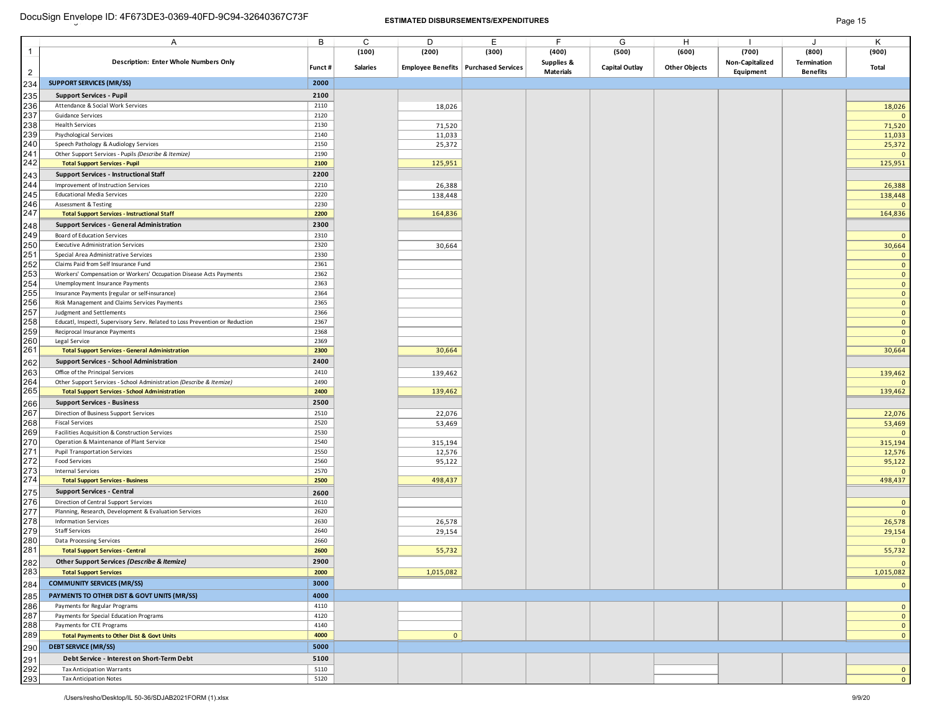### Page 15 **ESTIMATED DISBURSEMENTS/EXPENDITURES** Page 15 DocuSign Envelope ID: 4F673DE3-0369-40FD-9C94-32640367C73F

|--|--|--|

|                | A                                                                            | B            | C               | D                | Е                                      | F.               | G                     | H                    |                 | J               | Κ                              |
|----------------|------------------------------------------------------------------------------|--------------|-----------------|------------------|----------------------------------------|------------------|-----------------------|----------------------|-----------------|-----------------|--------------------------------|
| $\mathbf{1}$   |                                                                              |              | (100)           | (200)            | (300)                                  | (400)            | (500)                 | (600)                | (700)           | (800)           | (900)                          |
|                | <b>Description: Enter Whole Numbers Only</b>                                 |              |                 |                  |                                        | Supplies &       |                       |                      | Non-Capitalized | Termination     |                                |
| $\overline{2}$ |                                                                              | Funct#       | <b>Salaries</b> |                  | Employee Benefits   Purchased Services | <b>Materials</b> | <b>Capital Outlay</b> | <b>Other Objects</b> | Equipment       | <b>Benefits</b> | Total                          |
| 234            | <b>SUPPORT SERVICES (MR/SS)</b>                                              | 2000         |                 |                  |                                        |                  |                       |                      |                 |                 |                                |
| 235            | <b>Support Services - Pupil</b>                                              | 2100         |                 |                  |                                        |                  |                       |                      |                 |                 |                                |
| 236            | Attendance & Social Work Services                                            | 2110         |                 | 18,026           |                                        |                  |                       |                      |                 |                 | 18,026                         |
| 237            | Guidance Services                                                            | 2120         |                 |                  |                                        |                  |                       |                      |                 |                 | $\mathbf{0}$                   |
| 238            | <b>Health Services</b>                                                       | 2130         |                 | 71,520           |                                        |                  |                       |                      |                 |                 | 71,520                         |
| 239            | Psychological Services                                                       | 2140         |                 | 11,033           |                                        |                  |                       |                      |                 |                 | 11,033                         |
| 240            | Speech Pathology & Audiology Services                                        | 2150         |                 | 25,372           |                                        |                  |                       |                      |                 |                 | 25,372                         |
| 241            | Other Support Services - Pupils (Describe & Itemize)                         | 2190         |                 |                  |                                        |                  |                       |                      |                 |                 | $\mathbf{0}$                   |
| 242            | <b>Total Support Services - Pupil</b>                                        | 2100         |                 | 125,951          |                                        |                  |                       |                      |                 |                 | 125,951                        |
| 243            | <b>Support Services - Instructional Staff</b>                                | 2200         |                 |                  |                                        |                  |                       |                      |                 |                 |                                |
| 244            | Improvement of Instruction Services                                          | 2210         |                 | 26,388           |                                        |                  |                       |                      |                 |                 | 26,388                         |
| 245            | <b>Educational Media Services</b>                                            | 2220         |                 | 138,448          |                                        |                  |                       |                      |                 |                 | 138,448                        |
| 246            | Assessment & Testing                                                         | 2230         |                 |                  |                                        |                  |                       |                      |                 |                 | $\mathbf{0}$                   |
| 247            | <b>Total Support Services - Instructional Staff</b>                          | 2200         |                 | 164,836          |                                        |                  |                       |                      |                 |                 | 164,836                        |
| 248            | <b>Support Services - General Administration</b>                             | 2300         |                 |                  |                                        |                  |                       |                      |                 |                 |                                |
| 249            | Board of Education Services                                                  | 2310         |                 |                  |                                        |                  |                       |                      |                 |                 | $\mathbf{0}$                   |
| 250<br>251     | <b>Executive Administration Services</b>                                     | 2320<br>2330 |                 | 30,664           |                                        |                  |                       |                      |                 |                 | 30,664                         |
| 252            | Special Area Administrative Services<br>Claims Paid from Self Insurance Fund | 2361         |                 |                  |                                        |                  |                       |                      |                 |                 | $\mathbf{0}$<br>$\overline{0}$ |
| 253            | Workers' Compensation or Workers' Occupation Disease Acts Payments           | 2362         |                 |                  |                                        |                  |                       |                      |                 |                 | $\mathbf{0}$                   |
| 254            | Unemployment Insurance Payments                                              | 2363         |                 |                  |                                        |                  |                       |                      |                 |                 | $\mathbf{0}$                   |
| 255            | Insurance Payments (regular or self-insurance)                               | 2364         |                 |                  |                                        |                  |                       |                      |                 |                 | $\mathbf{0}$                   |
| 256            | Risk Management and Claims Services Payments                                 | 2365         |                 |                  |                                        |                  |                       |                      |                 |                 | $\mathbf{0}$                   |
| 257            | Judgment and Settlements                                                     | 2366         |                 |                  |                                        |                  |                       |                      |                 |                 | $\mathbf{0}$                   |
| 258            | Educatl, Inspectl, Supervisory Serv. Related to Loss Prevention or Reduction | 2367         |                 |                  |                                        |                  |                       |                      |                 |                 | $\mathbf{0}$                   |
| 259            | Reciprocal Insurance Payments                                                | 2368         |                 |                  |                                        |                  |                       |                      |                 |                 | $\mathbf{0}$                   |
| 260            | Legal Service                                                                | 2369         |                 |                  |                                        |                  |                       |                      |                 |                 | $\mathbf{0}$                   |
| 261            | <b>Total Support Services - General Administration</b>                       | 2300         |                 | 30,664           |                                        |                  |                       |                      |                 |                 | 30,664                         |
| 262            | <b>Support Services - School Administration</b>                              | 2400         |                 |                  |                                        |                  |                       |                      |                 |                 |                                |
| 263            | Office of the Principal Services                                             | 2410         |                 | 139,462          |                                        |                  |                       |                      |                 |                 | 139,462                        |
| 264            | Other Support Services - School Administration (Describe & Itemize)          | 2490         |                 |                  |                                        |                  |                       |                      |                 |                 | $\mathbf{0}$                   |
| 265            | <b>Total Support Services - School Administration</b>                        | 2400         |                 | 139,462          |                                        |                  |                       |                      |                 |                 | 139,462                        |
| 266            | <b>Support Services - Business</b>                                           | 2500         |                 |                  |                                        |                  |                       |                      |                 |                 |                                |
| 267            | Direction of Business Support Services                                       | 2510         |                 | 22,076           |                                        |                  |                       |                      |                 |                 | 22,076                         |
| 268            | <b>Fiscal Services</b>                                                       | 2520         |                 | 53,469           |                                        |                  |                       |                      |                 |                 | 53,469                         |
| 269            | Facilities Acquisition & Construction Services                               | 2530         |                 |                  |                                        |                  |                       |                      |                 |                 | $\mathbf{0}$                   |
| 270<br>271     | Operation & Maintenance of Plant Service<br>Pupil Transportation Services    | 2540<br>2550 |                 | 315,194          |                                        |                  |                       |                      |                 |                 | 315,194                        |
| 272            | Food Services                                                                | 2560         |                 | 12,576<br>95,122 |                                        |                  |                       |                      |                 |                 | 12,576<br>95,122               |
| 273            | <b>Internal Services</b>                                                     | 2570         |                 |                  |                                        |                  |                       |                      |                 |                 | $\mathbf{0}$                   |
| 274            | <b>Total Support Services - Business</b>                                     | 2500         |                 | 498,437          |                                        |                  |                       |                      |                 |                 | 498,437                        |
| 275            | <b>Support Services - Central</b>                                            | 2600         |                 |                  |                                        |                  |                       |                      |                 |                 |                                |
| 276            | Direction of Central Support Services                                        | 2610         |                 |                  |                                        |                  |                       |                      |                 |                 | $\mathbf{0}$                   |
| 277            | Planning, Research, Development & Evaluation Services                        | 2620         |                 |                  |                                        |                  |                       |                      |                 |                 | $\mathbf{0}$                   |
| 278            | <b>Information Services</b>                                                  | 2630         |                 | 26,578           |                                        |                  |                       |                      |                 |                 | 26,578                         |
| 279            | <b>Staff Services</b>                                                        | 2640         |                 | 29,154           |                                        |                  |                       |                      |                 |                 | 29,154                         |
| 280            | Data Processing Services                                                     | 2660         |                 |                  |                                        |                  |                       |                      |                 |                 | $\mathbf{0}$                   |
| 281            | <b>Total Support Services - Central</b>                                      | 2600         |                 | 55,732           |                                        |                  |                       |                      |                 |                 | 55,732                         |
| 282            | Other Support Services (Describe & Itemize)                                  | 2900         |                 |                  |                                        |                  |                       |                      |                 |                 | $\overline{0}$                 |
| 283            | <b>Total Support Services</b>                                                | 2000         |                 | 1,015,082        |                                        |                  |                       |                      |                 |                 | 1,015,082                      |
| 284            | <b>COMMUNITY SERVICES (MR/SS)</b>                                            | 3000         |                 |                  |                                        |                  |                       |                      |                 |                 | $\mathbf{0}$                   |
| 285            | PAYMENTS TO OTHER DIST & GOVT UNITS (MR/SS)                                  | 4000         |                 |                  |                                        |                  |                       |                      |                 |                 |                                |
| 286            | Payments for Regular Programs                                                | 4110         |                 |                  |                                        |                  |                       |                      |                 |                 | $\mathbf{0}$                   |
| 287            | Payments for Special Education Programs                                      | 4120         |                 |                  |                                        |                  |                       |                      |                 |                 | $\mathbf{0}$                   |
| 288            | Payments for CTE Programs                                                    | 4140         |                 |                  |                                        |                  |                       |                      |                 |                 | $\mathbf{0}$                   |
| 289            | <b>Total Payments to Other Dist &amp; Govt Units</b>                         | 4000         |                 | $\mathbf{0}$     |                                        |                  |                       |                      |                 |                 | $\mathbf{0}$                   |
| 290            | <b>DEBT SERVICE (MR/SS)</b>                                                  | 5000         |                 |                  |                                        |                  |                       |                      |                 |                 |                                |
| 291            | Debt Service - Interest on Short-Term Debt                                   | 5100         |                 |                  |                                        |                  |                       |                      |                 |                 |                                |
| 292            | <b>Tax Anticipation Warrants</b>                                             | 5110         |                 |                  |                                        |                  |                       |                      |                 |                 | $\mathbf{0}$                   |
| 293            | <b>Tax Anticipation Notes</b>                                                | 5120         |                 |                  |                                        |                  |                       |                      |                 |                 | $\mathbf{0}$                   |
|                |                                                                              |              |                 |                  |                                        |                  |                       |                      |                 |                 |                                |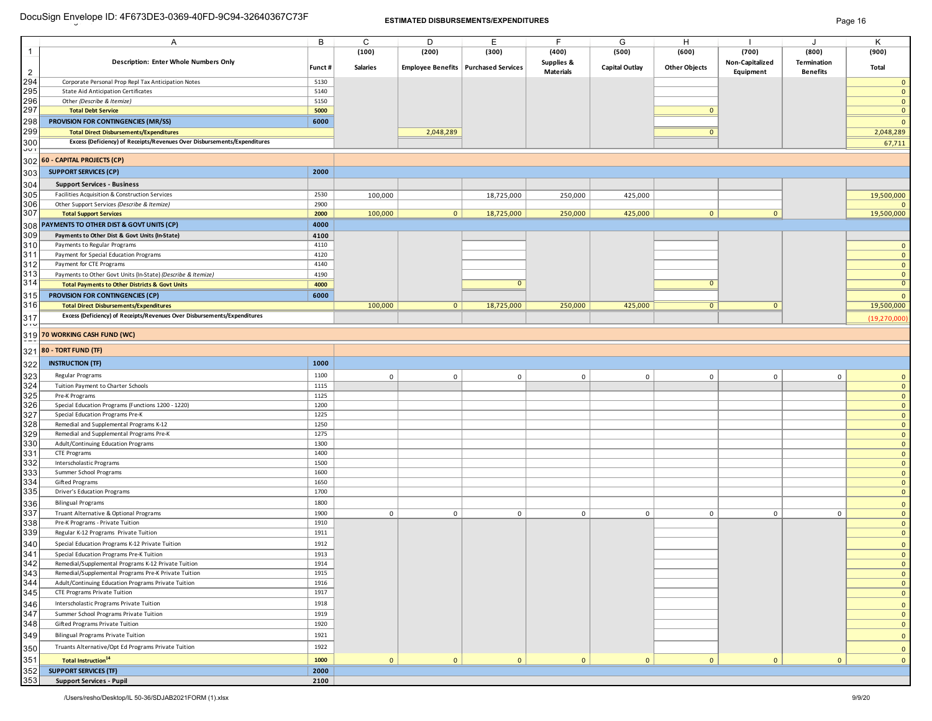### Page 16 **ESTIMATED DISBURSEMENTS/EXPENDITURES** Page 16 DocuSign Envelope ID: 4F673DE3-0369-40FD-9C94-32640367C73F

|                | A                                                                                   | B            | C               | D            | E.                                     | F                | G                     | H                    |                 | J               | Κ                            |
|----------------|-------------------------------------------------------------------------------------|--------------|-----------------|--------------|----------------------------------------|------------------|-----------------------|----------------------|-----------------|-----------------|------------------------------|
| 1              |                                                                                     |              | (100)           | (200)        | (300)                                  | (400)            | (500)                 | (600)                | (700)           | (800)           | (900)                        |
|                | Description: Enter Whole Numbers Only                                               |              |                 |              |                                        | Supplies &       |                       |                      | Non-Capitalized | Termination     |                              |
| $\overline{2}$ |                                                                                     | Funct#       | <b>Salaries</b> |              | Employee Benefits   Purchased Services | <b>Materials</b> | <b>Capital Outlay</b> | <b>Other Objects</b> | Equipment       | <b>Benefits</b> | Total                        |
| 294            | Corporate Personal Prop Repl Tax Anticipation Notes                                 | 5130         |                 |              |                                        |                  |                       |                      |                 |                 | $\mathbf{0}$                 |
| 295            | State Aid Anticipation Certificates                                                 | 5140         |                 |              |                                        |                  |                       |                      |                 |                 | $\mathbf{0}$                 |
| 296            | Other (Describe & Itemize)                                                          | 5150         |                 |              |                                        |                  |                       |                      |                 |                 | $\mathbf{0}$                 |
| 297            | <b>Total Debt Service</b>                                                           | 5000         |                 |              |                                        |                  |                       | $\mathbf{0}$         |                 |                 | $\mathbf{0}$                 |
| 298            | PROVISION FOR CONTINGENCIES (MR/SS)                                                 | 6000         |                 |              |                                        |                  |                       |                      |                 |                 | $\mathbf{0}$                 |
| 299            | <b>Total Direct Disbursements/Expenditures</b>                                      |              |                 | 2,048,289    |                                        |                  |                       | $\mathbf{0}$         |                 |                 | 2,048,289                    |
| 300            | Excess (Deficiency) of Receipts/Revenues Over Disbursements/Expenditures            |              |                 |              |                                        |                  |                       |                      |                 |                 | 67,711                       |
| <b>JUT</b>     |                                                                                     |              |                 |              |                                        |                  |                       |                      |                 |                 |                              |
|                | 302 60 - CAPITAL PROJECTS (CP)                                                      |              |                 |              |                                        |                  |                       |                      |                 |                 |                              |
| 303            | <b>SUPPORT SERVICES (CP)</b>                                                        | 2000         |                 |              |                                        |                  |                       |                      |                 |                 |                              |
| 304            | <b>Support Services - Business</b>                                                  |              |                 |              |                                        |                  |                       |                      |                 |                 |                              |
| 305            | Facilities Acquisition & Construction Services                                      | 2530         | 100,000         |              | 18,725,000                             | 250,000          | 425,000               |                      |                 |                 | 19,500,000                   |
| 306            | Other Support Services (Describe & Itemize)                                         | 2900         |                 |              |                                        |                  |                       |                      |                 |                 |                              |
| 307            | <b>Total Support Services</b>                                                       | 2000         | 100,000         | 0            | 18,725,000                             | 250,000          | 425,000               | $\mathbf{0}$         | $\mathbf{0}$    |                 | 19,500,000                   |
| 308            | PAYMENTS TO OTHER DIST & GOVT UNITS (CP)                                            | 4000         |                 |              |                                        |                  |                       |                      |                 |                 |                              |
| 309            | Payments to Other Dist & Govt Units (In-State)                                      | 4100         |                 |              |                                        |                  |                       |                      |                 |                 |                              |
| 310            | Payments to Regular Programs                                                        | 4110         |                 |              |                                        |                  |                       |                      |                 |                 | $\mathbf{0}$                 |
| 311            | Payment for Special Education Programs                                              | 4120         |                 |              |                                        |                  |                       |                      |                 |                 | $\mathbf{0}$                 |
| 312            | Payment for CTE Programs                                                            | 4140         |                 |              |                                        |                  |                       |                      |                 |                 | $\mathbf{0}$                 |
| 313            | Payments to Other Govt Units (In-State) (Describe & Itemize)                        | 4190         |                 |              |                                        |                  |                       |                      |                 |                 | $\mathbf{0}$                 |
| 314            | <b>Total Payments to Other Districts &amp; Govt Units</b>                           | 4000         |                 |              | $\mathbf{0}$                           |                  |                       | $\mathbf{0}$         |                 |                 | $\overline{0}$               |
| 315            | <b>PROVISION FOR CONTINGENCIES (CP)</b>                                             | 6000         |                 |              |                                        |                  |                       |                      |                 |                 | $\mathbf{0}$                 |
| 316            | <b>Total Direct Disbursements/Expenditures</b>                                      |              | 100,000         | 0            | 18,725,000                             | 250,000          | 425,000               | $\overline{0}$       | $\mathbf{0}$    |                 | 19,500,000                   |
| 317            | Excess (Deficiency) of Receipts/Revenues Over Disbursements/Expenditures            |              |                 |              |                                        |                  |                       |                      |                 |                 | (19,270,000)                 |
| $\overline{v}$ |                                                                                     |              |                 |              |                                        |                  |                       |                      |                 |                 |                              |
|                | 319 70 WORKING CASH FUND (WC)                                                       |              |                 |              |                                        |                  |                       |                      |                 |                 |                              |
|                |                                                                                     |              |                 |              |                                        |                  |                       |                      |                 |                 |                              |
|                | 321 80 - TORT FUND (TF)                                                             |              |                 |              |                                        |                  |                       |                      |                 |                 |                              |
| 322            | <b>INSTRUCTION (TF)</b>                                                             | 1000         |                 |              |                                        |                  |                       |                      |                 |                 |                              |
| 323            | Regular Programs                                                                    | 1100         | $\mathbf 0$     | $\mathbf 0$  | $\mathsf 0$                            | $\mathbf 0$      | $\mathbf 0$           | $\mathbf 0$          | $\mathsf 0$     | $\mathbf 0$     | $\mathbf{0}$                 |
| 324            | Tuition Payment to Charter Schools                                                  | 1115         |                 |              |                                        |                  |                       |                      |                 |                 | $\mathbf{0}$                 |
| 325            | Pre-K Programs                                                                      | 1125         |                 |              |                                        |                  |                       |                      |                 |                 | $\mathbf{0}$                 |
| 326            | Special Education Programs (Functions 1200 - 1220)                                  | 1200         |                 |              |                                        |                  |                       |                      |                 |                 | $\mathbf{0}$                 |
| 327            | Special Education Programs Pre-K                                                    | 1225         |                 |              |                                        |                  |                       |                      |                 |                 | $\overline{0}$               |
| 328            | Remedial and Supplemental Programs K-12                                             | 1250         |                 |              |                                        |                  |                       |                      |                 |                 | $\mathbf{0}$                 |
| 329            | Remedial and Supplemental Programs Pre-K                                            | 1275         |                 |              |                                        |                  |                       |                      |                 |                 | $\mathbf{0}$                 |
| 330            | Adult/Continuing Education Programs                                                 | 1300         |                 |              |                                        |                  |                       |                      |                 |                 | $\mathbf{0}$                 |
| 331            | <b>CTE Programs</b>                                                                 | 1400         |                 |              |                                        |                  |                       |                      |                 |                 | $\mathbf{0}$                 |
| 332            | Interscholastic Programs                                                            | 1500         |                 |              |                                        |                  |                       |                      |                 |                 | $\mathbf{0}$                 |
| 333            | Summer School Programs                                                              | 1600<br>1650 |                 |              |                                        |                  |                       |                      |                 |                 | $\mathbf{0}$                 |
| 334<br>335     | Gifted Programs<br>Driver's Education Programs                                      | 1700         |                 |              |                                        |                  |                       |                      |                 |                 | $\mathbf{0}$<br>$\mathbf{0}$ |
|                |                                                                                     | 1800         |                 |              |                                        |                  |                       |                      |                 |                 |                              |
| 336            | <b>Bilingual Programs</b>                                                           |              |                 |              |                                        |                  |                       |                      |                 |                 | $\mathbf{0}$                 |
| 337<br>338     | Truant Alternative & Optional Programs                                              | 1900<br>1910 | $\mathbf 0$     | $\mathbf 0$  | $\mathsf 0$                            | $\mathbf 0$      | $\mathbf 0$           | $\mathbf 0$          | $\mathsf 0$     | $\mathbf 0$     | $\mathbf{0}$<br>$\mathbf{0}$ |
| 339            | Pre-K Programs - Private Tuition<br>Regular K-12 Programs Private Tuition           | 1911         |                 |              |                                        |                  |                       |                      |                 |                 | $\mathbf{0}$                 |
|                |                                                                                     |              |                 |              |                                        |                  |                       |                      |                 |                 |                              |
| 340            | Special Education Programs K-12 Private Tuition                                     | 1912         |                 |              |                                        |                  |                       |                      |                 |                 | $\mathbf{0}$                 |
| 341            | Special Education Programs Pre-K Tuition                                            | 1913         |                 |              |                                        |                  |                       |                      |                 |                 | $\mathbf{0}$                 |
| 342<br>343     | Remedial/Supplemental Programs K-12 Private Tuition                                 | 1914<br>1915 |                 |              |                                        |                  |                       |                      |                 |                 | $\mathbf{0}$                 |
| 344            | Remedial/Supplemental Programs Pre-K Private Tuition                                | 1916         |                 |              |                                        |                  |                       |                      |                 |                 | $\mathbf{0}$<br>$\mathbf{0}$ |
| 345            | Adult/Continuing Education Programs Private Tuition<br>CTE Programs Private Tuition | 1917         |                 |              |                                        |                  |                       |                      |                 |                 | $\mathbf{0}$                 |
|                |                                                                                     |              |                 |              |                                        |                  |                       |                      |                 |                 |                              |
| 346<br>347     | Interscholastic Programs Private Tuition                                            | 1918<br>1919 |                 |              |                                        |                  |                       |                      |                 |                 | $\mathbf{0}$                 |
| 348            | Summer School Programs Private Tuition<br>Gifted Programs Private Tuition           | 1920         |                 |              |                                        |                  |                       |                      |                 |                 | $\mathbf{0}$<br>$\mathbf{0}$ |
|                |                                                                                     |              |                 |              |                                        |                  |                       |                      |                 |                 |                              |
| 349            | <b>Bilingual Programs Private Tuition</b>                                           | 1921         |                 |              |                                        |                  |                       |                      |                 |                 | $\mathbf{0}$                 |
| 350            | Truants Alternative/Opt Ed Programs Private Tuition                                 | 1922         |                 |              |                                        |                  |                       |                      |                 |                 | $\mathbf{0}$                 |
| 351            | Total Instruction <sup>14</sup>                                                     | 1000         | $\mathbf{0}$    | $\mathbf{0}$ | $\mathbf{0}$                           | $\mathbf{0}$     | $\mathbf{0}$          | $\mathbf{0}$         | $\mathbf{0}$    | $\mathbf{0}$    | $\mathbf{0}$                 |
| 352            | <b>SUPPORT SERVICES (TF)</b>                                                        | 2000         |                 |              |                                        |                  |                       |                      |                 |                 |                              |
| 353            | <b>Support Services - Pupil</b>                                                     | 2100         |                 |              |                                        |                  |                       |                      |                 |                 |                              |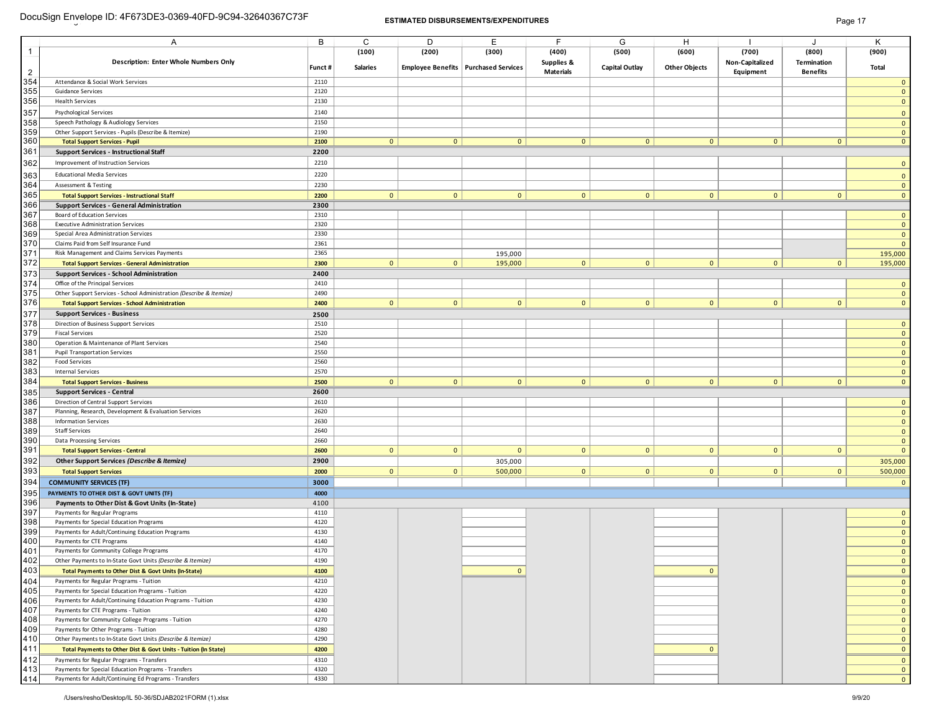|                | A                                                                   | В       | С               | D                       |                                        | F                | G                     | н                    |                 | J               | Κ            |
|----------------|---------------------------------------------------------------------|---------|-----------------|-------------------------|----------------------------------------|------------------|-----------------------|----------------------|-----------------|-----------------|--------------|
| $\mathbf{1}$   |                                                                     |         | (100)           | (200)                   | (300)                                  | (400)            | (500)                 | (600)                | (700)           | (800)           | (900)        |
|                | Description: Enter Whole Numbers Only                               |         |                 |                         |                                        | Supplies &       |                       |                      | Non-Capitalized | Termination     |              |
| $\overline{2}$ |                                                                     | Funct # | <b>Salaries</b> |                         | Employee Benefits   Purchased Services | <b>Materials</b> | <b>Capital Outlay</b> | <b>Other Objects</b> | Equipment       | <b>Benefits</b> | Total        |
| 354            | Attendance & Social Work Services                                   | 2110    |                 |                         |                                        |                  |                       |                      |                 |                 | $\mathbf{0}$ |
| 355            | Guidance Services                                                   | 2120    |                 |                         |                                        |                  |                       |                      |                 |                 | $\mathbf{0}$ |
| 356            | <b>Health Services</b>                                              | 2130    |                 |                         |                                        |                  |                       |                      |                 |                 | $\mathbf 0$  |
| 357            | Psychological Services                                              | 2140    |                 |                         |                                        |                  |                       |                      |                 |                 | $\mathbf{0}$ |
| 358            | Speech Pathology & Audiology Services                               | 2150    |                 |                         |                                        |                  |                       |                      |                 |                 | $\mathbf{0}$ |
| 359            | Other Support Services - Pupils (Describe & Itemize)                | 2190    |                 |                         |                                        |                  |                       |                      |                 |                 | $\mathbf{0}$ |
| 360            | <b>Total Support Services - Pupil</b>                               | 2100    | 0 <sup>1</sup>  | 0                       | 0                                      | $\overline{0}$   | 0                     | 0 <sup>1</sup>       | 0 <sup>1</sup>  | $\overline{0}$  | $\mathbf{0}$ |
| 361            | <b>Support Services - Instructional Staff</b>                       | 2200    |                 |                         |                                        |                  |                       |                      |                 |                 |              |
|                |                                                                     |         |                 |                         |                                        |                  |                       |                      |                 |                 |              |
| 362            | Improvement of Instruction Services                                 | 2210    |                 |                         |                                        |                  |                       |                      |                 |                 | $\mathbf{0}$ |
| 363            | <b>Educational Media Services</b>                                   | 2220    |                 |                         |                                        |                  |                       |                      |                 |                 | $\mathbf{0}$ |
| 364            | Assessment & Testing                                                | 2230    |                 |                         |                                        |                  |                       |                      |                 |                 | $\mathbf{0}$ |
| 365            | <b>Total Support Services - Instructional Staff</b>                 | 2200    | $\mathbf{0}$    | $\mathbf{0}$            | $\mathbf{0}$                           | $\mathbf{0}$     | 0                     | $\overline{0}$       | $\mathbf{0}$    | $\mathbf{0}$    | $\mathbf{0}$ |
| 366            | <b>Support Services - General Administration</b>                    | 2300    |                 |                         |                                        |                  |                       |                      |                 |                 |              |
| 367            | Board of Education Services                                         | 2310    |                 |                         |                                        |                  |                       |                      |                 |                 | $\mathbf 0$  |
| 368            | <b>Executive Administration Services</b>                            | 2320    |                 |                         |                                        |                  |                       |                      |                 |                 | $\mathbf{0}$ |
| 369            | Special Area Administration Services                                | 2330    |                 |                         |                                        |                  |                       |                      |                 |                 | $\mathbf{0}$ |
| 370            | Claims Paid from Self Insurance Fund                                | 2361    |                 |                         |                                        |                  |                       |                      |                 |                 | $\mathbf{0}$ |
| 371            | Risk Management and Claims Services Payments                        | 2365    |                 |                         | 195,000                                |                  |                       |                      |                 |                 | 195,000      |
| 372            | <b>Total Support Services - General Administration</b>              | 2300    | $\overline{0}$  | $\mathbf{0}$            | 195,000                                | $\mathbf{0}$     | $\mathbf{0}$          | $\overline{0}$       | $\mathbf{0}$    | $\mathbf{0}$    | 195,000      |
| 373            | <b>Support Services - School Administration</b>                     | 2400    |                 |                         |                                        |                  |                       |                      |                 |                 |              |
| 374            | Office of the Principal Services                                    | 2410    |                 |                         |                                        |                  |                       |                      |                 |                 | $\mathbf{0}$ |
| 375            | Other Support Services - School Administration (Describe & Itemize) | 2490    |                 |                         |                                        |                  |                       |                      |                 |                 | $\mathbf{0}$ |
| 376            | <b>Total Support Services - School Administration</b>               | 2400    | $\mathbf{0}$    | $\overline{0}$          | $\overline{0}$                         | $\overline{0}$   | 0                     | $\mathbf{0}$         | $\overline{0}$  | $\mathbf{0}$    | $\mathbf{0}$ |
| 377            | <b>Support Services - Business</b>                                  | 2500    |                 |                         |                                        |                  |                       |                      |                 |                 |              |
| 378            | Direction of Business Support Services                              | 2510    |                 |                         |                                        |                  |                       |                      |                 |                 | $\mathbf 0$  |
| 379            | <b>Fiscal Services</b>                                              | 2520    |                 |                         |                                        |                  |                       |                      |                 |                 | $\mathbf{0}$ |
| 380            | Operation & Maintenance of Plant Services                           | 2540    |                 |                         |                                        |                  |                       |                      |                 |                 | $\mathbf{0}$ |
| 381            | <b>Pupil Transportation Services</b>                                | 2550    |                 |                         |                                        |                  |                       |                      |                 |                 | $\mathbf{0}$ |
| 382            | <b>Food Services</b>                                                | 2560    |                 |                         |                                        |                  |                       |                      |                 |                 | $\mathbf{0}$ |
| 383            | <b>Internal Services</b>                                            | 2570    |                 |                         |                                        |                  |                       |                      |                 |                 | $\mathbf{0}$ |
| 384            | <b>Total Support Services - Business</b>                            | 2500    | 0               | $\overline{0}$          | $\mathbf{0}$                           | $\overline{0}$   | 0                     | 0                    | $\mathbf{0}$    | $\mathbf{0}$    | $\mathbf{0}$ |
| 385            | <b>Support Services - Central</b>                                   | 2600    |                 |                         |                                        |                  |                       |                      |                 |                 |              |
| 386            | Direction of Central Support Services                               | 2610    |                 |                         |                                        |                  |                       |                      |                 |                 | $\mathbf{0}$ |
| 387            | Planning, Research, Development & Evaluation Services               | 2620    |                 |                         |                                        |                  |                       |                      |                 |                 | $\mathbf{0}$ |
| 388            | <b>Information Services</b>                                         | 2630    |                 |                         |                                        |                  |                       |                      |                 |                 | $\mathbf{0}$ |
| 389            | <b>Staff Services</b>                                               | 2640    |                 |                         |                                        |                  |                       |                      |                 |                 | $\mathbf{0}$ |
| 390            | Data Processing Services                                            | 2660    |                 |                         |                                        |                  |                       |                      |                 |                 | $\mathbf{0}$ |
| 391            | <b>Total Support Services - Central</b>                             | 2600    | $\mathbf{0}$    | $\overline{\mathbf{0}}$ | $\mathbf{0}$                           | $\mathbf{0}$     | $\mathbf{0}$          | $\mathbf{0}$         | $\mathbf 0$     | $\mathbf{0}$    | $\mathbf{0}$ |
|                |                                                                     | 2900    |                 |                         |                                        |                  |                       |                      |                 |                 |              |
| 392<br>393     | Other Support Services (Describe & Itemize)                         |         | $\mathbf{0}$    | $\mathbf{0}$            | 305,000                                | $\mathbf{0}$     | $\mathbf{0}$          | $\overline{0}$       |                 |                 | 305,000      |
|                | <b>Total Support Services</b>                                       | 2000    |                 |                         | 500,000                                |                  |                       |                      | $\mathbf{0}$    | $\mathbf{0}$    | 500,000      |
| 394            | <b>COMMUNITY SERVICES (TF)</b>                                      | 3000    |                 |                         |                                        |                  |                       |                      |                 |                 | $\mathbf{0}$ |
| 395            | PAYMENTS TO OTHER DIST & GOVT UNITS (TF)                            | 4000    |                 |                         |                                        |                  |                       |                      |                 |                 |              |
| 396            | Payments to Other Dist & Govt Units (In-State)                      | 4100    |                 |                         |                                        |                  |                       |                      |                 |                 |              |
| 397            | Payments for Regular Programs                                       | 4110    |                 |                         |                                        |                  |                       |                      |                 |                 | $\mathbf{0}$ |
| 398            | Payments for Special Education Programs                             | 4120    |                 |                         |                                        |                  |                       |                      |                 |                 | $\mathbf{0}$ |
| 399            | Payments for Adult/Continuing Education Programs                    | 4130    |                 |                         |                                        |                  |                       |                      |                 |                 | $\mathbf{0}$ |
| 400            | Payments for CTE Programs                                           | 4140    |                 |                         |                                        |                  |                       |                      |                 |                 | $\mathbf{0}$ |
| 401            | Payments for Community College Programs                             | 4170    |                 |                         |                                        |                  |                       |                      |                 |                 | $\mathbf{0}$ |
| 402            | Other Payments to In-State Govt Units (Describe & Itemize)          | 4190    |                 |                         |                                        |                  |                       |                      |                 |                 | $\mathbf{0}$ |
| 403            | Total Payments to Other Dist & Govt Units (In-State)                | 4100    |                 |                         | $\mathbf{0}$                           |                  |                       | $\mathbf{0}$         |                 |                 | $\mathbf{0}$ |
| 404            | Payments for Regular Programs - Tuition                             | 4210    |                 |                         |                                        |                  |                       |                      |                 |                 | $\mathbf{0}$ |
| 405            | Payments for Special Education Programs - Tuition                   | 4220    |                 |                         |                                        |                  |                       |                      |                 |                 | $\mathbf{0}$ |
| 406            | Payments for Adult/Continuing Education Programs - Tuition          | 4230    |                 |                         |                                        |                  |                       |                      |                 |                 | $\mathbf{0}$ |
| 407            | Payments for CTE Programs - Tuition                                 | 4240    |                 |                         |                                        |                  |                       |                      |                 |                 | $\mathbf{0}$ |
| 408            | Payments for Community College Programs - Tuition                   | 4270    |                 |                         |                                        |                  |                       |                      |                 |                 | $\mathbf{0}$ |
| 409            | Payments for Other Programs - Tuition                               | 4280    |                 |                         |                                        |                  |                       |                      |                 |                 | $\mathbf{0}$ |
| 410            | Other Payments to In-State Govt Units (Describe & Itemize)          | 4290    |                 |                         |                                        |                  |                       |                      |                 |                 | $\mathbf{0}$ |
| 411            | Total Payments to Other Dist & Govt Units - Tuition (In State)      | 4200    |                 |                         |                                        |                  |                       | $\mathbf{0}$         |                 |                 | $\mathbf{0}$ |
| 412            | Payments for Regular Programs - Transfers                           | 4310    |                 |                         |                                        |                  |                       |                      |                 |                 | $\mathbf{0}$ |
| 413            | Payments for Special Education Programs - Transfers                 | 4320    |                 |                         |                                        |                  |                       |                      |                 |                 | $\mathbf{0}$ |
| 414            | Payments for Adult/Continuing Ed Programs - Transfers               | 4330    |                 |                         |                                        |                  |                       |                      |                 |                 | $\mathbf{0}$ |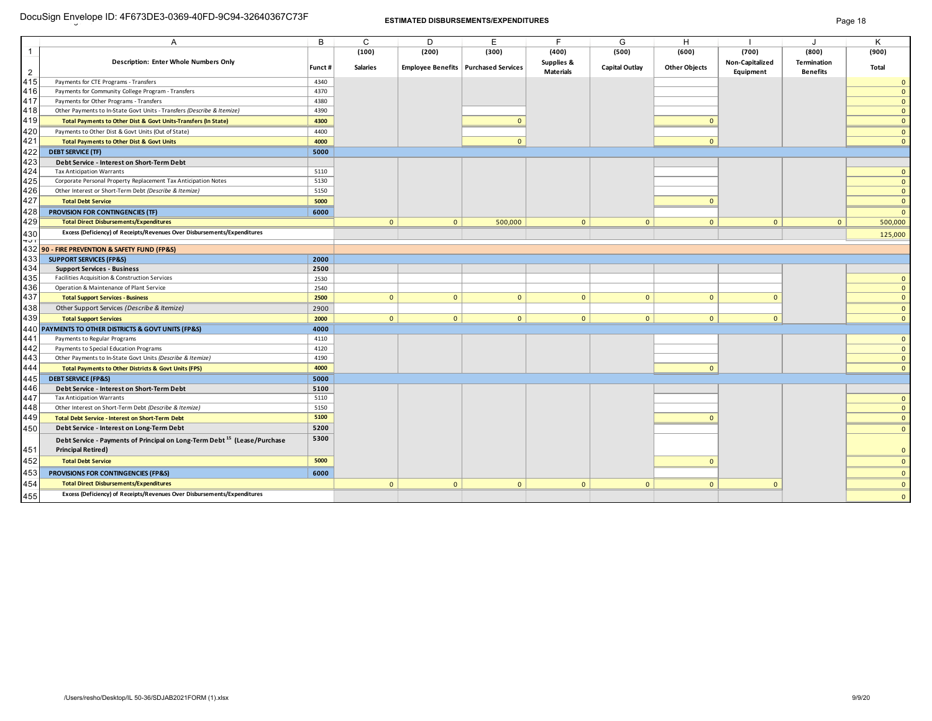|                | A                                                                                          | B      | $\mathsf{C}$    | D              | E                                      | E                | G                     | H                    |                 | J.                 | K            |
|----------------|--------------------------------------------------------------------------------------------|--------|-----------------|----------------|----------------------------------------|------------------|-----------------------|----------------------|-----------------|--------------------|--------------|
| $\mathbf{1}$   |                                                                                            |        | (100)           | (200)          | (300)                                  | (400)            | (500)                 | (600)                | (700)           | (800)              | (900)        |
|                | <b>Description: Enter Whole Numbers Only</b>                                               | Funct# | <b>Salaries</b> |                | Employee Benefits   Purchased Services | Supplies &       | <b>Capital Outlay</b> | <b>Other Objects</b> | Non-Capitalized | <b>Termination</b> | Total        |
| $\overline{2}$ |                                                                                            |        |                 |                |                                        | <b>Materials</b> |                       |                      | Equipment       | <b>Benefits</b>    |              |
| 415            | Payments for CTE Programs - Transfers                                                      | 4340   |                 |                |                                        |                  |                       |                      |                 |                    | $\mathbf{0}$ |
| 416            | Payments for Community College Program - Transfers                                         | 4370   |                 |                |                                        |                  |                       |                      |                 |                    | $\Omega$     |
| 417            | Payments for Other Programs - Transfers                                                    | 4380   |                 |                |                                        |                  |                       |                      |                 |                    | $\Omega$     |
| 418            | Other Payments to In-State Govt Units - Transfers (Describe & Itemize)                     | 4390   |                 |                |                                        |                  |                       |                      |                 |                    | $\Omega$     |
| 419            | Total Payments to Other Dist & Govt Units-Transfers (In State)                             | 4300   |                 |                | $\mathbf{0}$                           |                  |                       | $\Omega$             |                 |                    | $\Omega$     |
| 420            | Payments to Other Dist & Govt Units (Out of State)                                         | 4400   |                 |                |                                        |                  |                       |                      |                 |                    | $\mathbf{0}$ |
| 421            | <b>Total Payments to Other Dist &amp; Govt Units</b>                                       | 4000   |                 |                | $\mathbf{0}$                           |                  |                       | $\mathbf{0}$         |                 |                    | $\Omega$     |
| 422            | <b>DEBT SERVICE (TF)</b>                                                                   | 5000   |                 |                |                                        |                  |                       |                      |                 |                    |              |
| 423            | Debt Service - Interest on Short-Term Debt                                                 |        |                 |                |                                        |                  |                       |                      |                 |                    |              |
| 424            | <b>Tax Anticipation Warrants</b>                                                           | 5110   |                 |                |                                        |                  |                       |                      |                 |                    | $\Omega$     |
| 425            | Corporate Personal Property Replacement Tax Anticipation Notes                             | 5130   |                 |                |                                        |                  |                       |                      |                 |                    | $\mathbf{0}$ |
| 426            | Other Interest or Short-Term Debt (Describe & Itemize)                                     | 5150   |                 |                |                                        |                  |                       |                      |                 |                    | $\mathbf{0}$ |
| 427            | <b>Total Debt Service</b>                                                                  | 5000   |                 |                |                                        |                  |                       | $\Omega$             |                 |                    | $\mathbf{0}$ |
| 428            | PROVISION FOR CONTINGENCIES (TF)                                                           | 6000   |                 |                |                                        |                  |                       |                      |                 |                    | $\mathbf{0}$ |
| 429            | <b>Total Direct Disbursements/Expenditures</b>                                             |        | $\overline{0}$  | $\mathbf{0}$   | 500,000                                | $\mathbf{0}$     | $\overline{0}$        | $\mathbf{0}$         | $\mathbf{0}$    | $\mathbf{0}$       | 500,000      |
| 430            | Excess (Deficiency) of Receipts/Revenues Over Disbursements/Expenditures                   |        |                 |                |                                        |                  |                       |                      |                 |                    | 125,000      |
| ו טד           |                                                                                            |        |                 |                |                                        |                  |                       |                      |                 |                    |              |
|                | 432 90 - FIRE PREVENTION & SAFETY FUND (FP&S)                                              |        |                 |                |                                        |                  |                       |                      |                 |                    |              |
| 433            | <b>SUPPORT SERVICES (FP&amp;S)</b>                                                         | 2000   |                 |                |                                        |                  |                       |                      |                 |                    |              |
| 434<br>435     | <b>Support Services - Business</b>                                                         | 2500   |                 |                |                                        |                  |                       |                      |                 |                    |              |
| 436            | Facilities Acquisition & Construction Services<br>Operation & Maintenance of Plant Service | 2530   |                 |                |                                        |                  |                       |                      |                 |                    | $\mathbf{0}$ |
| 437            |                                                                                            | 2540   | $\mathbf{0}$    | $\overline{0}$ | $\mathbf{0}$                           | $\mathbf{0}$     | $\mathbf{0}$          | $\mathbf{0}$         | $\Omega$        |                    | $\Omega$     |
|                | <b>Total Support Services - Business</b>                                                   | 2500   |                 |                |                                        |                  |                       |                      |                 |                    | $\Omega$     |
| 438            | Other Support Services (Describe & Itemize)                                                | 2900   |                 |                |                                        |                  |                       |                      |                 |                    | $\Omega$     |
| 439            | <b>Total Support Services</b>                                                              | 2000   | $\mathbf{0}$    | $\mathbf{0}$   | $\mathbf{0}$                           | $\mathbf{0}$     | $\overline{0}$        | $\Omega$             | $\Omega$        |                    | $\Omega$     |
| 440            | PAYMENTS TO OTHER DISTRICTS & GOVT UNITS (FP&S)                                            | 4000   |                 |                |                                        |                  |                       |                      |                 |                    |              |
| 441            | Payments to Regular Programs                                                               | 4110   |                 |                |                                        |                  |                       |                      |                 |                    | $\Omega$     |
| 442            | Payments to Special Education Programs                                                     | 4120   |                 |                |                                        |                  |                       |                      |                 |                    | $\Omega$     |
| 443            | Other Payments to In-State Govt Units (Describe & Itemize)                                 | 4190   |                 |                |                                        |                  |                       |                      |                 |                    | $\mathbf{0}$ |
| 444            | Total Payments to Other Districts & Govt Units (FPS)                                       | 4000   |                 |                |                                        |                  |                       | $\Omega$             |                 |                    | $\Omega$     |
| 445            | <b>DEBT SERVICE (FP&amp;S)</b>                                                             | 5000   |                 |                |                                        |                  |                       |                      |                 |                    |              |
| 446            | Debt Service - Interest on Short-Term Debt                                                 | 5100   |                 |                |                                        |                  |                       |                      |                 |                    |              |
| 447            | <b>Tax Anticipation Warrants</b>                                                           | 5110   |                 |                |                                        |                  |                       |                      |                 |                    | $\Omega$     |
| 448            | Other Interest on Short-Term Debt (Describe & Itemize)                                     | 5150   |                 |                |                                        |                  |                       |                      |                 |                    | $\Omega$     |
| 449            | <b>Total Debt Service - Interest on Short-Term Debt</b>                                    | 5100   |                 |                |                                        |                  |                       | $\Omega$             |                 |                    | $\mathbf{0}$ |
| 450            | Debt Service - Interest on Long-Term Debt                                                  | 5200   |                 |                |                                        |                  |                       |                      |                 |                    | $\Omega$     |
|                | Debt Service - Payments of Principal on Long-Term Debt <sup>15</sup> (Lease/Purchase       | 5300   |                 |                |                                        |                  |                       |                      |                 |                    |              |
| 451            | <b>Principal Retired)</b>                                                                  |        |                 |                |                                        |                  |                       |                      |                 |                    | $\Omega$     |
| 452            | <b>Total Debt Service</b>                                                                  | 5000   |                 |                |                                        |                  |                       | $\Omega$             |                 |                    | $\mathbf{0}$ |
| 453            | <b>PROVISIONS FOR CONTINGENCIES (FP&amp;S)</b>                                             | 6000   |                 |                |                                        |                  |                       |                      |                 |                    | $\mathbf{0}$ |
| 454            | <b>Total Direct Disbursements/Expenditures</b>                                             |        | $\mathbf{0}$    | $\Omega$       | $\mathbf{0}$                           | $\mathbf{0}$     | $\overline{0}$        | $\mathbf{0}$         | $\Omega$        |                    | $\mathbf{0}$ |
|                | Excess (Deficiency) of Receipts/Revenues Over Disbursements/Expenditures                   |        |                 |                |                                        |                  |                       |                      |                 |                    |              |
| 455            |                                                                                            |        |                 |                |                                        |                  |                       |                      |                 |                    | $\Omega$     |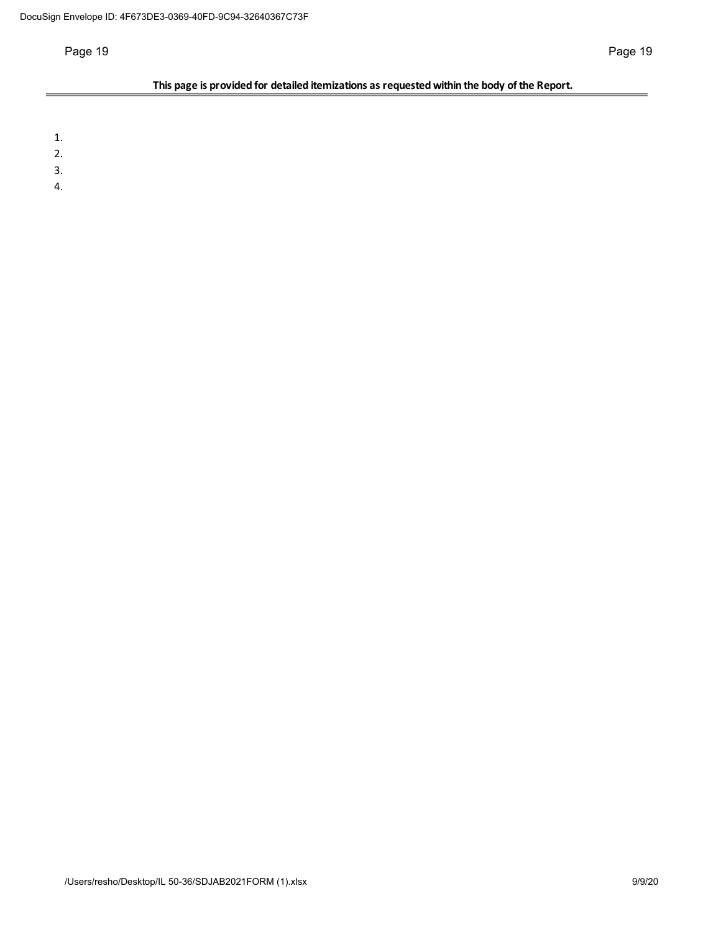#### Page 19 Page 19

### **This page is provided for detailed itemizations as requested within the body of the Report.**

1.

- 2.
- 3.
- 4.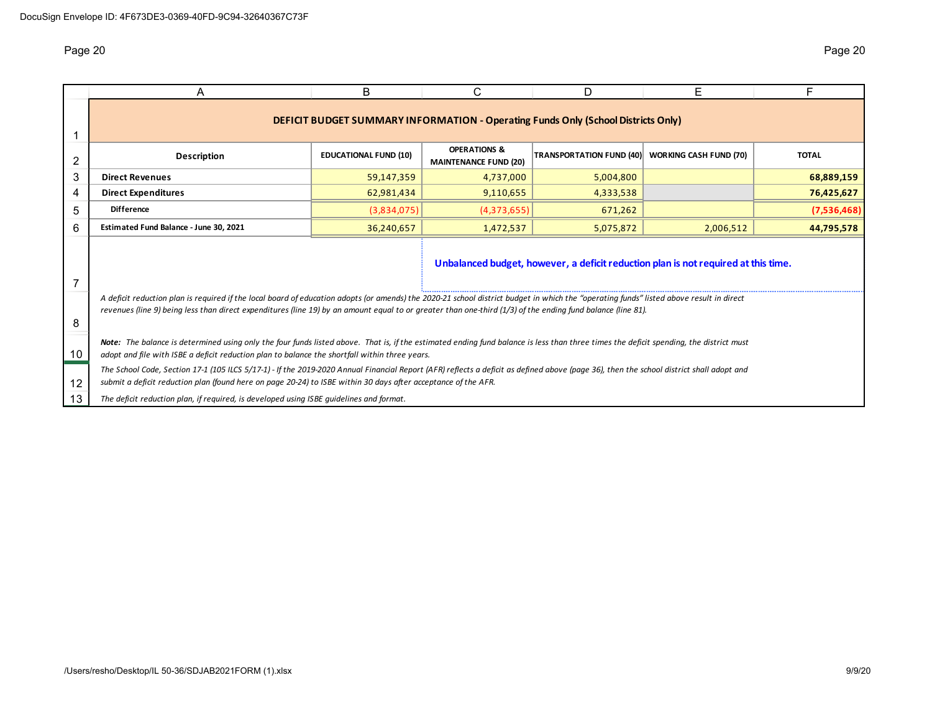Page 20 Page 20

|    | A                                                                                                                                                                                                                                                                                                                                                      | B                            | C                                                       | D                                                                                        | Е                             | F            |  |  |  |  |  |  |
|----|--------------------------------------------------------------------------------------------------------------------------------------------------------------------------------------------------------------------------------------------------------------------------------------------------------------------------------------------------------|------------------------------|---------------------------------------------------------|------------------------------------------------------------------------------------------|-------------------------------|--------------|--|--|--|--|--|--|
|    |                                                                                                                                                                                                                                                                                                                                                        |                              |                                                         | <b>DEFICIT BUDGET SUMMARY INFORMATION - Operating Funds Only (School Districts Only)</b> |                               |              |  |  |  |  |  |  |
| 2  | <b>Description</b>                                                                                                                                                                                                                                                                                                                                     | <b>EDUCATIONAL FUND (10)</b> | <b>OPERATIONS &amp;</b><br><b>MAINTENANCE FUND (20)</b> | <b>TRANSPORTATION FUND (40)</b>                                                          | <b>WORKING CASH FUND (70)</b> | <b>TOTAL</b> |  |  |  |  |  |  |
| 3  | <b>Direct Revenues</b>                                                                                                                                                                                                                                                                                                                                 | 59,147,359                   | 4,737,000                                               | 5,004,800                                                                                |                               | 68,889,159   |  |  |  |  |  |  |
| 4  | <b>Direct Expenditures</b>                                                                                                                                                                                                                                                                                                                             | 62,981,434                   | 9,110,655                                               | 4,333,538                                                                                |                               | 76,425,627   |  |  |  |  |  |  |
| 5  | <b>Difference</b><br>(3,834,075)<br>(7,536,468)<br>(4,373,655)<br>671,262                                                                                                                                                                                                                                                                              |                              |                                                         |                                                                                          |                               |              |  |  |  |  |  |  |
| 6  | Estimated Fund Balance - June 30, 2021<br>36,240,657<br>44,795,578<br>1,472,537<br>2,006,512<br>5,075,872                                                                                                                                                                                                                                              |                              |                                                         |                                                                                          |                               |              |  |  |  |  |  |  |
|    |                                                                                                                                                                                                                                                                                                                                                        |                              |                                                         | Unbalanced budget, however, a deficit reduction plan is not required at this time.       |                               |              |  |  |  |  |  |  |
| 8  | A deficit reduction plan is required if the local board of education adopts (or amends) the 2020-21 school district budget in which the "operating funds" listed above result in direct<br>revenues (line 9) being less than direct expenditures (line 19) by an amount equal to or greater than one-third (1/3) of the ending fund balance (line 81). |                              |                                                         |                                                                                          |                               |              |  |  |  |  |  |  |
| 10 | Note: The balance is determined using only the four funds listed above. That is, if the estimated ending fund balance is less than three times the deficit spending, the district must<br>adopt and file with ISBE a deficit reduction plan to balance the shortfall within three years.                                                               |                              |                                                         |                                                                                          |                               |              |  |  |  |  |  |  |
| 12 | The School Code, Section 17-1 (105 ILCS 5/17-1) - If the 2019-2020 Annual Financial Report (AFR) reflects a deficit as defined above (page 36), then the school district shall adopt and<br>submit a deficit reduction plan (found here on page 20-24) to ISBE within 30 days after acceptance of the AFR.                                             |                              |                                                         |                                                                                          |                               |              |  |  |  |  |  |  |
| 13 | The deficit reduction plan, if required, is developed using ISBE quidelines and format.                                                                                                                                                                                                                                                                |                              |                                                         |                                                                                          |                               |              |  |  |  |  |  |  |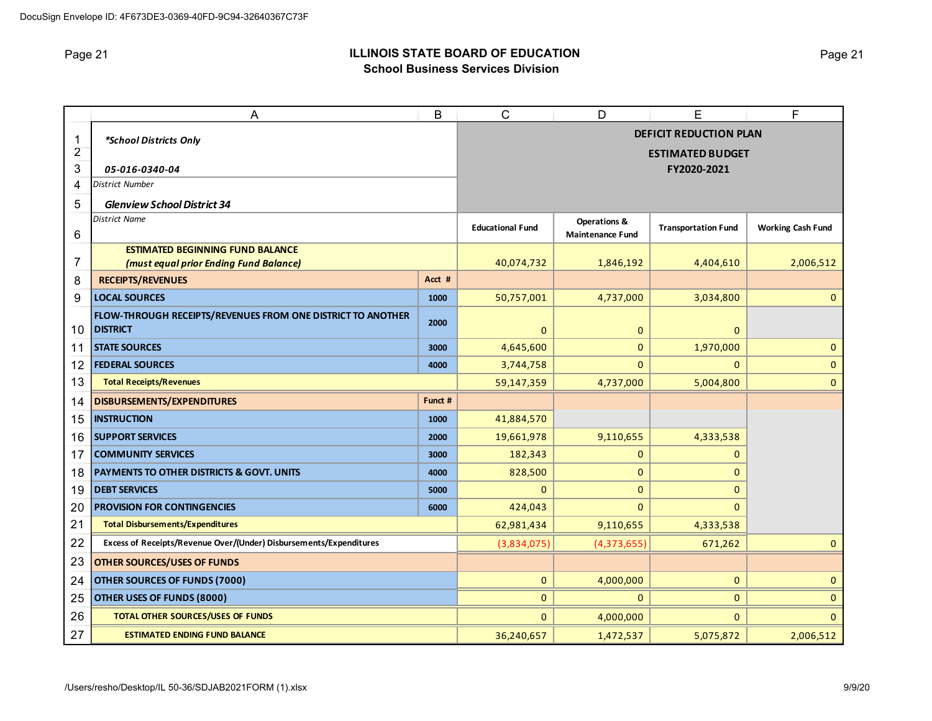# Page 21 **ILLINOIS STATE BOARD OF EDUCATION School Business Services Division**

|                | A                                                                              | B       | $\mathsf{C}$            | D                       | E                             | F                        |
|----------------|--------------------------------------------------------------------------------|---------|-------------------------|-------------------------|-------------------------------|--------------------------|
| 1              | *School Districts Only                                                         |         |                         |                         | <b>DEFICIT REDUCTION PLAN</b> |                          |
| $\overline{2}$ |                                                                                |         |                         |                         | <b>ESTIMATED BUDGET</b>       |                          |
| 3              | 05-016-0340-04                                                                 |         |                         |                         | FY2020-2021                   |                          |
| 4              | District Number                                                                |         |                         |                         |                               |                          |
| 5              | <b>Glenview School District 34</b>                                             |         |                         |                         |                               |                          |
|                | <b>District Name</b>                                                           |         | <b>Educational Fund</b> | Operations &            | <b>Transportation Fund</b>    | <b>Working Cash Fund</b> |
| 6              |                                                                                |         |                         | <b>Maintenance Fund</b> |                               |                          |
| 7              | <b>ESTIMATED BEGINNING FUND BALANCE</b>                                        |         |                         |                         |                               |                          |
|                | (must equal prior Ending Fund Balance)                                         |         | 40,074,732              | 1,846,192               | 4,404,610                     | 2,006,512                |
| 8              | <b>RECEIPTS/REVENUES</b>                                                       | Acct #  |                         |                         |                               |                          |
| 9              | <b>LOCAL SOURCES</b>                                                           | 1000    | 50,757,001              | 4,737,000               | 3,034,800                     | $\mathbf{0}$             |
| 10             | FLOW-THROUGH RECEIPTS/REVENUES FROM ONE DISTRICT TO ANOTHER<br><b>DISTRICT</b> | 2000    | $\mathbf{0}$            | $\mathbf 0$             | $\mathbf{0}$                  |                          |
| 11             | <b>STATE SOURCES</b>                                                           | 3000    | 4,645,600               | $\mathbf{0}$            | 1,970,000                     | $\mathbf{0}$             |
| 12             | <b>FEDERAL SOURCES</b>                                                         | 4000    | 3,744,758               | $\mathbf{0}$            | $\mathbf{0}$                  | $\mathbf 0$              |
| 13             | <b>Total Receipts/Revenues</b>                                                 |         | 59,147,359              | 4,737,000               | 5,004,800                     | $\mathbf{0}$             |
| 14             | <b>DISBURSEMENTS/EXPENDITURES</b>                                              | Funct # |                         |                         |                               |                          |
| 15             | <b>INSTRUCTION</b>                                                             | 1000    | 41,884,570              |                         |                               |                          |
| 16             | <b>SUPPORT SERVICES</b>                                                        | 2000    | 19,661,978              | 9,110,655               | 4,333,538                     |                          |
| 17             | <b>COMMUNITY SERVICES</b>                                                      | 3000    | 182,343                 | $\mathbf 0$             | $\mathbf{0}$                  |                          |
| 18             | <b>PAYMENTS TO OTHER DISTRICTS &amp; GOVT. UNITS</b>                           | 4000    | 828,500                 | $\mathbf{0}$            | $\mathbf{0}$                  |                          |
| 19             | <b>DEBT SERVICES</b>                                                           | 5000    | $\Omega$                | $\mathbf{0}$            | $\mathbf{0}$                  |                          |
| 20             | <b>PROVISION FOR CONTINGENCIES</b>                                             | 6000    | 424,043                 | $\mathbf{0}$            | $\Omega$                      |                          |
| 21             | <b>Total Disbursements/Expenditures</b>                                        |         | 62,981,434              | 9,110,655               | 4,333,538                     |                          |
| 22             | Excess of Receipts/Revenue Over/(Under) Disbursements/Expenditures             |         | (3,834,075)             | (4,373,655)             | 671,262                       | $\mathbf 0$              |
| 23             | <b>OTHER SOURCES/USES OF FUNDS</b>                                             |         |                         |                         |                               |                          |
| 24             | OTHER SOURCES OF FUNDS (7000)                                                  |         | $\pmb{0}$               | 4,000,000               | $\pmb{0}$                     | $\mathbf 0$              |
| 25             | OTHER USES OF FUNDS (8000)                                                     |         | $\mathbf{0}$            | $\Omega$                | $\mathbf{0}$                  | $\mathbf{0}$             |
| 26             | <b>TOTAL OTHER SOURCES/USES OF FUNDS</b>                                       |         | $\mathbf{0}$            | 4,000,000               | $\mathbf{0}$                  | $\Omega$                 |
| 27             | <b>ESTIMATED ENDING FUND BALANCE</b>                                           |         | 36,240,657              | 1,472,537               | 5,075,872                     | 2,006,512                |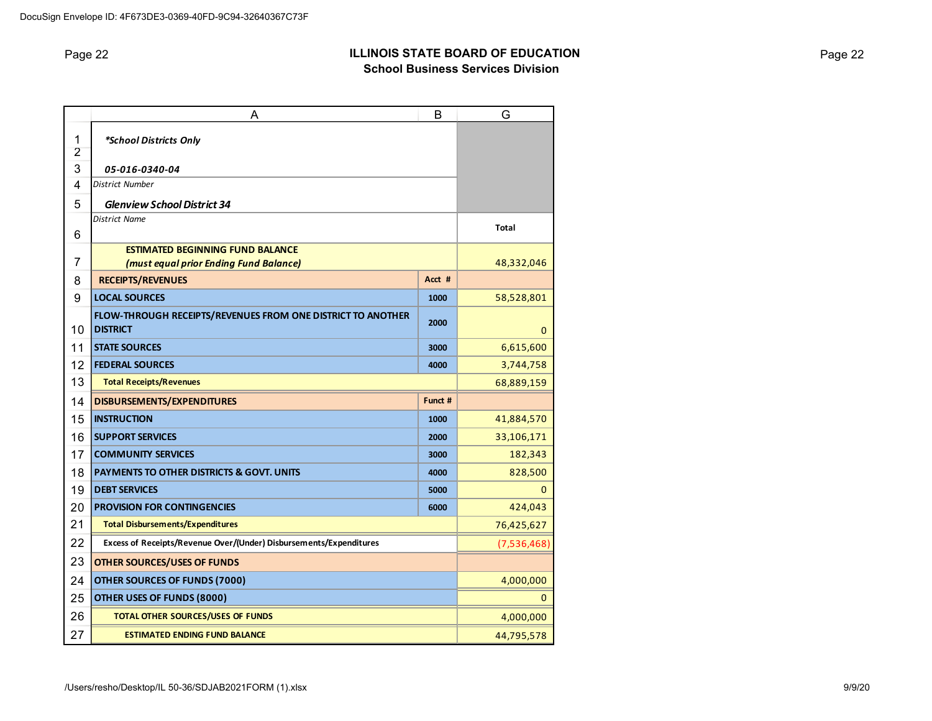# Page 22 **ILLINOIS STATE BOARD OF EDUCATION School Business Services Division**

|                     | Α                                                                              | B       | G            |
|---------------------|--------------------------------------------------------------------------------|---------|--------------|
| 1<br>$\overline{2}$ | *School Districts Only                                                         |         |              |
| 3                   | 05-016-0340-04                                                                 |         |              |
| 4                   | <b>District Number</b>                                                         |         |              |
| 5                   | <b>Glenview School District 34</b>                                             |         |              |
| 6                   | <b>District Name</b>                                                           |         | <b>Total</b> |
|                     | <b>ESTIMATED BEGINNING FUND BALANCE</b>                                        |         |              |
| 7                   | (must equal prior Ending Fund Balance)                                         |         | 48,332,046   |
| 8                   | <b>RECEIPTS/REVENUES</b>                                                       | Acct #  |              |
| 9                   | <b>LOCAL SOURCES</b>                                                           | 1000    | 58,528,801   |
| 10                  | FLOW-THROUGH RECEIPTS/REVENUES FROM ONE DISTRICT TO ANOTHER<br><b>DISTRICT</b> | 2000    | 0            |
| 11                  | <b>STATE SOURCES</b>                                                           | 3000    | 6,615,600    |
| 12                  | <b>FEDERAL SOURCES</b>                                                         | 4000    | 3,744,758    |
| 13                  | <b>Total Receipts/Revenues</b>                                                 |         | 68,889,159   |
| 14                  | <b>DISBURSEMENTS/EXPENDITURES</b>                                              | Funct # |              |
| 15                  | <b>INSTRUCTION</b>                                                             | 1000    | 41,884,570   |
| 16                  | <b>SUPPORT SERVICES</b>                                                        | 2000    | 33,106,171   |
| 17                  | <b>COMMUNITY SERVICES</b>                                                      | 3000    | 182,343      |
| 18                  | <b>PAYMENTS TO OTHER DISTRICTS &amp; GOVT. UNITS</b>                           | 4000    | 828,500      |
| 19                  | <b>DEBT SERVICES</b>                                                           | 5000    | 0            |
| 20                  | <b>PROVISION FOR CONTINGENCIES</b>                                             | 6000    | 424,043      |
| 21                  | <b>Total Disbursements/Expenditures</b>                                        |         | 76,425,627   |
| 22                  | Excess of Receipts/Revenue Over/(Under) Disbursements/Expenditures             |         | (7,536,468)  |
| 23                  | <b>OTHER SOURCES/USES OF FUNDS</b>                                             |         |              |
| 24                  | OTHER SOURCES OF FUNDS (7000)                                                  |         | 4,000,000    |
| 25                  | OTHER USES OF FUNDS (8000)                                                     |         | $\mathbf{0}$ |
| 26                  | <b>TOTAL OTHER SOURCES/USES OF FUNDS</b>                                       |         | 4,000,000    |
| 27                  | <b>ESTIMATED ENDING FUND BALANCE</b>                                           |         | 44,795,578   |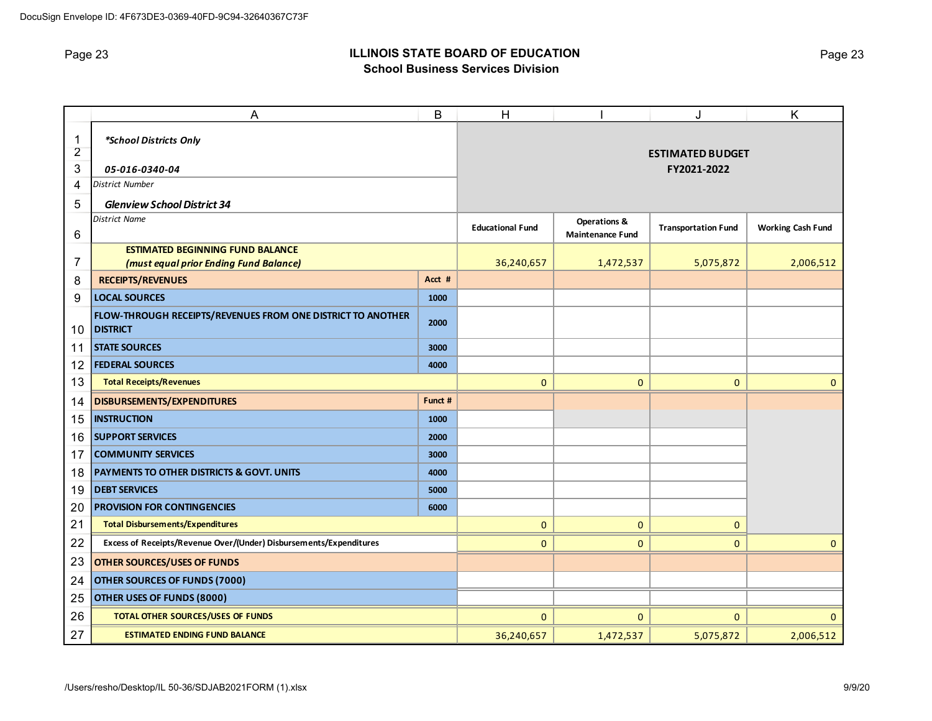# Page 23 **ILLINOIS STATE BOARD OF EDUCATION School Business Services Division**

|                | A                                                                  | B       | H                       |                         | J                          | K                        |
|----------------|--------------------------------------------------------------------|---------|-------------------------|-------------------------|----------------------------|--------------------------|
| 1              | *School Districts Only                                             |         |                         |                         |                            |                          |
| $\overline{2}$ |                                                                    |         |                         |                         | <b>ESTIMATED BUDGET</b>    |                          |
| 3              | 05-016-0340-04                                                     |         |                         |                         | FY2021-2022                |                          |
| 4              | <b>District Number</b>                                             |         |                         |                         |                            |                          |
| 5              | <b>Glenview School District 34</b>                                 |         |                         |                         |                            |                          |
|                | <b>District Name</b>                                               |         | <b>Educational Fund</b> | <b>Operations &amp;</b> | <b>Transportation Fund</b> | <b>Working Cash Fund</b> |
| $\,6$          |                                                                    |         |                         | <b>Maintenance Fund</b> |                            |                          |
|                | <b>ESTIMATED BEGINNING FUND BALANCE</b>                            |         |                         |                         |                            |                          |
| 7              | (must equal prior Ending Fund Balance)                             |         | 36,240,657              | 1,472,537               | 5,075,872                  | 2,006,512                |
| 8              | <b>RECEIPTS/REVENUES</b>                                           | Acct #  |                         |                         |                            |                          |
| 9              | <b>LOCAL SOURCES</b>                                               | 1000    |                         |                         |                            |                          |
|                | FLOW-THROUGH RECEIPTS/REVENUES FROM ONE DISTRICT TO ANOTHER        | 2000    |                         |                         |                            |                          |
| 10             | <b>DISTRICT</b>                                                    |         |                         |                         |                            |                          |
| 11             | <b>STATE SOURCES</b>                                               | 3000    |                         |                         |                            |                          |
| 12             | <b>FEDERAL SOURCES</b>                                             | 4000    |                         |                         |                            |                          |
| 13             | <b>Total Receipts/Revenues</b>                                     |         | $\overline{0}$          | $\mathbf{0}$            | $\mathbf{0}$               | $\overline{0}$           |
| 14             | <b>DISBURSEMENTS/EXPENDITURES</b>                                  | Funct # |                         |                         |                            |                          |
| 15             | <b>INSTRUCTION</b>                                                 | 1000    |                         |                         |                            |                          |
| 16             | <b>SUPPORT SERVICES</b>                                            | 2000    |                         |                         |                            |                          |
| 17             | <b>COMMUNITY SERVICES</b>                                          | 3000    |                         |                         |                            |                          |
| 18             | PAYMENTS TO OTHER DISTRICTS & GOVT. UNITS                          | 4000    |                         |                         |                            |                          |
| 19             | <b>DEBT SERVICES</b>                                               | 5000    |                         |                         |                            |                          |
| 20             | <b>PROVISION FOR CONTINGENCIES</b>                                 | 6000    |                         |                         |                            |                          |
| 21             | <b>Total Disbursements/Expenditures</b>                            |         | 0                       | $\mathbf{0}$            | $\mathbf{0}$               |                          |
| 22             | Excess of Receipts/Revenue Over/(Under) Disbursements/Expenditures |         | 0                       | $\mathbf 0$             | $\mathbf{0}$               | $\mathbf 0$              |
| 23             | <b>OTHER SOURCES/USES OF FUNDS</b>                                 |         |                         |                         |                            |                          |
| 24             | OTHER SOURCES OF FUNDS (7000)                                      |         |                         |                         |                            |                          |
| 25             | OTHER USES OF FUNDS (8000)                                         |         |                         |                         |                            |                          |
| 26             | <b>TOTAL OTHER SOURCES/USES OF FUNDS</b>                           |         | 0                       | $\mathbf 0$             | $\mathbf 0$                | $\mathbf{0}$             |
| 27             | <b>ESTIMATED ENDING FUND BALANCE</b>                               |         | 36,240,657              | 1,472,537               | 5,075,872                  | 2,006,512                |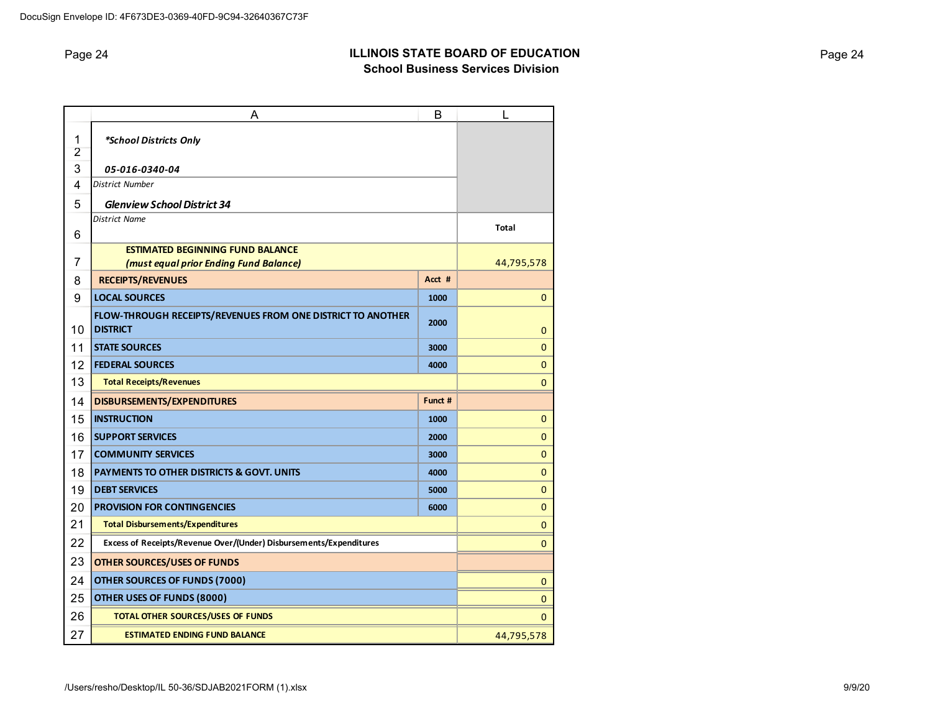# Page 24 **ILLINOIS STATE BOARD OF EDUCATION School Business Services Division**

|        | Α                                                                              | в            | L            |
|--------|--------------------------------------------------------------------------------|--------------|--------------|
| 1<br>2 | *School Districts Only                                                         |              |              |
| 3      | 05-016-0340-04                                                                 |              |              |
| 4      | <b>District Number</b>                                                         |              |              |
| 5      | <b>Glenview School District 34</b>                                             |              |              |
| 6      | <b>District Name</b>                                                           |              | <b>Total</b> |
|        | <b>ESTIMATED BEGINNING FUND BALANCE</b>                                        |              |              |
| 7      | (must equal prior Ending Fund Balance)                                         |              | 44,795,578   |
| 8      | <b>RECEIPTS/REVENUES</b>                                                       | Acct #       |              |
| 9      | <b>LOCAL SOURCES</b>                                                           | 1000         | $\mathbf{0}$ |
| 10     | FLOW-THROUGH RECEIPTS/REVENUES FROM ONE DISTRICT TO ANOTHER<br><b>DISTRICT</b> | 2000         | $\mathbf{0}$ |
| 11     | <b>STATE SOURCES</b>                                                           | $\mathbf{0}$ |              |
| 12     | <b>FEDERAL SOURCES</b>                                                         | $\mathbf{0}$ |              |
| 13     | <b>Total Receipts/Revenues</b>                                                 |              | $\mathbf{0}$ |
| 14     | <b>DISBURSEMENTS/EXPENDITURES</b>                                              | Funct #      |              |
| 15     | <b>INSTRUCTION</b>                                                             | 1000         | $\mathbf 0$  |
| 16     | <b>SUPPORT SERVICES</b>                                                        | 2000         | $\mathbf{0}$ |
| 17     | <b>COMMUNITY SERVICES</b>                                                      | 3000         | $\mathbf{0}$ |
| 18     | <b>PAYMENTS TO OTHER DISTRICTS &amp; GOVT. UNITS</b>                           | 4000         | $\mathbf 0$  |
| 19     | <b>DEBT SERVICES</b>                                                           | 5000         | 0            |
| 20     | <b>PROVISION FOR CONTINGENCIES</b>                                             | 6000         | $\mathbf 0$  |
| 21     | <b>Total Disbursements/Expenditures</b>                                        |              | $\mathbf 0$  |
| 22     | Excess of Receipts/Revenue Over/(Under) Disbursements/Expenditures             |              | 0            |
| 23     | <b>OTHER SOURCES/USES OF FUNDS</b>                                             |              |              |
| 24     | OTHER SOURCES OF FUNDS (7000)                                                  |              | 0            |
| 25     | OTHER USES OF FUNDS (8000)                                                     |              | $\mathbf{0}$ |
| 26     | <b>TOTAL OTHER SOURCES/USES OF FUNDS</b>                                       |              | 0            |
| 27     | <b>ESTIMATED ENDING FUND BALANCE</b>                                           |              | 44,795,578   |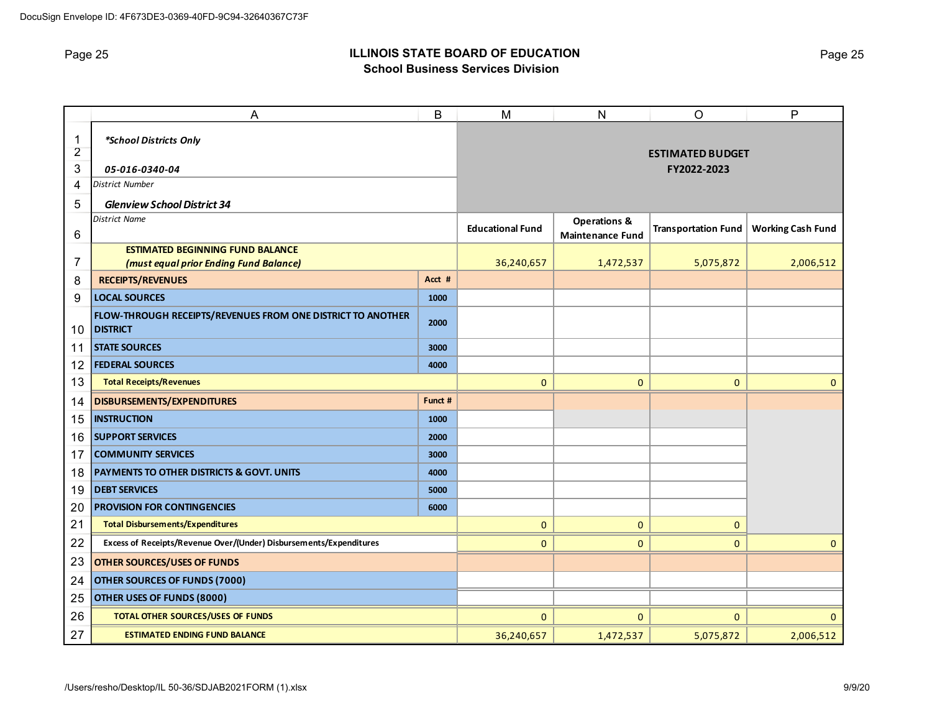# Page 25 **ILLINOIS STATE BOARD OF EDUCATION School Business Services Division**

|                | A                                                                              | B       | M                       | $\mathsf{N}$            | $\circ$                    | $\mathsf{P}$             |
|----------------|--------------------------------------------------------------------------------|---------|-------------------------|-------------------------|----------------------------|--------------------------|
| $\mathbf{1}$   | *School Districts Only                                                         |         |                         |                         |                            |                          |
| $\overline{2}$ |                                                                                |         |                         |                         | <b>ESTIMATED BUDGET</b>    |                          |
| 3              | 05-016-0340-04                                                                 |         |                         |                         | FY2022-2023                |                          |
| 4              | District Number                                                                |         |                         |                         |                            |                          |
| 5              | <b>Glenview School District 34</b>                                             |         |                         |                         |                            |                          |
|                | <b>District Name</b>                                                           |         |                         | <b>Operations &amp;</b> |                            |                          |
| 6              |                                                                                |         | <b>Educational Fund</b> | <b>Maintenance Fund</b> | <b>Transportation Fund</b> | <b>Working Cash Fund</b> |
|                | <b>ESTIMATED BEGINNING FUND BALANCE</b>                                        |         |                         |                         |                            |                          |
| 7              | (must equal prior Ending Fund Balance)                                         |         | 36,240,657              | 1,472,537               | 5,075,872                  | 2,006,512                |
| 8              | <b>RECEIPTS/REVENUES</b>                                                       | Acct #  |                         |                         |                            |                          |
| 9              | <b>LOCAL SOURCES</b>                                                           | 1000    |                         |                         |                            |                          |
| 10             | FLOW-THROUGH RECEIPTS/REVENUES FROM ONE DISTRICT TO ANOTHER<br><b>DISTRICT</b> | 2000    |                         |                         |                            |                          |
|                |                                                                                |         |                         |                         |                            |                          |
| 11             | <b>STATE SOURCES</b>                                                           | 3000    |                         |                         |                            |                          |
| 12             | <b>FEDERAL SOURCES</b>                                                         | 4000    |                         |                         |                            |                          |
| 13             | <b>Total Receipts/Revenues</b>                                                 |         | $\mathbf{0}$            | $\mathbf{0}$            | $\mathbf{0}$               | $\mathbf{0}$             |
| 14             | <b>DISBURSEMENTS/EXPENDITURES</b>                                              | Funct # |                         |                         |                            |                          |
| 15             | <b>INSTRUCTION</b>                                                             | 1000    |                         |                         |                            |                          |
| 16             | <b>SUPPORT SERVICES</b>                                                        | 2000    |                         |                         |                            |                          |
| 17             | <b>COMMUNITY SERVICES</b>                                                      | 3000    |                         |                         |                            |                          |
| 18             | <b>PAYMENTS TO OTHER DISTRICTS &amp; GOVT. UNITS</b>                           | 4000    |                         |                         |                            |                          |
| 19             | <b>DEBT SERVICES</b>                                                           | 5000    |                         |                         |                            |                          |
| 20             | <b>PROVISION FOR CONTINGENCIES</b>                                             | 6000    |                         |                         |                            |                          |
| 21             | <b>Total Disbursements/Expenditures</b>                                        |         | $\mathbf{0}$            | $\mathbf{0}$            | $\mathbf{0}$               |                          |
| 22             | Excess of Receipts/Revenue Over/(Under) Disbursements/Expenditures             |         | $\mathbf 0$             | $\mathbf{0}$            | $\mathbf{0}$               | $\mathbf{0}$             |
| 23             | <b>OTHER SOURCES/USES OF FUNDS</b>                                             |         |                         |                         |                            |                          |
| 24             | OTHER SOURCES OF FUNDS (7000)                                                  |         |                         |                         |                            |                          |
| 25             | OTHER USES OF FUNDS (8000)                                                     |         |                         |                         |                            |                          |
| 26             | <b>TOTAL OTHER SOURCES/USES OF FUNDS</b>                                       |         | $\mathbf{0}$            | 0                       | $\mathbf{0}$               | $\mathbf{0}$             |
| 27             | <b>ESTIMATED ENDING FUND BALANCE</b>                                           |         | 36,240,657              | 1,472,537               | 5,075,872                  | 2,006,512                |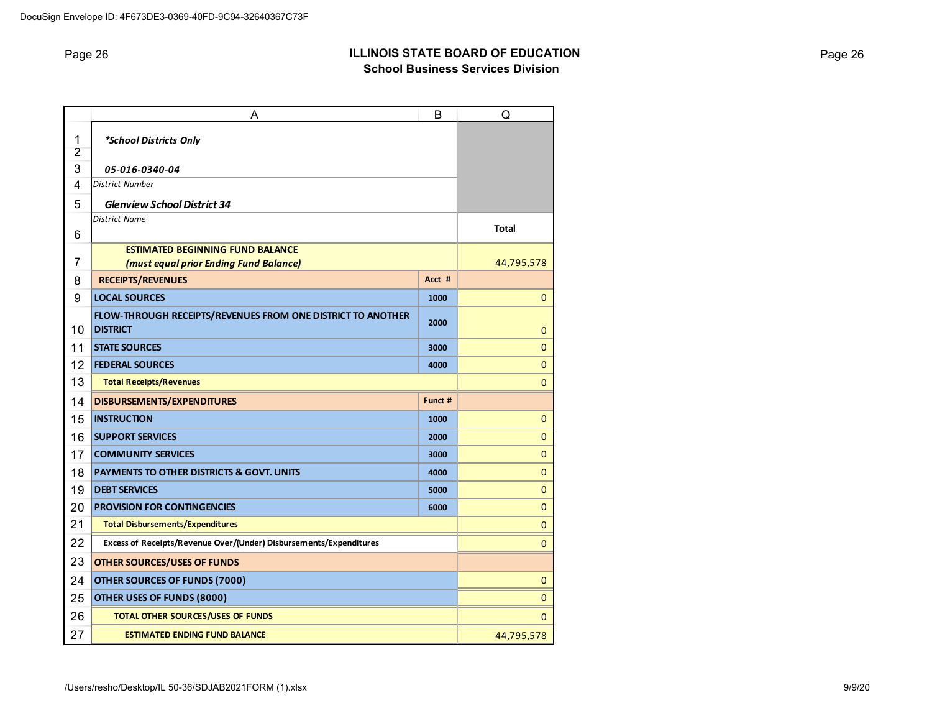# Page 26 **ILLINOIS STATE BOARD OF EDUCATION School Business Services Division**

|                     | Α                                                                              | B       | Q            |
|---------------------|--------------------------------------------------------------------------------|---------|--------------|
| 1<br>$\overline{2}$ | *School Districts Only                                                         |         |              |
| 3                   | 05-016-0340-04                                                                 |         |              |
| 4                   | <b>District Number</b>                                                         |         |              |
| 5                   | <b>Glenview School District 34</b>                                             |         |              |
| 6                   | <b>District Name</b>                                                           |         | <b>Total</b> |
|                     | <b>ESTIMATED BEGINNING FUND BALANCE</b>                                        |         |              |
| 7                   | (must equal prior Ending Fund Balance)                                         |         | 44,795,578   |
| 8                   | <b>RECEIPTS/REVENUES</b>                                                       | Acct #  |              |
| 9                   | <b>LOCAL SOURCES</b>                                                           | 1000    | 0            |
| 10                  | FLOW-THROUGH RECEIPTS/REVENUES FROM ONE DISTRICT TO ANOTHER<br><b>DISTRICT</b> | 2000    | 0            |
| 11                  | <b>STATE SOURCES</b>                                                           | 3000    | $\mathbf{0}$ |
| 12                  | <b>FEDERAL SOURCES</b>                                                         | 4000    | 0            |
| 13                  | <b>Total Receipts/Revenues</b>                                                 |         | $\mathbf{0}$ |
| 14                  | <b>DISBURSEMENTS/EXPENDITURES</b>                                              | Funct # |              |
| 15                  | <b>INSTRUCTION</b>                                                             | 1000    | 0            |
| 16                  | <b>SUPPORT SERVICES</b>                                                        | 2000    | 0            |
| 17                  | <b>COMMUNITY SERVICES</b>                                                      | 3000    | 0            |
| 18                  | <b>PAYMENTS TO OTHER DISTRICTS &amp; GOVT. UNITS</b>                           | 4000    | $\mathbf{0}$ |
| 19                  | <b>DEBT SERVICES</b>                                                           | 5000    | 0            |
| 20                  | <b>PROVISION FOR CONTINGENCIES</b>                                             | 6000    | $\mathbf 0$  |
| 21                  | <b>Total Disbursements/Expenditures</b>                                        |         | 0            |
| 22                  | Excess of Receipts/Revenue Over/(Under) Disbursements/Expenditures             |         | 0            |
| 23                  | <b>OTHER SOURCES/USES OF FUNDS</b>                                             |         |              |
| 24                  | OTHER SOURCES OF FUNDS (7000)                                                  |         | 0            |
| 25                  | OTHER USES OF FUNDS (8000)                                                     |         | $\mathbf{0}$ |
| 26                  | <b>TOTAL OTHER SOURCES/USES OF FUNDS</b>                                       |         | 0            |
| 27                  | <b>ESTIMATED ENDING FUND BALANCE</b>                                           |         | 44,795,578   |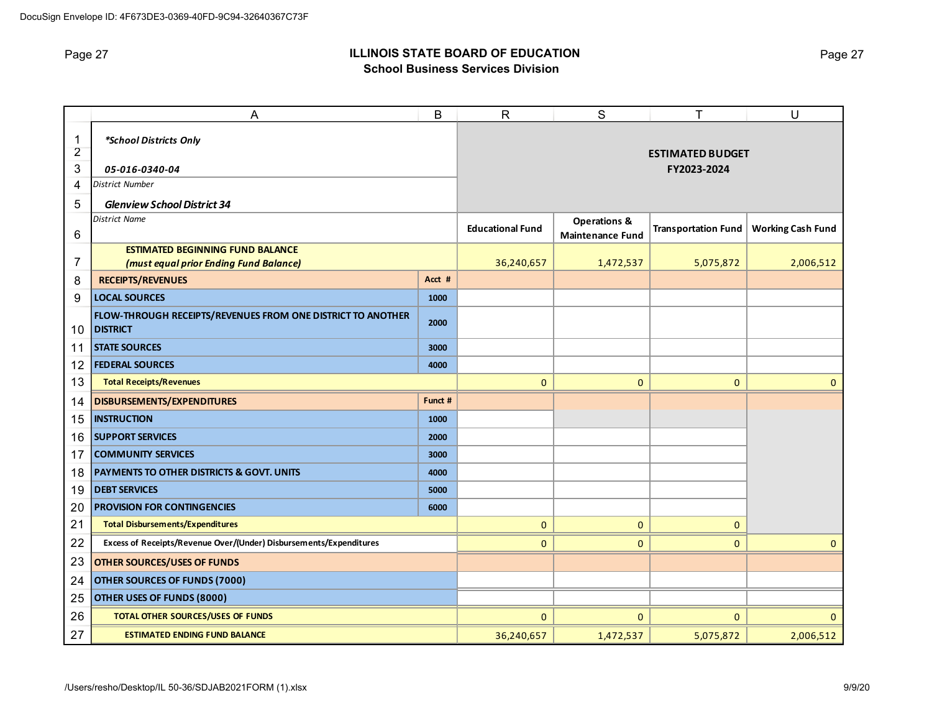# Page 27 **ILLINOIS STATE BOARD OF EDUCATION School Business Services Division**

|                     | A                                                                                     | B                       | $\mathsf{R}$            | S                       | т                          | U                        |
|---------------------|---------------------------------------------------------------------------------------|-------------------------|-------------------------|-------------------------|----------------------------|--------------------------|
| 1<br>$\overline{2}$ | *School Districts Only                                                                | <b>ESTIMATED BUDGET</b> |                         |                         |                            |                          |
| 3                   | 05-016-0340-04                                                                        |                         |                         |                         | FY2023-2024                |                          |
| 4                   | District Number                                                                       |                         |                         |                         |                            |                          |
| 5                   | <b>Glenview School District 34</b>                                                    |                         |                         |                         |                            |                          |
|                     | <b>District Name</b>                                                                  |                         | <b>Educational Fund</b> | <b>Operations &amp;</b> | <b>Transportation Fund</b> | <b>Working Cash Fund</b> |
| 6                   |                                                                                       |                         |                         | <b>Maintenance Fund</b> |                            |                          |
|                     | <b>ESTIMATED BEGINNING FUND BALANCE</b>                                               |                         |                         |                         |                            |                          |
| 7                   | (must equal prior Ending Fund Balance)                                                |                         | 36,240,657              | 1,472,537               | 5,075,872                  | 2,006,512                |
| 8                   | <b>RECEIPTS/REVENUES</b>                                                              | Acct #                  |                         |                         |                            |                          |
| 9                   | <b>LOCAL SOURCES</b>                                                                  | 1000                    |                         |                         |                            |                          |
| 10                  | <b>FLOW-THROUGH RECEIPTS/REVENUES FROM ONE DISTRICT TO ANOTHER</b><br><b>DISTRICT</b> | 2000                    |                         |                         |                            |                          |
| 11                  | <b>STATE SOURCES</b>                                                                  | 3000                    |                         |                         |                            |                          |
| 12                  | <b>FEDERAL SOURCES</b>                                                                | 4000                    |                         |                         |                            |                          |
| 13                  | <b>Total Receipts/Revenues</b>                                                        |                         | 0                       | $\mathbf{0}$            | $\mathbf{0}$               | $\mathbf{0}$             |
| 14                  | DISBURSEMENTS/EXPENDITURES                                                            | Funct #                 |                         |                         |                            |                          |
| 15                  | <b>INSTRUCTION</b>                                                                    | 1000                    |                         |                         |                            |                          |
| 16                  | <b>SUPPORT SERVICES</b>                                                               | 2000                    |                         |                         |                            |                          |
| 17                  | <b>COMMUNITY SERVICES</b>                                                             | 3000                    |                         |                         |                            |                          |
| 18                  | <b>PAYMENTS TO OTHER DISTRICTS &amp; GOVT. UNITS</b>                                  | 4000                    |                         |                         |                            |                          |
| 19                  | <b>DEBT SERVICES</b>                                                                  | 5000                    |                         |                         |                            |                          |
| 20                  | <b>PROVISION FOR CONTINGENCIES</b>                                                    | 6000                    |                         |                         |                            |                          |
| 21                  | <b>Total Disbursements/Expenditures</b>                                               |                         | $\mathbf 0$             | 0                       | $\mathbf{0}$               |                          |
| 22                  | Excess of Receipts/Revenue Over/(Under) Disbursements/Expenditures                    |                         | 0                       | 0                       | $\mathbf{0}$               | $\mathbf 0$              |
| 23                  | <b>OTHER SOURCES/USES OF FUNDS</b>                                                    |                         |                         |                         |                            |                          |
| 24                  | OTHER SOURCES OF FUNDS (7000)                                                         |                         |                         |                         |                            |                          |
| 25                  | OTHER USES OF FUNDS (8000)                                                            |                         |                         |                         |                            |                          |
| 26                  | <b>TOTAL OTHER SOURCES/USES OF FUNDS</b>                                              |                         | 0                       | 0                       | $\mathbf{0}$               | $\mathbf{0}$             |
| 27                  | <b>ESTIMATED ENDING FUND BALANCE</b>                                                  |                         | 36,240,657              | 1,472,537               | 5,075,872                  | 2,006,512                |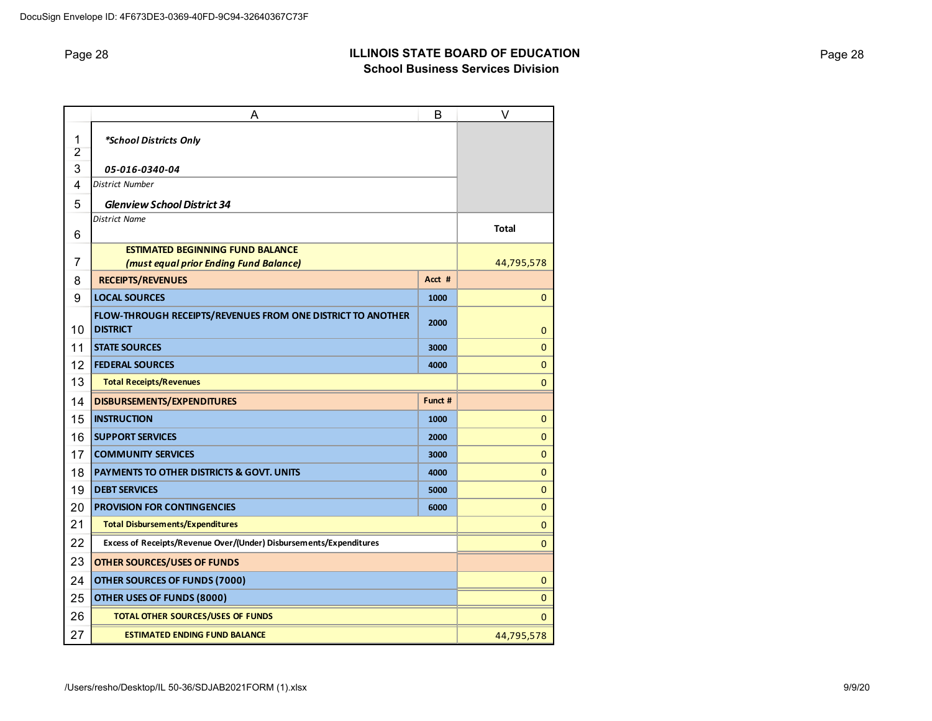# Page 28 **ILLINOIS STATE BOARD OF EDUCATION School Business Services Division**

|        | Α                                                                              | B            | v            |
|--------|--------------------------------------------------------------------------------|--------------|--------------|
| 1<br>2 | *School Districts Only                                                         |              |              |
| 3      | 05-016-0340-04                                                                 |              |              |
| 4      | <b>District Number</b>                                                         |              |              |
| 5      | <b>Glenview School District 34</b>                                             |              |              |
|        | <b>District Name</b>                                                           |              | <b>Total</b> |
| 6      |                                                                                |              |              |
| 7      | <b>ESTIMATED BEGINNING FUND BALANCE</b>                                        |              |              |
|        | (must equal prior Ending Fund Balance)                                         |              | 44,795,578   |
| 8      | <b>RECEIPTS/REVENUES</b>                                                       | Acct #       |              |
| 9      | <b>LOCAL SOURCES</b>                                                           | 1000         | $\mathbf{0}$ |
| 10     | FLOW-THROUGH RECEIPTS/REVENUES FROM ONE DISTRICT TO ANOTHER<br><b>DISTRICT</b> | 2000         | $\mathbf{0}$ |
| 11     | <b>STATE SOURCES</b>                                                           | $\mathbf{0}$ |              |
| 12     | <b>FEDERAL SOURCES</b>                                                         | 4000         | $\mathbf{0}$ |
| 13     | <b>Total Receipts/Revenues</b>                                                 |              | $\mathbf{0}$ |
| 14     | <b>DISBURSEMENTS/EXPENDITURES</b>                                              | Funct #      |              |
| 15     | <b>INSTRUCTION</b>                                                             | 1000         | $\mathbf 0$  |
| 16     | <b>SUPPORT SERVICES</b>                                                        | 2000         | $\mathbf{0}$ |
| 17     | <b>COMMUNITY SERVICES</b>                                                      | 3000         | $\mathbf 0$  |
| 18     | <b>PAYMENTS TO OTHER DISTRICTS &amp; GOVT. UNITS</b>                           | 4000         | $\mathbf 0$  |
| 19     | <b>DEBT SERVICES</b>                                                           | 5000         | $\mathbf 0$  |
| 20     | <b>PROVISION FOR CONTINGENCIES</b>                                             | 6000         | $\mathbf 0$  |
| 21     | <b>Total Disbursements/Expenditures</b>                                        |              | $\mathbf 0$  |
| 22     | Excess of Receipts/Revenue Over/(Under) Disbursements/Expenditures             |              | 0            |
| 23     | <b>OTHER SOURCES/USES OF FUNDS</b>                                             |              |              |
| 24     | <b>OTHER SOURCES OF FUNDS (7000)</b>                                           |              | $\mathbf 0$  |
| 25     | OTHER USES OF FUNDS (8000)                                                     |              | $\mathbf{0}$ |
| 26     | <b>TOTAL OTHER SOURCES/USES OF FUNDS</b>                                       |              | 0            |
| 27     | <b>ESTIMATED ENDING FUND BALANCE</b>                                           |              | 44,795,578   |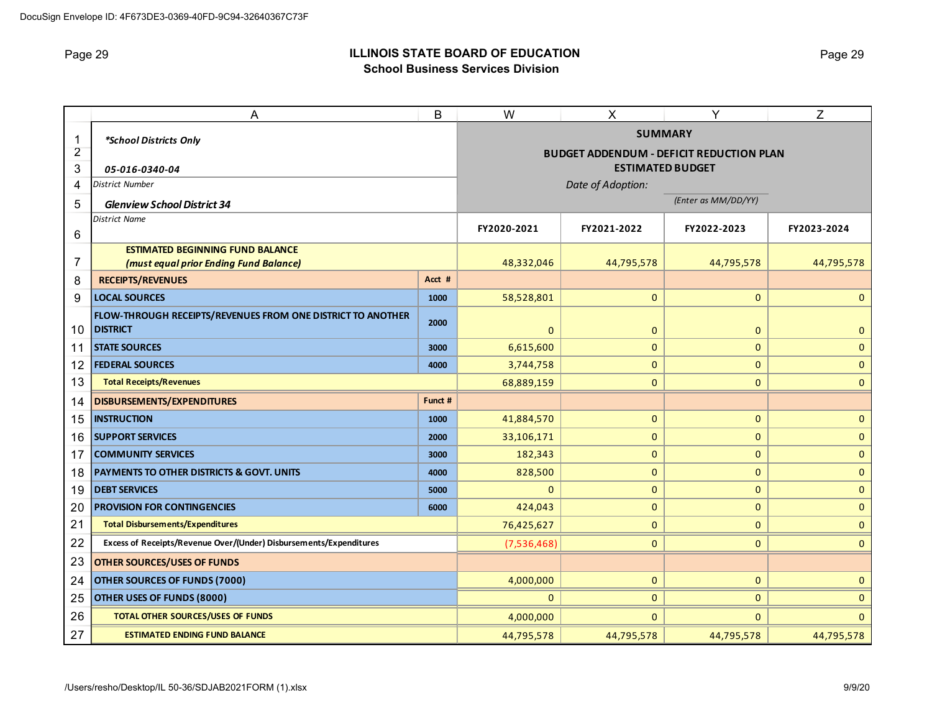# Page 29 **ILLINOIS STATE BOARD OF EDUCATION School Business Services Division**

|                | A                                                                                 | B                                               | W            | $\boldsymbol{\mathsf{X}}$ | Y                       | Z            |  |  |  |  |
|----------------|-----------------------------------------------------------------------------------|-------------------------------------------------|--------------|---------------------------|-------------------------|--------------|--|--|--|--|
| 1              | *School Districts Only                                                            |                                                 |              | <b>SUMMARY</b>            |                         |              |  |  |  |  |
| $\overline{c}$ |                                                                                   | <b>BUDGET ADDENDUM - DEFICIT REDUCTION PLAN</b> |              |                           |                         |              |  |  |  |  |
| 3              | 05-016-0340-04                                                                    |                                                 |              |                           | <b>ESTIMATED BUDGET</b> |              |  |  |  |  |
| 4              | <b>District Number</b>                                                            |                                                 |              | Date of Adoption:         |                         |              |  |  |  |  |
| 5              | <b>Glenview School District 34</b>                                                |                                                 |              |                           | (Enter as MM/DD/YY)     |              |  |  |  |  |
|                | <b>District Name</b>                                                              |                                                 | FY2020-2021  | FY2021-2022               | FY2022-2023             | FY2023-2024  |  |  |  |  |
| 6              |                                                                                   |                                                 |              |                           |                         |              |  |  |  |  |
| 7              | <b>ESTIMATED BEGINNING FUND BALANCE</b><br>(must equal prior Ending Fund Balance) |                                                 | 48,332,046   | 44,795,578                | 44,795,578              | 44,795,578   |  |  |  |  |
| 8              | <b>RECEIPTS/REVENUES</b>                                                          | Acct #                                          |              |                           |                         |              |  |  |  |  |
| 9              | <b>LOCAL SOURCES</b>                                                              | 1000                                            | 58,528,801   | $\mathbf{0}$              | $\mathbf 0$             | $\mathbf{0}$ |  |  |  |  |
|                | FLOW-THROUGH RECEIPTS/REVENUES FROM ONE DISTRICT TO ANOTHER                       |                                                 |              |                           |                         |              |  |  |  |  |
| 10             | <b>DISTRICT</b>                                                                   | 2000                                            | $\mathbf{0}$ | $\mathbf{0}$              | $\mathbf{0}$            | $\mathbf{0}$ |  |  |  |  |
| 11             | <b>STATE SOURCES</b>                                                              | 3000                                            | 6,615,600    | $\mathbf 0$               | $\mathbf{0}$            | $\mathbf 0$  |  |  |  |  |
| 12             | <b>FEDERAL SOURCES</b>                                                            | 4000                                            | 3,744,758    | $\mathbf{0}$              | $\mathbf{0}$            | $\mathbf{0}$ |  |  |  |  |
| 13             | <b>Total Receipts/Revenues</b>                                                    |                                                 | 68,889,159   | $\mathbf 0$               | $\mathbf{0}$            | $\mathbf{0}$ |  |  |  |  |
| 14             | <b>DISBURSEMENTS/EXPENDITURES</b>                                                 | Funct #                                         |              |                           |                         |              |  |  |  |  |
| 15             | <b>INSTRUCTION</b>                                                                | 1000                                            | 41,884,570   | $\mathbf 0$               | $\mathbf 0$             | $\mathbf 0$  |  |  |  |  |
| 16             | <b>SUPPORT SERVICES</b>                                                           | 2000                                            | 33,106,171   | $\mathbf{0}$              | $\mathbf{0}$            | $\mathbf{0}$ |  |  |  |  |
| 17             | <b>COMMUNITY SERVICES</b>                                                         | 3000                                            | 182,343      | $\mathbf{0}$              | $\mathbf{0}$            | $\pmb{0}$    |  |  |  |  |
| 18             | <b>PAYMENTS TO OTHER DISTRICTS &amp; GOVT. UNITS</b>                              | 4000                                            | 828,500      | $\mathbf 0$               | $\mathbf 0$             | $\mathbf 0$  |  |  |  |  |
| 19             | <b>DEBT SERVICES</b>                                                              | 5000                                            | $\mathbf{0}$ | $\mathbf{0}$              | $\pmb{0}$               | $\pmb{0}$    |  |  |  |  |
| 20             | <b>PROVISION FOR CONTINGENCIES</b>                                                | 6000                                            | 424,043      | $\mathbf 0$               | $\mathbf 0$             | $\mathbf 0$  |  |  |  |  |
| 21             | <b>Total Disbursements/Expenditures</b>                                           |                                                 | 76,425,627   | $\mathbf{0}$              | $\pmb{0}$               | $\mathbf{0}$ |  |  |  |  |
| 22             | Excess of Receipts/Revenue Over/(Under) Disbursements/Expenditures                |                                                 | (7,536,468)  | $\mathbf 0$               | $\mathbf 0$             | $\mathbf{0}$ |  |  |  |  |
| 23             | <b>OTHER SOURCES/USES OF FUNDS</b>                                                |                                                 |              |                           |                         |              |  |  |  |  |
| 24             | <b>OTHER SOURCES OF FUNDS (7000)</b>                                              |                                                 | 4,000,000    | $\mathbf 0$               | $\mathbf 0$             | 0            |  |  |  |  |
| 25             | OTHER USES OF FUNDS (8000)                                                        |                                                 | $\Omega$     | $\mathbf{0}$              | $\mathbf{0}$            | $\mathbf{0}$ |  |  |  |  |
| 26             | <b>TOTAL OTHER SOURCES/USES OF FUNDS</b>                                          |                                                 | 4,000,000    | $\Omega$                  | $\mathbf{0}$            | $\mathbf{0}$ |  |  |  |  |
| 27             | <b>ESTIMATED ENDING FUND BALANCE</b>                                              |                                                 | 44,795,578   | 44,795,578                | 44,795,578              | 44,795,578   |  |  |  |  |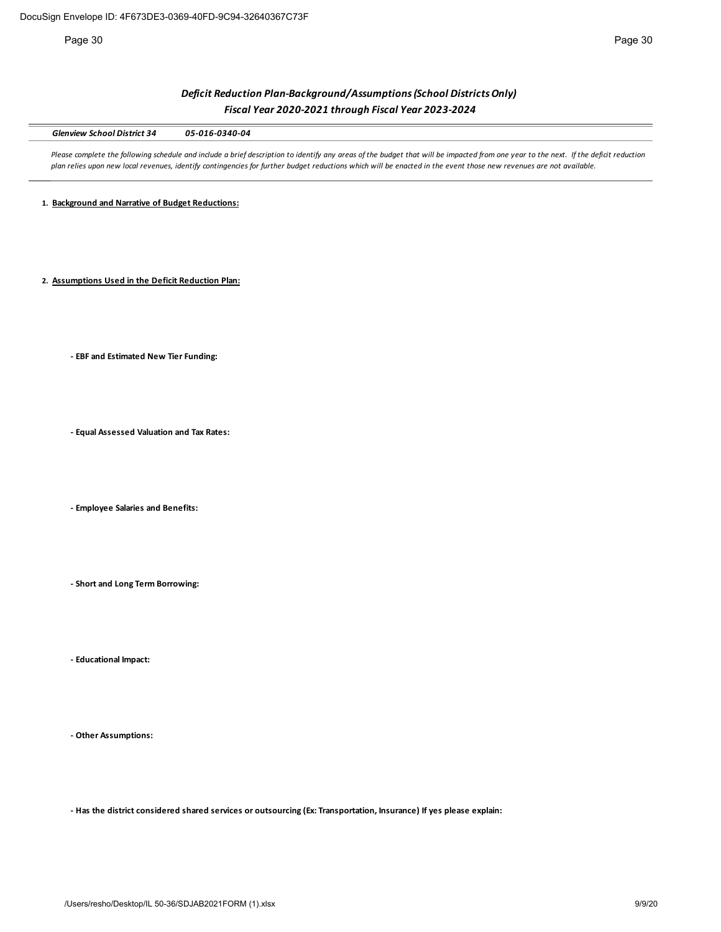Page 30 Page 30

## *Deficit Reduction Plan-Background/Assumptions (School Districts Only) Fiscal Year 2020-2021 through Fiscal Year 2023-2024*

*Glenview School District 34 05-016-0340-04*

Please complete the following schedule and include a brief description to identify any areas of the budget that will be impacted from one year to the next. If the deficit reduction *plan relies upon new local revenues, identify contingencies for further budget reductions which will be enacted in the event those new revenues are not available.* 

**1. Background and Narrative of Budget Reductions:**

**2. Assumptions Used in the Deficit Reduction Plan:**

**- EBF and Estimated New Tier Funding:**

**- Equal Assessed Valuation and Tax Rates:**

**- Employee Salaries and Benefits:**

**- Short and Long Term Borrowing:**

**- Educational Impact:**

**- Other Assumptions:**

**- Has the district considered shared services or outsourcing (Ex: Transportation, Insurance) If yes please explain:**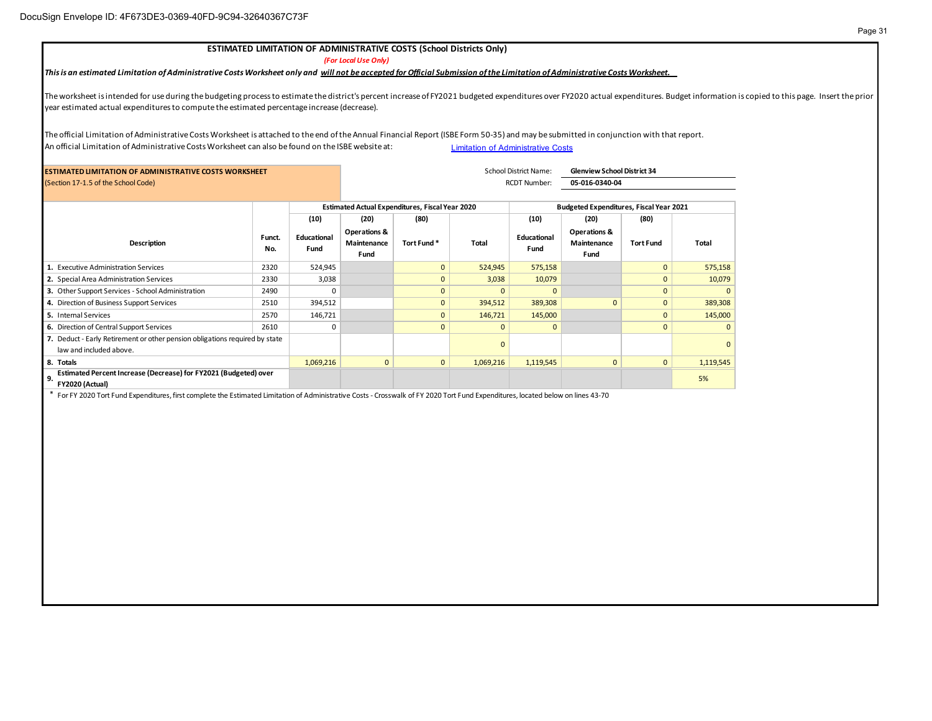#### **ESTIMATED LIMITATION OF ADMINISTRATIVE COSTS (School Districts Only)**

*(For Local Use Only)*

#### *This is an estimated Limitation of Administrative Costs Worksheet only and will not be accepted for Official Submission of the Limitation of Administrative Costs Worksheet.*

The worksheet is intended for use during the budgeting process to estimate the district's percent increase of FY2021 budgeted expenditures over FY2020 actual expenditures. Budget information is copied to this page. Insert year estimated actual expenditures to compute the estimated percentage increase (decrease).

The official Limitation of Administrative Costs Worksheet is attached to the end of the Annual Financial Report (ISBE Form 50-35) and may be submitted in conjunction with that report. An official Limitation of Administrative Costs Worksheet can also be found on the ISBE website at: Limitation of Administrative Costs

| <b>ESTIMATED LIMITATION OF ADMINISTRATIVE COSTS WORKSHEET</b>                                          |               |                            |                                                        |              | <b>School District Name:</b> | <b>Glenview School District 34</b> |                                                |                  |              |
|--------------------------------------------------------------------------------------------------------|---------------|----------------------------|--------------------------------------------------------|--------------|------------------------------|------------------------------------|------------------------------------------------|------------------|--------------|
| (Section 17-1.5 of the School Code)                                                                    |               |                            | <b>RCDT Number:</b>                                    |              |                              | 05-016-0340-04                     |                                                |                  |              |
|                                                                                                        |               |                            | <b>Estimated Actual Expenditures, Fiscal Year 2020</b> |              |                              |                                    | <b>Budgeted Expenditures, Fiscal Year 2021</b> |                  |              |
|                                                                                                        |               | (10)                       | (20)                                                   | (80)         |                              | (10)                               | (20)                                           | (80)             |              |
| <b>Description</b>                                                                                     | Funct.<br>No. | <b>Educational</b><br>Fund | <b>Operations &amp;</b><br>Maintenance<br>Fund         | Tort Fund*   | Total                        | <b>Educational</b><br>Fund         | Operations &<br>Maintenance<br>Fund            | <b>Tort Fund</b> | <b>Total</b> |
| 1. Executive Administration Services                                                                   | 2320          | 524,945                    |                                                        | $\mathbf{0}$ | 524,945                      | 575,158                            |                                                | $\mathbf{0}$     | 575,158      |
| 2. Special Area Administration Services                                                                | 2330          | 3,038                      |                                                        | $\Omega$     | 3,038                        | 10,079                             |                                                | $\mathbf{0}$     | 10,079       |
| 3. Other Support Services - School Administration                                                      | 2490          | 0                          |                                                        | $\Omega$     | n                            | $\Omega$                           |                                                | $\mathbf{0}$     |              |
| 4. Direction of Business Support Services                                                              | 2510          | 394,512                    |                                                        | $\mathbf{0}$ | 394,512                      | 389,308                            | $\Omega$                                       | $\mathbf{0}$     | 389,308      |
| 5. Internal Services                                                                                   | 2570          | 146,721                    |                                                        | $\mathbf{0}$ | 146,721                      | 145,000                            |                                                | $\mathbf{0}$     | 145,000      |
| 6. Direction of Central Support Services                                                               | 2610          | 0                          |                                                        | $\Omega$     | $\Omega$                     | $\Omega$                           |                                                | $\mathbf{0}$     |              |
| 7. Deduct - Early Retirement or other pension obligations required by state<br>law and included above. |               |                            |                                                        |              | n                            |                                    |                                                |                  |              |
| 8. Totals                                                                                              |               | 1,069,216                  | $\mathbf{0}$                                           | $\mathbf{0}$ | 1,069,216                    | 1,119,545                          | $\mathbf{0}$                                   | $\mathbf{0}$     | 1,119,545    |
| Estimated Percent Increase (Decrease) for FY2021 (Budgeted) over<br>9.<br>FY2020 (Actual)              |               |                            |                                                        |              |                              |                                    |                                                |                  | 5%           |

\* For FY 2020 Tort Fund Expenditures, first complete the Estimated Limitation of Administrative Costs - Crosswalk of FY 2020 Tort Fund Expenditures, located below on lines 43-70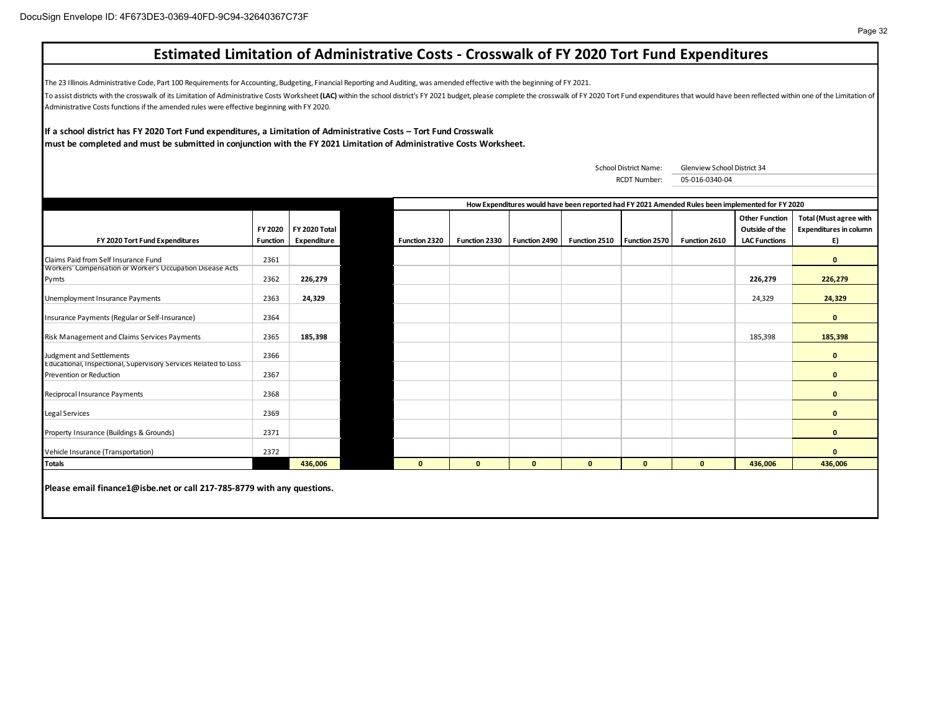# **Estimated Limitation of Administrative Costs - Crosswalk of FY 2020 Tort Fund Expenditures**

The 23 Illinois Administrative Code, Part 100 Requirements for Accounting, Budgeting, Financial Reporting and Auditing, was amended effective with the beginning of FY 2021.

To assist districts with the crosswalk of its Limitation of Administrative Costs Worksheet (LAC) within the school district's FY 2021 budget, please complete the crosswalk of FY 2020 Tort Fund expenditures that would have Administrative Costs functions if the amended rules were effective beginning with FY 2020.

**If a school district has FY 2020 Tort Fund expenditures, a Limitation of Administrative Costs – Tort Fund Crosswalk must be completed and must be submitted in conjunction with the FY 2021 Limitation of Administrative Costs Worksheet.** 

> School District Name: RCDT Number: Glenview School District 34

05-016-0340-04

|                                                                 | FY 2020         | <b>FY 2020 Total</b> |               |               |               |               |               | Function 2610 | <b>Other Function</b><br>Outside of the<br><b>LAC Functions</b> | <b>Total (Must agree with</b><br><b>Expenditures in column</b> |
|-----------------------------------------------------------------|-----------------|----------------------|---------------|---------------|---------------|---------------|---------------|---------------|-----------------------------------------------------------------|----------------------------------------------------------------|
| FY 2020 Tort Fund Expenditures                                  | <b>Function</b> | Expenditure          | Function 2320 | Function 2330 | Function 2490 | Function 2510 | Function 2570 |               |                                                                 | E)                                                             |
| Claims Paid from Self Insurance Fund                            | 2361            |                      |               |               |               |               |               |               |                                                                 | $\mathbf{0}$                                                   |
| Workers' Compensation or Worker's Occupation Disease Acts       |                 |                      |               |               |               |               |               |               |                                                                 |                                                                |
| Pymts                                                           | 2362            | 226,279              |               |               |               |               |               |               | 226,279                                                         | 226,279                                                        |
| Unemployment Insurance Payments                                 | 2363            | 24,329               |               |               |               |               |               |               | 24,329                                                          | 24,329                                                         |
| Insurance Payments (Regular or Self-Insurance)                  | 2364            |                      |               |               |               |               |               |               |                                                                 | $\mathbf{0}$                                                   |
| Risk Management and Claims Services Payments                    | 2365            | 185,398              |               |               |               |               |               |               | 185,398                                                         | 185,398                                                        |
| Judgment and Settlements                                        | 2366            |                      |               |               |               |               |               |               |                                                                 | $\mathbf{0}$                                                   |
| Educational, Inspectional, Supervisory Services Related to Loss |                 |                      |               |               |               |               |               |               |                                                                 |                                                                |
| Prevention or Reduction                                         | 2367            |                      |               |               |               |               |               |               |                                                                 | $\mathbf{0}$                                                   |
| Reciprocal Insurance Payments                                   | 2368            |                      |               |               |               |               |               |               |                                                                 | $\mathbf{0}$                                                   |
| Legal Services                                                  | 2369            |                      |               |               |               |               |               |               |                                                                 | $\mathbf{0}$                                                   |
| Property Insurance (Buildings & Grounds)                        | 2371            |                      |               |               |               |               |               |               |                                                                 | $\mathbf{0}$                                                   |
| Vehicle Insurance (Transportation)                              | 2372            |                      |               |               |               |               |               |               |                                                                 | $\Omega$                                                       |
| <b>Totals</b>                                                   |                 | 436,006              | $\mathbf{0}$  | $\mathbf{0}$  | $\mathbf{0}$  | $\mathbf{0}$  | $\mathbf{0}$  | $\mathbf{0}$  | 436,006                                                         | 436,006                                                        |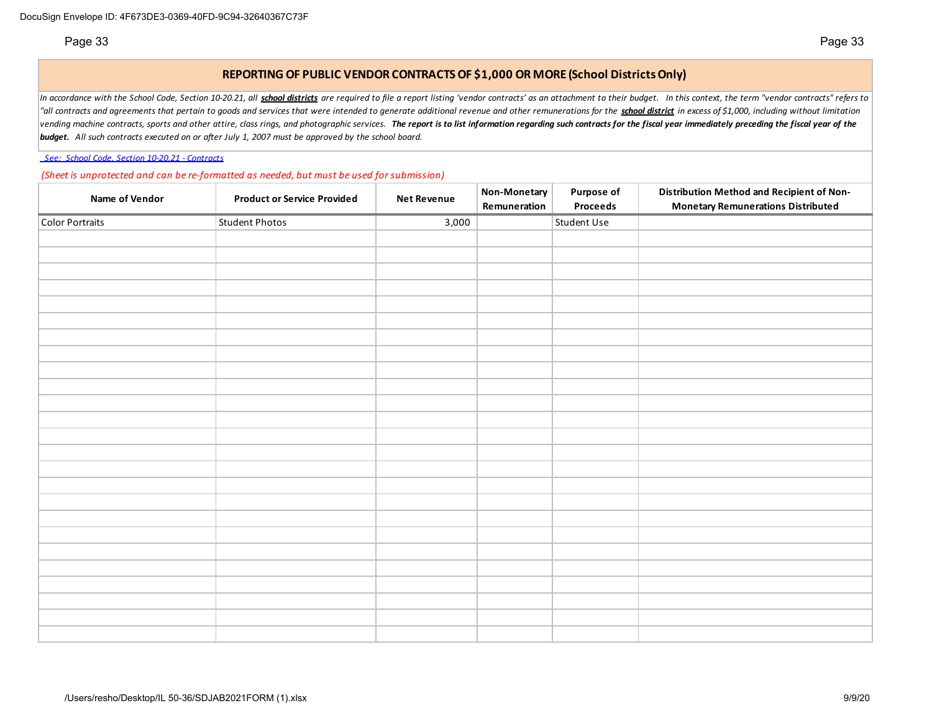### **REPORTING OF PUBLIC VENDOR CONTRACTS OF \$1,000 OR MORE (School Districts Only)**

In accordance with the School Code, Section 10-20.21, all school districts are required to file a report listing 'vendor contracts' as an attachment to their budget. In this context, the term "vendor contracts" refers to "all contracts and agreements that pertain to goods and services that were intended to generate additional revenue and other remunerations for the school district in excess of \$1,000, including without limitation vending machine contracts, sports and other attire, class rings, and photographic services. The report is to list information regarding such contracts for the fiscal year immediately preceding the fiscal year of the *budget. All such contracts executed on or after July 1, 2007 must be approved by the school board.*

#### *See: School Code, Section 10-20.21 - Contracts*

*(Sheet is unprotected and can be re-formatted as needed, but must be used for submission)*

| Name of Vendor  | <b>Product or Service Provided</b> | <b>Net Revenue</b> | Non-Monetary<br>Remuneration | <b>Purpose of</b><br><b>Proceeds</b> | Distribution Method and Recipient of Non-<br><b>Monetary Remunerations Distributed</b> |
|-----------------|------------------------------------|--------------------|------------------------------|--------------------------------------|----------------------------------------------------------------------------------------|
| Color Portraits | <b>Student Photos</b>              | 3,000              |                              | Student Use                          |                                                                                        |
|                 |                                    |                    |                              |                                      |                                                                                        |
|                 |                                    |                    |                              |                                      |                                                                                        |
|                 |                                    |                    |                              |                                      |                                                                                        |
|                 |                                    |                    |                              |                                      |                                                                                        |
|                 |                                    |                    |                              |                                      |                                                                                        |
|                 |                                    |                    |                              |                                      |                                                                                        |
|                 |                                    |                    |                              |                                      |                                                                                        |
|                 |                                    |                    |                              |                                      |                                                                                        |
|                 |                                    |                    |                              |                                      |                                                                                        |
|                 |                                    |                    |                              |                                      |                                                                                        |
|                 |                                    |                    |                              |                                      |                                                                                        |
|                 |                                    |                    |                              |                                      |                                                                                        |
|                 |                                    |                    |                              |                                      |                                                                                        |
|                 |                                    |                    |                              |                                      |                                                                                        |
|                 |                                    |                    |                              |                                      |                                                                                        |
|                 |                                    |                    |                              |                                      |                                                                                        |
|                 |                                    |                    |                              |                                      |                                                                                        |
|                 |                                    |                    |                              |                                      |                                                                                        |
|                 |                                    |                    |                              |                                      |                                                                                        |
|                 |                                    |                    |                              |                                      |                                                                                        |
|                 |                                    |                    |                              |                                      |                                                                                        |
|                 |                                    |                    |                              |                                      |                                                                                        |
|                 |                                    |                    |                              |                                      |                                                                                        |
|                 |                                    |                    |                              |                                      |                                                                                        |
|                 |                                    |                    |                              |                                      |                                                                                        |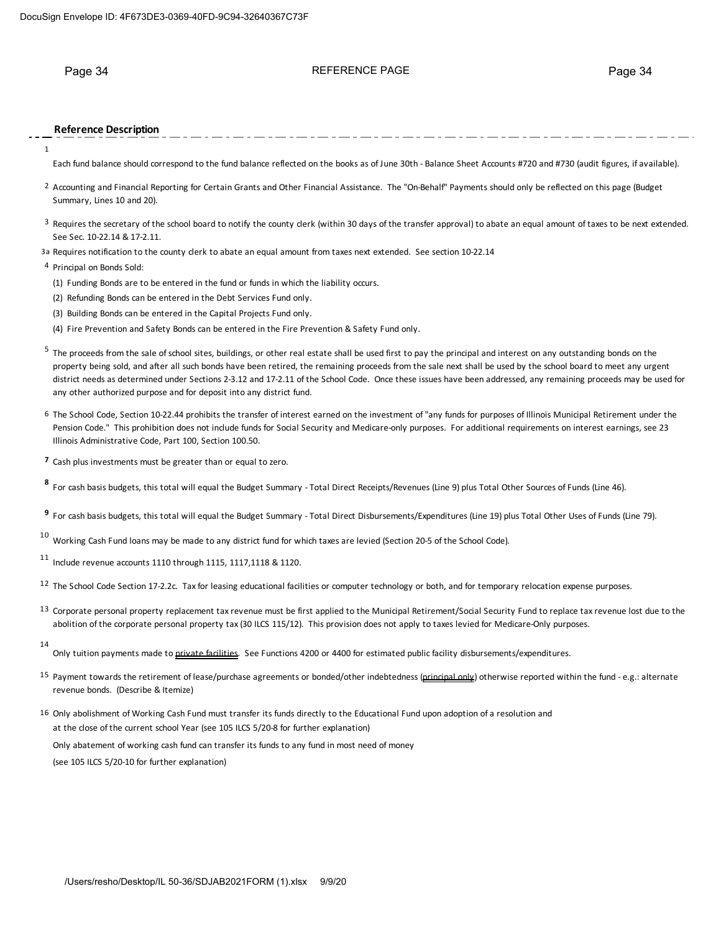### Page 34 REFERENCE PAGE Page 34

#### **Reference Description**

1

Each fund balance should correspond to the fund balance reflected on the books as of June 30th - Balance Sheet Accounts #720 and #730 (audit figures, if available).

- <sup>2</sup> Accounting and Financial Reporting for Certain Grants and Other Financial Assistance. The "On-Behalf" Payments should only be reflected on this page (Budget Summary, Lines 10 and 20).
- <sup>3</sup> Requires the secretary of the school board to notify the county clerk (within 30 days of the transfer approval) to abate an equal amount of taxes to be next extended. See Sec. 10-22.14 & 17-2.11.
- 3a Requires notification to the county clerk to abate an equal amount from taxes next extended. See section 10-22.14
- 4 Principal on Bonds Sold:
	- (1) Funding Bonds are to be entered in the fund or funds in which the liability occurs.
	- (2) Refunding Bonds can be entered in the Debt Services Fund only.
	- (3) Building Bonds can be entered in the Capital Projects Fund only.
	- (4) Fire Prevention and Safety Bonds can be entered in the Fire Prevention & Safety Fund only.
- <sup>5</sup> The proceeds from the sale of school sites, buildings, or other real estate shall be used first to pay the principal and interest on any outstanding bonds on the property being sold, and after all such bonds have been retired, the remaining proceeds from the sale next shall be used by the school board to meet any urgent district needs as determined under Sections 2-3.12 and 17-2.11 of the School Code. Once these issues have been addressed, any remaining proceeds may be used for any other authorized purpose and for deposit into any district fund.
- 6 The School Code, Section 10-22.44 prohibits the transfer of interest earned on the investment of "any funds for purposes of Illinois Municipal Retirement under the Pension Code." This prohibition does not include funds for Social Security and Medicare-only purposes. For additional requirements on interest earnings, see 23 Illinois Administrative Code, Part 100, Section 100.50.
- **7** Cash plus investments must be greater than or equal to zero.
- **<sup>8</sup>** For cash basis budgets, this total will equal the Budget Summary Total Direct Receipts/Revenues (Line 9) plus Total Other Sources of Funds (Line 46).
- **<sup>9</sup>** For cash basis budgets, this total will equal the Budget Summary Total Direct Disbursements/Expenditures (Line 19) plus Total Other Uses of Funds (Line 79).
- $10$  Working Cash Fund loans may be made to any district fund for which taxes are levied (Section 20-5 of the School Code).
- $11$  Include revenue accounts 1110 through 1115, 1117,1118 & 1120.
- <sup>12</sup> The School Code Section 17-2.2c. Tax for leasing educational facilities or computer technology or both, and for temporary relocation expense purposes.
- 13 Corporate personal property replacement tax revenue must be first applied to the Municipal Retirement/Social Security Fund to replace tax revenue lost due to the abolition of the corporate personal property tax (30 ILCS 115/12). This provision does not apply to taxes levied for Medicare-Only purposes.
- 14
- Only tuition payments made to *private facilities*. See Functions 4200 or 4400 for estimated public facility disbursements/expenditures.
- 15 Payment towards the retirement of lease/purchase agreements or bonded/other indebtedness (principal only) otherwise reported within the fund e.g.: alternate revenue bonds. (Describe & Itemize)
- 16 Only abolishment of Working Cash Fund must transfer its funds directly to the Educational Fund upon adoption of a resolution and at the close of the current school Year (see 105 ILCS 5/20-8 for further explanation)

Only abatement of working cash fund can transfer its funds to any fund in most need of money (see 105 ILCS 5/20-10 for further explanation)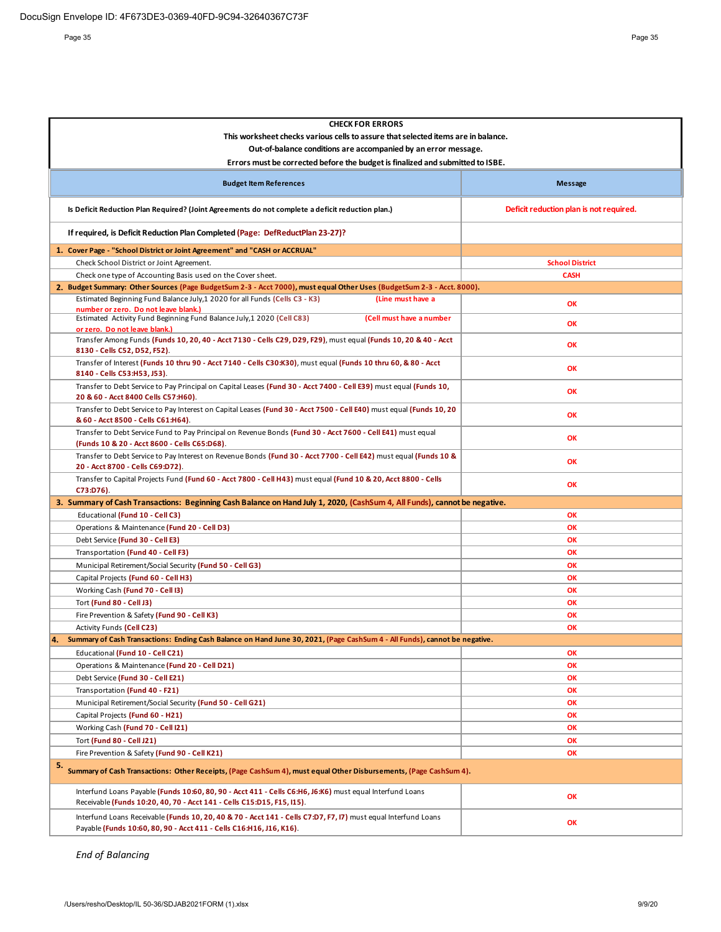Page 35 Page 35

| <b>CHECK FOR ERRORS</b>                                                                                                                                                               |                                         |  |  |  |  |  |  |  |  |
|---------------------------------------------------------------------------------------------------------------------------------------------------------------------------------------|-----------------------------------------|--|--|--|--|--|--|--|--|
| This worksheet checks various cells to assure that selected items are in balance.                                                                                                     |                                         |  |  |  |  |  |  |  |  |
| Out-of-balance conditions are accompanied by an error message.                                                                                                                        |                                         |  |  |  |  |  |  |  |  |
| Errors must be corrected before the budget is finalized and submitted to ISBE.                                                                                                        |                                         |  |  |  |  |  |  |  |  |
| <b>Budget Item References</b>                                                                                                                                                         | <b>Message</b>                          |  |  |  |  |  |  |  |  |
| Is Deficit Reduction Plan Required? (Joint Agreements do not complete a deficit reduction plan.)                                                                                      | Deficit reduction plan is not required. |  |  |  |  |  |  |  |  |
| If required, is Deficit Reduction Plan Completed (Page: DefReductPlan 23-27)?                                                                                                         |                                         |  |  |  |  |  |  |  |  |
| 1. Cover Page - "School District or Joint Agreement" and "CASH or ACCRUAL"                                                                                                            |                                         |  |  |  |  |  |  |  |  |
| Check School District or Joint Agreement.                                                                                                                                             | <b>School District</b>                  |  |  |  |  |  |  |  |  |
| Check one type of Accounting Basis used on the Cover sheet.                                                                                                                           | <b>CASH</b>                             |  |  |  |  |  |  |  |  |
| 2. Budget Summary: Other Sources (Page BudgetSum 2-3 - Acct 7000), must equal Other Uses (BudgetSum 2-3 - Acct. 8000).                                                                |                                         |  |  |  |  |  |  |  |  |
| Estimated Beginning Fund Balance July, 1 2020 for all Funds (Cells C3 - K3)<br>(Line must have a<br>number or zero. Do not leave blank.)                                              | OK                                      |  |  |  |  |  |  |  |  |
| Estimated Activity Fund Beginning Fund Balance July,1 2020 (Cell C83)<br>(Cell must have a number<br>or zero. Do not leave blank.)                                                    | OK                                      |  |  |  |  |  |  |  |  |
| Transfer Among Funds (Funds 10, 20, 40 - Acct 7130 - Cells C29, D29, F29), must equal (Funds 10, 20 & 40 - Acct<br>8130 - Cells C52, D52, F52).                                       | OK                                      |  |  |  |  |  |  |  |  |
| Transfer of Interest (Funds 10 thru 90 - Acct 7140 - Cells C30:K30), must equal (Funds 10 thru 60, & 80 - Acct<br>8140 - Cells C53:H53, J53)                                          | ОК                                      |  |  |  |  |  |  |  |  |
| Transfer to Debt Service to Pay Principal on Capital Leases (Fund 30 - Acct 7400 - Cell E39) must equal (Funds 10,<br>20 & 60 - Acct 8400 Cells C57:H60).                             | ОК                                      |  |  |  |  |  |  |  |  |
| Transfer to Debt Service to Pay Interest on Capital Leases (Fund 30 - Acct 7500 - Cell E40) must equal (Funds 10, 20<br>& 60 - Acct 8500 - Cells C61:H64).                            | OK                                      |  |  |  |  |  |  |  |  |
| Transfer to Debt Service Fund to Pay Principal on Revenue Bonds (Fund 30 - Acct 7600 - Cell E41) must equal<br>(Funds 10 & 20 - Acct 8600 - Cells C65:D68).                           | ОК                                      |  |  |  |  |  |  |  |  |
| Transfer to Debt Service to Pay Interest on Revenue Bonds (Fund 30 - Acct 7700 - Cell E42) must equal (Funds 10 &<br>20 - Acct 8700 - Cells C69:D72).                                 | ОК                                      |  |  |  |  |  |  |  |  |
| Transfer to Capital Projects Fund (Fund 60 - Acct 7800 - Cell H43) must equal (Fund 10 & 20, Acct 8800 - Cells<br>C73:D76).                                                           | OK                                      |  |  |  |  |  |  |  |  |
| 3. Summary of Cash Transactions: Beginning Cash Balance on Hand July 1, 2020, (CashSum 4, All Funds), cannot be negative.                                                             |                                         |  |  |  |  |  |  |  |  |
| Educational (Fund 10 - Cell C3)                                                                                                                                                       | OK                                      |  |  |  |  |  |  |  |  |
| Operations & Maintenance (Fund 20 - Cell D3)                                                                                                                                          | OK                                      |  |  |  |  |  |  |  |  |
| Debt Service (Fund 30 - Cell E3)                                                                                                                                                      | ОК                                      |  |  |  |  |  |  |  |  |
| Transportation (Fund 40 - Cell F3)                                                                                                                                                    | OK                                      |  |  |  |  |  |  |  |  |
| Municipal Retirement/Social Security (Fund 50 - Cell G3)                                                                                                                              | ОΚ                                      |  |  |  |  |  |  |  |  |
| Capital Projects (Fund 60 - Cell H3)                                                                                                                                                  | OK                                      |  |  |  |  |  |  |  |  |
| Working Cash (Fund 70 - Cell I3)                                                                                                                                                      | OK                                      |  |  |  |  |  |  |  |  |
| Tort (Fund 80 - Cell J3)                                                                                                                                                              | ОК                                      |  |  |  |  |  |  |  |  |
|                                                                                                                                                                                       | OK                                      |  |  |  |  |  |  |  |  |
| Fire Prevention & Safety (Fund 90 - Cell K3)<br>Activity Funds (Cell C23)                                                                                                             | OK                                      |  |  |  |  |  |  |  |  |
| 4. Summary of Cash Transactions: Ending Cash Balance on Hand June 30, 2021, (Page CashSum 4 - All Funds), cannot be negative                                                          |                                         |  |  |  |  |  |  |  |  |
|                                                                                                                                                                                       |                                         |  |  |  |  |  |  |  |  |
| Educational (Fund 10 - Cell C21)                                                                                                                                                      | ОΚ                                      |  |  |  |  |  |  |  |  |
| Operations & Maintenance (Fund 20 - Cell D21)                                                                                                                                         | ОК                                      |  |  |  |  |  |  |  |  |
| Debt Service (Fund 30 - Cell E21)                                                                                                                                                     | ОК                                      |  |  |  |  |  |  |  |  |
| Transportation (Fund 40 - F21)                                                                                                                                                        | ОК                                      |  |  |  |  |  |  |  |  |
| Municipal Retirement/Social Security (Fund 50 - Cell G21)                                                                                                                             | ОΚ                                      |  |  |  |  |  |  |  |  |
| Capital Projects (Fund 60 - H21)                                                                                                                                                      | ОК                                      |  |  |  |  |  |  |  |  |
| Working Cash (Fund 70 - Cell 121)                                                                                                                                                     | ОК                                      |  |  |  |  |  |  |  |  |
| <b>Tort (Fund 80 - Cell J21)</b>                                                                                                                                                      | ОК                                      |  |  |  |  |  |  |  |  |
| Fire Prevention & Safety (Fund 90 - Cell K21)<br>5.<br>Summary of Cash Transactions: Other Receipts, (Page CashSum 4), must equal Other Disbursements, (Page CashSum 4).              | ОК                                      |  |  |  |  |  |  |  |  |
| Interfund Loans Payable (Funds 10:60, 80, 90 - Acct 411 - Cells C6:H6, J6:K6) must equal Interfund Loans<br>Receivable (Funds 10:20, 40, 70 - Acct 141 - Cells C15:D15, F15, I15).    | OK                                      |  |  |  |  |  |  |  |  |
| Interfund Loans Receivable (Funds 10, 20, 40 & 70 - Acct 141 - Cells C7:D7, F7, I7) must equal Interfund Loans<br>Payable (Funds 10:60, 80, 90 - Acct 411 - Cells C16:H16, J16, K16). | OK                                      |  |  |  |  |  |  |  |  |
|                                                                                                                                                                                       |                                         |  |  |  |  |  |  |  |  |

*End of Balancing*